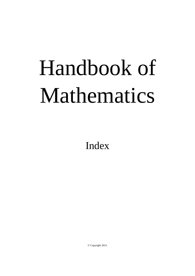## Handbook of Mathematics

Index

© Copyright 2015.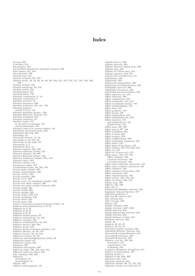## **Index**

A-basis, 316 A-module, 316 A-module, 910<br>Ab-category, 585<br>Ab-enriched (symmetric) monoidal category, 586 Abel lemma, 121, 453<br>Abel theorem, 129<br>Abel-Poisson, 487 Abelian category, 584, 591<br>Abelian category, 584, 591<br>Abelian group, 42, 43, 82, 84, 88, 89, 103, 474, 475, 516, 517, 521, 584, 590,  $599$ Abelian integral, 437 Abelian semigroup, 43, 516<br>Abelian variety, 513 Abelianization, 315 Abraham-Shaw, 748<br>Absolute complement, 8, 12 Absolute compement, 8, 12<br>Absolute consistency, 5<br>Absolute extrema, 45<br>Absolute frequency, 620<br>Absolute geometry, 149, 151, 152 Absolute geometry, 149, 151, 152<br>Absolute genetry<br>models 1,2,3,4, 151<br>Absolute homology groups , 291<br>Absolute Hurewicz theorem, 315<br>Absolute maximum, 670 Absolute valuation. 79 Absolute valuation, 19<br>
hosolute value, 145<br>
in the field of rationals, 145<br>
non-Archimedean, 145 non-aritmentean, 147<br>Absolute value of a rational number, 62<br>Absolutely convergent series, 324<br>Absolutely flat ring, 526 Absorbing, 33 Absorbing element, 12, 33<br>Absorbing on the left, 33 Absorbing on the lett, 33<br>Absorbing on the right, 33<br>Absorption, 8, 9<br>Absorption laws, 12<br>Abstract algebra, 263, 509 Abstract algebraic variety, 513<br>Abstract algebraic variety, 513<br>Abstract category, 38, 598<br>Abstract Riemann surface, 432 Abstract simplicial complex, 295, 534 Abstract space, 370<br>Abstract variety, 513 Acceptance region, 617<br>Accumulation point, 26, 195, 198<br>Action-angle variable, 695<br>Acwise connectedness, 546 Acyclic carrier, 304 Acyclic complex, 290<br>Acyclic cover, 296<br>Acyclic cover, 296<br>Acyclic cover of a simplicial complex, 296 Acyclic free chain complex, 303<br>Acyclic free chain complex theorem, 303 Acyclic free chain co<br>Acyclic graph, 260<br>Acyclic model, 303<br>Acyclic models, 303 Acyclic models, 303<br>Acyclic object, 556, 557<br>Acyclic resolution, 559 Acyclic sheaf, 559 Acyclic space, 287 Aczel's constructive Zermelo-Fraenkel (CZF), 16<br>Addition and multiplication in N, 52 Addition in N<sub>1</sub>52<br>Addition in N<sub>1</sub>52<br>Addition in Q<sub>1</sub>61<br>Addition in Z<sub>1</sub>58<br>Additive abelian group, 82 Additive associativity, 43, 516<br>Additive category, 585 Additive commutativity 43 516 Additive functor, 303, 597 Additive group, 103<br>Additive group of integers modulo n, 87 Additive group of metgers modulo n, 87<br>Additive identity, 42, 43, 516<br>Additive inverse, 42, 43, 516<br>Additive notation, 32, 39<br>additively and multiplicatively stable, 40 additively stable, 40<br>Additivity asiable, 40<br>Additivity axiom, 553<br>Adequate 297<br>Adequate subcomplex, 297<br>Adherent point, 195, 198, 219, 674<br>Adherent point, 195, 198, 219, 674<br>Adherent point, 533<br>Adherent point<br>Adic tonolog Adic topology, 533, 569<br>Adjective<br>autological, 13 heterological, 13 Adjoint, 607<br>Adjoint endomorphism, 137

Adjoint functor, 302<br>Adjoint functors, 595<br>Adjoint functors (adjunction), 595 Adjoint map, 243 Adjoint of a linear map, 243<br>Adjoint of a linear map, 243<br>Adjoint operator, 243, 375<br>Adjoint pair (of functors), 311<br>Adjointness, 589 Adjunction, 595<br>Adjunction, 595<br>Adjunction isomorphism, 596 Adjunction of indeterminates, 120<br>Admissible open set, 306 Aamissible open set, 300<br>Admissible parameter; 393<br>Admissible parameterization, 393<br>Affine algebraic set, 513<br>Affine bijection, 169 Affine combination, 278<br>Affine connection, 417, 418 Affine coordinates system, 190<br>Affine endomorphism, 191 Affine form, 191 Affine geometry, 155 Affine group, 168 Affine independent, 278<br>Affine independent set, 278 Amne independent set, 2<br>Affine isometry, 187<br>anti-displacement, 187<br>displacement, 187 Affine map, 168, 169<br>Affine map in  $\mathbb{R}^3$ , 186<br>Affine morphism, 564 Affine n-chain, 293 Affine n-space, 270<br>Affine n-space, 270<br>Affine neighborhood, 569<br>Affine orthogonal symmetry, 168 Affine plane, 155<br>Affine plane of incidence, 155 Affine scheme, 270, 513, 563, 566<br>Affine set, 277 Affine set (convex set), 277 All in e set (convex set), 274<br>Affine space, 189, 277, 531<br>affine subspace, 190<br>canonical structure, 190<br>vectorial structure, 190 Affine space (algebraic geometry), 531<br>Affine space (analytic geometry), 531<br>Affine subspace, 190 Affine subspace intersection, 190 Affine symmetry, 168<br>Affine transformation, 169 Affine variety, 264, 513, 531<br>Affine Y-scheme, 564, 570 Affines map, 190<br>Affinity, 168, 169 Affix, 69, 71<br>Afraimovich-Shilnikov theorem, 739 Aggregate demand function, 677 Aggregate demand funct:<br>Agument predicate, 3<br>AIC and SC criteria, 647 AIC and SC CITER<br>AIC criteria, 647<br>AIC criterion, 632  $AIC(p), 647$ AIC(p), 047<br>Aitken estimator, 633<br>Akaike criterion (AIC), 640<br>Akaike function, 632 Akaike information criterion, 632 Akaike-Schwarz, 629<br>Akaike-Schwarz criteria, 647 Alembert theorem, 224<br>Aleph, 33 Aleph-0, 33, 35, 37<br>Aleph-1, 33, 35, 48 Alexander-Veblen corollary, 296<br>Alexander-Veblen corollary, 296<br>Alexander-Whitney theorem, 319 Alexandroff compactification, 210<br>Alexandroff extension, 210 Alexandroff theorem, 225 Algebra, xvii, 81, 133, 264<br>associative, 133  $\begin{array}{ll} \text{asometric, 133} \\ \text{of Banach, 442} \\ \text{$\sigma$-algebra (}\Sigma\text{-algebra, }\Omega\text{-algebra), 511}\end{array}$ Algebra of polynomials, 107<br>Algebra of sets. 8 Algebra of the disk, 460 Algebraic basis, 244<br>Algebraic category, 593 Algebraic category, 595<br>Algebraic closure, 69, 77, 124, 531<br>Algebraic closure of a field, 69, 78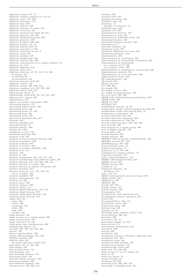Algebraic closure of C, 77<br>Algebraic complex numbers over Q, 117<br>Algebraic curve, 150, 336<br>Algebraic dimension, 212 Algebraic dual, 238<br>Algebraic element, 530<br>Algebraic elements of a field, 122<br>Algebraic extension, 123 Algebraic extension of a field, 69, 531<br>Algebraic function, 335, 436<br>Algebraic fundamental group, 568 Algebraic geometry, 509<br>Algebraic K-theory, 269, 562<br>Algebraic number, 78, 117<br>Algebraic number field, 78<br>Algebraic operation, 8, 510 Algebraic operations in sets, 8<br>Algebraic point, 437<br>Algebraic problem, 129 Algebraic ramification, 433<br>Algebraic relation, 335, 336<br>Algebraic representation of a complex number, 70<br>Algebraic signature, 511<br>Algebraic signature, 511 Algebraic space, 513<br>Algebraic structure, 38, 81, 512, 514, 582 of integers, 64 of rationals, 65 of real numbers, 66 Algebraic structure of R, 321<br>Algebraic surface, 150<br>Algebraic system, 265, 280, 510 Algebraic topology, xvii, 247, 270, 509<br>Algebraic variety, 264, 513<br>Algebraically closed, 77<br>Algebraically closed, 77<br>Algebraically closed field, 78, 113, 531, 569<br>Algebrization, 129<br>Almost everywhere convergence, 488 Alternating algebra, 137<br>Alternating bilinear form, 449<br>Alternating form, 138<br>Alternating group, 87, 138 Alternating map, 138<br>Alternating series, 324 Alternative hypothesis H<sub>1</sub>, 617 Altitude, 166 Ambient manifold, 544<br>Amenable group, 18<br>Ammestic functor, 595<br>Ampère law, 364<br>Amplitude of cycle, 734<br>Amplitude spectrum, 662 Analysis, xviii, 321<br>Analysis of autocorrelation function, 643 Analysis of residuals, 646<br>Analysis of shocks, 647<br>Analysis of variance, 617<br>Analysis of variance (ANOVA), 627 Analysis situs, xvii<br>Analytic, 548 Analytic at, 548<br>Analytic continuation, 421, 427, 441, 457 Analytic continuations along different paths, 427<br>Analytic function, 333, 415, 426, 433, 548<br>Analytic function at a point, 548<br>Analytic function on interior of domain, 548 Analytic functions, 421<br>Analytic geometry, xvii, 130, 149, 181<br>real or complex, 150<br>Analytic manifold, 540 Analytic representation, 172<br>Analytic set, 560<br>Analytic space, 560<br>Analytic subspace, 560 Analytic variety, 513<br>Andronov-Hopf bifurcation, 735, 748 Andronov-Hopf theorem, 735<br>Andronov-Pontryagin theorem, 724 Andronov-Witt theorem, 719<br>Angle, 160, 163 acute, 160<br>obtuse, 160 of opening, 184 reflex, 160<br>right, 160<br>straight, 160 Angle measure, 191<br>Angle measure on a regular patch, 400 Angle measurement, 161<br>Angle trisection, 75, 130 Angle-preserving transformation, 438<br>Annihilating element, 12<br>Annulus, 195, 428, 447, 450, 464<br>Anosov, 705 Anosov automorphism, 703<br>Anosov diffeomorphism, 705, 732 ANOVA equation, 627<br>ANOVA table, 617 for simple regression model, 627<br>Antecedent, 30, 47, 344, 620<br>Anti-adjoint, 243 Anti-matched lines, 153 Anti-matching, 152<br>Anti-matching theorem, 153 Anti-paired lines, 153 Anti-self-adjoint operator, 243<br>Antiautomorphism, 562 Anticonformal mapping, 438<br>Antiderivative, 349, 352, 353

Antidual, 405<br>Antidual basis, 405 Antihomomorphism, 562 Antilinear map, 241 Antinomy, 13 semantic or syntactic, 13 Antipodal map, 294<br>Antipode, 271, 294 Antisymmetric function, 138<br>Antisymmetric map, 138<br>Antisymmetric multilinear form, 138 Antisymmetrization, 138<br>Antisymmetrization operator, 138 Antisymmetry, 7<br>Aperiodic solution, 722<br>Apollonius circle, 167 Apollonius definition of a circle, 168 Applied mathematics, xviii Approximation, 331 Approximation by convolution, 491<br>Approximation by interpolation polynomial, 340 Approximation by polynomials<br>on a compact of  $\mathbb{C}^n$ , 236<br>on a compact of  $\mathbb{R}^n$ , 236 Approximation by trigonometric polynomials, 236 Approximation methods, 354<br>Approximation of vector functions, 236 Approximation theory, 338<br>AR (autoregressive), 644 AR model, 644<br>AR(p), 634, 644<br>Arc, 196, 204 Arc length, 358<br>Arc length of curve, 358<br>Arc length parameterization, 499 Arc of a curve, 392, 393<br>ARCH (AR conditional heteroscedasticity), 637  $ARCH$  model,  $637$ ARCH test, 637<br>ARCH(q), 652  $Archimedean$  property, 52, 67 Archimedean totally ordered commutative field, 66<br>Archimedean totally well ordered field, 78<br>Archimedean valued field, 146 Arcwise-connected, 545, 546 Arcwise-connected component, 204<br>Arcwise-connected set, 196, 204 Arcw ise -connected space, 204, 226, 545<br>Area function, 168<br>Area measure on a regular patch, 400<br>Area of elliptic triangle, 179<br>Area problem, 328<br>Areolar function, 365 Areolar measure, 365<br>ARFIMA (AR fractionally integrated MA), 651 ARFIMA process, 651, 652<br>ARFIMA(p,d,q), 651, 652<br>Argand-Gauchy plane, 71<br>Argand-Gauss plane, 71<br>Argument, 2, 74, 455, 499<br>Argument of a complex number, 74 Argum ent principle, 476<br>ariety (universal algebra), 513 ARIMA (AR integrated MA), 644<br>ARIMA model, 644<br>ARIMA process, 645<br>Arithmetic, 51<br>Arithmetic function, 141 Euclidean, 142<br>Arity, 510, 511<br>ARMA (autoregressive moving average), 645 ARMA model, 645<br>ARMA(p,q), 645<br>ARMAX, 646 ARMAA, 040<br>Arnold, 687, 695 Arnold tongue, 742<br>Arnold tongues, 740<br>Arrangement, 613<br>Arrangements with repetitions, 614 Arrangements without repetition, 614<br>Arrow, 576<br>Arrowsmith-Place, 708, 712<br>Articulation vertex, 262 Artin braid group, 539 Artinian ring, 525<br>Artinian set, 35<br>Ascending chain condition (ACC), 523 Ascoli theorem, 236, 442<br>Associate, 309 Associative law, 41 Associative magma, 41, 515 Associativity, 8, 9 Associativity isomorphism, 587 Associator, 586<br>Astroid, 336 Asymptote, 334<br>Asymptotic behavior of Fourier coefficients, 655 Asymptotic line, 403<br>Asymptotic point, 381<br>Asymptotic right triangle, 178<br>Asymptotical stability, 719<br>Asymptotically stable, 687<br>Atlas, 413–415, 542, 687<br>Atlas, 413–415, 542, 687<br>Atlas of class  $C^T$  (or  $C^T$ -atlas), 414<br> Attaching cell, 299 Attaching map, 298, 299, 535<br>Attracting or repelling basin, 747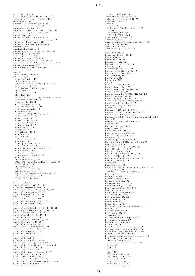Attractor, 715, 724<br>Attractor in sense of Ruelle (1981), 733<br>Attractor in the sense of Milnor, 715 augmentation, 303 Augmentation homomorphism, 553 Augmentation preserving, 303<br>Augmented complex, 296<br>Augmented Dickey-Fuller test (ADF), 644 Augmented singular complex, 292<br>Augmented singular complex, 292<br>Aureum theorem, 144<br>Autocorrelation function, 643, 725 Autocorrelation function of sampling, 643 Autocorrelation of errors, 633 Autocorrelation test of errors, 639 Autofunctor, 595<br>Autoformetar, 595<br>Autological adjective, 13 Automorphism, 33, 38, 99, 483, 520, 598 Automorphism group,  $105$ <br>Automorphism set,  $105$ <br>Automorphisms of C,  $\mathbb{S}_2$ , D, 483 Autonomous differential equation, 716 Autonomous linear differential equation, 716 Autonomous system, 693<br>Autoregressive linear model, 639 Autoregressive in<br>Axial vector, 184<br>AxioM of countable choice, 19 Axiom, 2, 5, 9 of extensionality, 17 or avenues...<br>
A,A\* (bisector), 159<br>
A1,A2,A3 (affine incidence plane), 155<br>
C (connection), 154 D (completion) Dedekin, 160 functional, 14<br>H (hyperbolic), 154 Hausdorff, 219 M1, M2, M3 (metric plane) Absolute geo., 151 of Cartesian product, 12<br>of choice, 14, 16, 17<br>of comprehension, 14, 16 of denumerable choice, 19<br>of denumerable choice, 19<br>of dependent choice, 19 of existence, 14 of extensionality,  $10, 11, 14, 16$ of foundation, 16, 17 % of induction,  $50$ <br>of infinity,  $14$ ,  $16$ ,  $17$ of mainty, 14, 10, 11<br>of pairing, 11, 16, 17<br>of regularity, 16, 17<br>of enpacement, 16, 17<br>of singletons, 10, 14<br>of singletons, 10, 14<br>of singletons, 10, 14<br>of singletons, 10, 14 of Tarski, 16<br>of the empty set, 14 or the empty set, 14<br>of the pair, 11<br>of the power set, 16, 17<br>of the set of parts of a set, 11<br>of the set of the parts of a set, 14 of the sum of set, 17<br>of the sum set, 16 % of the unordered pair,  $16, 17$ <br>of union,  $11, 14, 16, 17$ P (polar trilateral), 154<br>P1, P2, P3 (projective incidence plane), 155 P5, P5' (Fano), 158<br>R (rectangle), 153 schema of collection, 17<br>schema of replacement, 17 schema of restricted comprehension, 17<br>schema of specification, 17 schema of specification, 17<br>  $T0, T1, T2, T3, T4, 206$ <br>  $T2, 199$ <br>
Axiom (postulate), 5<br>
Axiom of bisector (A),(A\*), 159<br>
Axiom of Cartesian product, 12<br>
Axiom of choice, 14, 16, 22, 25, 32, 579<br>
Axiom of comprehension, 14, 1 Axiom of countable choice, 19<br>Axiom of Dedekin (D), 160 Axiom of denumerable choice, 19<br>Axiom of dependent choice, 19 Axiom of existence, 14<br>Axiom of existence, 14<br>Axiom of extensionality, 10, 11, 14, 16, 17<br>Axiom of extensionality (for maps), 30<br>Axiom of foundation, 16, 17, 578<br>Axiom of infinity, 14, 16, 17, 37<br>Axiom of pairing, 11, 16, Axiom of polar trilateral (P), 154<br>Axiom of polar trilateral (P), 154<br>Axiom of regularity, 16, 17<br>Axiom of replacement, 16, 17 Axiom of revealed preferences, 760<br>Axiom of revealed preferences, 760<br>Axiom of separation, 11, 16, 31<br>Axiom of singletons, 10, 14 Axiom of subsets, 16<br>Axiom of the empty set, 14 Axiom of the empty set, 14<br>Axiom of the pair, 11<br>Axiom of the power set, 16, 17<br>Axiom of the set of parts of a set, 11<br>Axiom of the sum of set, 17<br>Axiom of the sum of set, 17 Axiom of the sum set, 16<br>Axiom of the unordered pair, 16, 17<br>Axiom of union, 11, 14, 16, 17 Axiom schema of collection, 17 Axiom schema of conection, 17<br>Axiom schema of replacement, 17<br>Axiom schema of restricted comprehension, 17 Axiom schema of specification, 17 Axiomatic construction

% of number system, 78<br>Axiomatic method, 5, 149, 150<br>Axiomatic set theory, 12–15, 577<br>Axiomatic system, 3 Axiomatic system, 3<br>
Axioms, 1<br>
Euclid, 149<br>
of Zermelo-Fraenkel set theory, 16<br>
of ZFC, 16<br>
occ. 200 separation, 205, 206<br>T0,T1,T2,T3,T4, 206 Axioms of categories, 590<br>Axioms of closed sets, 218 Axioms of Zermelo-Fraenkel set theory. 16 Axis of curvature, 396 Axis reflection, 159<br>Axonometric projection, 174 b-adic number, 68 Bézout coefficients, 60, 111<br>Bézout identity, 60 Bézout Identity, 60<br>Bézout theorem, 60<br>Bachmann, 151, 157 Bachmann metric plane, 151 Back face, 318<br>Backward elimination, 632 Baire category theorem, 232, 724<br>Baire function, 368, 369 Baire property, 232<br>Baire space, 232<br>Baker map, 732 Ball, 50<br>Ball, 50<br>Banach algebra, 24, 442, 494<br>Banach fixed point, 372<br>Banach fixed-point theorem, 372 Banach functional, 20<br>Banach space, 20, 21, 237, 241, 371, 489 Banach theorem, 241, 391<br>Banach-Alaoglu theorem, 442 Banach-Steinhaus theorem, 241, 371<br>Banach-Tarski paradox, 8, 17 Barratt-Whitehead lemma, 292<br>Barrow rule, 499 Barycenter, 190, 252, 278, 675<br>Barycenter, 190, 252, 278, 675<br>Barycentric coordinates, 190, 252, 278<br>Barycentric subdivision, 293 Barycentric subdivision, 250<br>Barycentric subdivision of an affine n-simplex, 293 Base, 560<br>
Base, 560<br>
Base for a topological space, 537<br>
Base line, 157<br>
Base of fiber space, 562<br>
Base of there space, 562<br>
Base scheme, 563<br>
Base space, 306, 560, 574<br>
Base ton number of the space, 306, 574 Base ten numeral system, 56<br>Base-10 numeral system, 56 Basepoint, 214 Basepoint preserving map, 272<br>Basepoint preserving map, 272<br>Basic dynamics of diffeomorphisms, 687<br>Basic variable, 670 Basic variable, b/d<br>Basin of attraction, 715, 724, 733<br>Basis, 102, 199, 405, 519<br>Basis for a topology, 308<br>Basis of a K-vector subspace, 108 Basis of a topology, 199<br>Basis of neighborhoods, 200, 218, 222 Basis of open sets, 218<br>Bauer, 370<br>Bayes theorem, 619 Bayes theorem, 019<br>Behaviors of second-order linear systems, 716<br>diagram of behaviors, 717<br>interpretation of eigenvalues , 717<br>Belote, 615 Benow, 019<br>Bernoulli inequality, 323<br>Bernoulli number, 337<br>Bernoulli shift map, 725 Bernstein polynomial, 338 Bessel inequality, 244, 653<br>Best approximation, 338, 394 Best contact, 394<br>Beth's definability theory, 5 Betti group, 257, 550<br>Betti number, 257, 412 Bezout identity, 143<br>Bezout relation, 120 Bezout theorem, 60<br>Bezout theorem (for polynomials), 111 Bezout theorem (for<br>Bi-ratio, 171<br>Bianchi identity, 419<br>Bicategory, 585, 593<br>bicategory, 264 Biclosed monoidal category, 586<br>Bicomplete category, 585 Biconnected graph, 262<br>Bidual, 239, 405 Bidual, 259, 400<br>Bidual of a normed vector space, 239<br>Bienaymé-Chebychev inequality, 620<br>Bienaymé-Tchebychev inequality, 620 Bifunctor, 264, 585, 586, 595<br>Bifunctor, 264, 585, 586, 595<br>Bifunctor (binary functor, i.e. 2-ary), 595<br>Bifurcation, 733, 734, 748 Andronov-Hopf, 735, 748<br>Andronov-Hopf supercritical, 749 cusp, 712<br>flip, 748<br>fold, 748 Hopf, 733 Hopf subcritical, 712<br>Hopf supercritical, 712<br>node-saddle, 733 node-saddle, 733<br>of fixed points, 733<br>of periodic orbits, 734<br>period-doubling, 748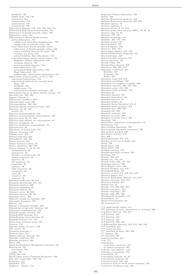pitchfork, 733<br>saddle node, 718, 748<br>subcritical, 734 subharmonic, 734<br>supercritical, 733 transcritical, 733 Bifurcation diagram, 713, 735, 736, 749, 751<br>Bifurcation diagram of Lorenz model, 751 Bifurcation of double periodic orbits, 736<br>Bifurcation value, 734<br>Bifurcations in Morse Smale systems global bifurcation, 737 saddle-node separatrix disappearance, 738<br>saddle-node to periodic orbit, 738<br>local bifurcation nearby periodic orbits<br>bifurcation of double periodic orbits, 736 centre manifold theorem for maps, 736 creation of a torus, 737<br>period-doubling (flip bifurcation), 737 local bifurcations nearby steady states, 734<br>Bogdanov-Takens bifurcation, 736 breaking symetry, 736<br>centre manifold theorem, 734<br>cusp bifurcation, 735 generalized Hopf bifurcation, 736<br>Hopf bifurcation, 735<br>saddle-node, transcritical bifurcations, 734 Bifurcations of fixed points, (Cod-1), 733<br>subcritical bifurcations, 734 supercritical bifurcations (normal form) Hopf, 733<br>pitchfork, 733 saddle-node, 733<br>transcritical (stability exchange), 733 Bifurcations theory in Morse Smale systems, 734<br>Big étale site, 568, 569 B ig gest elem ent, 9 Biharmonic oscillator, 695 Biholomorphic map, 438<br>Biholomorphism, 482, 483 Biholomorphism,(conformal map), 482<br>Bijection, 33, 37, 520<br>inverse, 36<br>Bijective homomorphism, 520<br>Bijective homomorphism (bimorphism), 520 Bijective map, 29, 31, 519<br>Bijective map defined via compositions, 30 Bijective morphism, 33<br>Bijective morphism (isomorphism), 33<br>Bijective sets, 29<br>Bijectivity of Galois map, 127 Bilinear extension, 103<br>Bilinear form, 406 Bilinear function, 304<br>Bimorphism, 520, 598 Binary functor, 264<br>Binary numeral system, 56<br>Binary operation, 765, 510<br>Binary relation, 7, 13, 27, 28<br>antisymmetric, 28 anthymmetric, 28 biective (or biunivocal), 28<br>doubly surjective, 28 injective, 28<br>left surjective, 28 properties, 28<br>reflexive, 28 right surjective, 28 symmetric, 28 total, 28 transitive,  $28$ univocal, 28<br>Binomial coefficient, 90, 613<br>Binomial distribution, 617, 621<br>Binomial equation, 129 Binomial expansion, 90 Binomial formula, 92 Binomial series, 90, 333<br>Binomial theorem, 90, 92 Binormal vector, 394<br>Bipartite Graph (or bigraph), 259 Biperiodic dynamics, 722<br>Bipoint, 161 Biquadratic rectangular impulse, 663<br>Biquadratic reciprocity theorem, 145<br>Birational transformation, 150<br>Birkhoff ergodic theorem, 725 Birkhoff HSP theorem, 514<br>Birkhoff prime ideal theorem, 23 Birkhoff theorem, 514, 718 Birth of an invariant torus, 748  $Bisector, 152$ Bisector axiom  $(A), (A^*)$ , 159 Bite vector, 32<br>Bivalence principle, 1 Bivalent logic, xvii<br>Blakers-Massey theorem, 315 Blaschke condition, 464<br>Blaschke products, 468 Block, 262 B lo ck -G u cken h eim er -M isiu riew icz th eo rem , 7 3 3 Blowing-up, 701 directional, 702<br>polar, 701<br>BLUE, 634, 635 BLUE (Best Linear Unbiased Estimator), 629 Blue sky catastrophe, 746, 748  $Bodganov, 712$ Bogdanov, 712<br>Bogdanov, Takens, 712

Bogdanov-Takens bifurcation, 736<br>Bolyai, 169<br>Bolzano-Weierstrass property, 210 Bolzano-Weierstrass property, 210<br>Bolzano-Weierstrass theorem, 322, 323 Boolean algebra, 19<br>Boolean algebras, 9 Boolean lattice, 9, 10, 618<br>Boolean prime ideal theorem (BPI), 19, 23, 24 Boolean ring, 10, 93 Bordant, 373, 547<br>Bordant manifolds, 547<br>Bordism, 263, 373, 549 Bordism group, 547<br>Borel measure, 725 Borel σ-algebra, 618<br>Borel set, 618, 725 Borel sigma-algebra, 618, 725<br>Borel-Carathéodory inequality, 467<br>Borel-Lebesgue, 223<br>Borel-Lebesgue property, 223 Borsuk theorem, 473<br>Borsuk-Ulam, 294 Borsuk-Ulam theorem, 320<br>Boundary, 286, 294, 547<br>Boundary conditions, 391<br>Dirichlet, 391 Neumann, 391<br>Robin, 391 Boundary map, 553, 558<br>Boundary morphisms, 597 Boundary of a singular n-simple, 286<br>Boundary operator, 286, 534, 550 Boundary point, 195, 294 Boundary value problem, 378<br>Bounded, 21<br>Bounded distance, 217 Bounded from above, 46<br>Bounded function, 21 Bounded lattice, 23<br>Bounded linear functional, 19, 21 Bounded linear operator, 372<br>Bounded part, 209, 216 Bounded tile, 209<br>Bounded variation, 653 Bouquet of circles, 298<br>Bouquet of circles (rose), 298 Bourbaki, 205 Bourbakist conception of mathematics, 37 Boussinesq, 749<br>Box-counting dimension, 730 Box-counting dimension properties, 730<br>Box-Jenkins method, 645 Box-Pierce statistic, 643 Bra, 409<br>Brachistochrone, 372, 373<br>Bracket of two vector fields, 416 B raid, 5 3 9 Braid group, 539<br>Braid index, 539<br>Braided category, 587 Braided monoidal category, 587<br>Braiding, 587<br>Branch, 423, 431<br>Branch cut, 423, 431 Branch point, 422, 431, 433<br>Breaking symetry, 736<br>Breit-Wigner curve, 663<br>Breusch-Godfrey test, 634 Broomhead-King, 416<br>Brouwer, 4, 212, 215, 472, 674, 677<br>Brouwer degree, 413<br>Brouwer fixed point theorem, 215, 677 Brouwer theorem, 214, 472<br>Brownian motion, 651 Bubble sort, 87<br>Bundle, 153, 263, 268, 561<br>Bundle (category), 561<br>Bundle (topology), 561 Bundle rank, 269, 562<br>Buniakowski inequality, 191 B u rali-Fo rti, 1 3 Burali-Forti paradox, 49 By recurrence, 5 C is algebraically closed, 115<br> $\mathcal{C}^\infty$  partition of unity subordinate to covering, 499<br>C-analytic function, 453, 457  $\mathbb{C}\text{-}\widehat{\mathbb{C}}$  function, 423  $\widehat{\mathbb{C}}$ -C function, 423 C-C function, 423<br>C-C-function, 423, 425 C-differentiable function, 424, 452, 548, 549 C∞-manifold, 541<br>C∞-structure, 541<br>C∞-structure, 541<br>C\*-partition of unity, 495, 500<br>C<sup>*∗*-algebra, 562</sup><br>C<sup>*r*</sup>-manifold, 687 Caeteris paribus, 647 Cah, 175 Calculation of geodesic curvature, 401<br>of normal curvature, 401 Calculus and analysis, xviii Calculus of variations, 372<br>Cancellable, 40<br>Cancellable element, 33, 40 Cancellation property, 40<br>Canonical basis, 191, 443 Canonical basis of the K-vector subspace, 108 Canonical euclidean norm, 191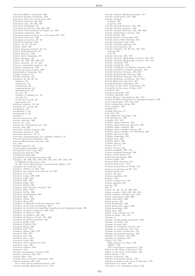Canonical flabby resolution, 559 Canonical Habby resolution, 559<br>Canonical Hasque resolution, 559<br>Canonical form of a circle map, 740<br>Canonical injection, 30, 520<br>Canonical map, 30, 201, 563<br>Canonical morphism, 87<br>Canonical projection, 223, 599, 603<br>Canon Canonical resolution, 559 Canonical scalar product in vector space  $\mathbb{R}^n$ . 191 Canonical structure, 190 Canonical surjection, 29, 34 Canonical topology, 609 Cantor, 13, 37, 47, 66<br>Cantor comb, 730<br>Cantor comb, 730<br>Cantor diagonal method, 32, 34 Cantor diagonal method, 33<br>Cantor diagonalization, 33<br>Cantor function, 740<br>Cantor native language, 35 Cantor sequence, 49<br>Cantor set, 706, 709, 730, 731 Cantor theorem, 31, 37, 228<br>Cantor's transfinite numbers, 48<br>Capacity dimension, 730 Capital per unit of labor, 760 Carathéodory theorem, 485 Cardan method, 128 Cardinal, 10, 33, 34, 48 addition, 34<br>arithmetic, 34 comparison 34 exponentiation, 34 multiplication, 34 of a set, 36 of finite or infinite set. 34 of reals, 37 of reals, 37<br>of the set of reals, 35<br>operations, 34<br>Cardinal number, 10, 33 Cardinal of a group, 82 Cardinality, 33<br>Cardinality 1, 33<br>Cardinality 2, 33 Carnap, 1 Carnap, 1<br>Carrier (universe), 510<br>Carrier function, 303 Carrier set, 510<br>Carrier set (underlying set), 510<br>Carrier set (underlying set), 510<br>Cartesian closed category, 588 Cartesian geometry, 130<br>Cartesian product, 13, 27 Cartesian representation of a complex number, 70<br>Cascade of period-doublings, 738 Casorati-Weierstrass theorem, 464 Cat, 584<br>Catalan numbers, 32 Catastrophic instability, 749 Categorical direct sum, 603 Categorical product, 603 Categorical sum, 603<br>Categories of rational functions, 335 Categories of rational functions, 335<br>
Category, 38, 256, 265, 270, 272, 576, 577, 581, 582, 598<br>
by Eilenberg-Mac Lane, 576<br>
by Mac Lane, Buchsbaum, Grothendieck, Heller, 577<br>
category Ab (AbGrp), 583<br>
Category AbGrp (or Category Comp, 289.<br>Category CPO, 583<br>Category Diff, 583<br>Category Diff<sub>b</sub>, 583<br>Category Fields, 583 Category Grp (Groups, Group), 583 Category Heyt, 583<br>Category Heyt, 583<br>Category hoTop, 583<br>Category isomorphism, 594 Category Isomorphism, 394<br>Category Man, 583<br>Category Man, 583<br>Category Mon, 583<br>Category of (Eilenberg-Moore) algebras, 594 Category of childrenberg-avoired as the Category of all étale morphisms, 568<br>Category of all étale morphisms, 568 Category of chain complexes, 589, 592<br>Category of chain complexes, 589, 592<br>Category of functors, 586<br>Category of schemes, 270, 563<br>Category of sheaves of sets, 551, 569 Category of small categories, 584<br>Category PoSet, 583 Category PoSet, 583<br>Category PreOrd, 583<br>Category Rings, 583<br>Category Sets, 583<br>Category theory, 265, 575 Category Top, 583<br>Category Vec, 583 Category Vec, 553<br>Category Vec<sub>R</sub>, 583<br>Category Vec<sub>R</sub>, 583<br>Category with a generator, 591<br>Catenary ring, 525<br>Catenary scheme, 564<br>Category Scheme, 564 Cathetus, 178 Cathetus, 178<br>Cauchy convergence criterion, 323<br>Cauchy criterion, 228, 244<br>Cauchy filter, 231<br>Cauchy form of Taylor remainder, 332<br>Cauchy formula, 425, 456<br>Cauchy formula, 425, 456 for a disk (direct demonstration). 459 Cauchy formula (Homology form), 475

Cauchy formula (Homotopy form), 471<br>Cauchy inequalities, 457, 486<br>Cauchy integral formula, 425 property, 425<br>Cauchy integral formula, 425, 429 Cauchy integral property, 425<br>Cauchy integral theorem, 425, 429, 660 Cauchy integration criterion, 355<br>Cauchy kernel, 460<br>Cauchy kernel, 460 Cauchy mean-value theorem, 331 Cauchy principal value, 661<br>Cauchy rational sequence, 69 Cauchy real sequence, 69<br>Cauchy real sequence, 69<br>Cauchy sequence, 21, 66, 67, 146, 372 rational, 69 real, 69 Cauchy theorem, 456, 474<br>Cauchy theorem (Homology version), 474, 475 Cauchy theorem (Homotogy version), 474, 475<br>Cauchy theorem (Homotopy version), 470, 474<br>Cauchy tranform, 459<br>Cauchy transform, 453<br>Cauchy transform of a Radon measure, 453 Cauchy transform of a readon measure, 359<br>Cauchy-Goursat theorem, 453, 461 Cauchy-Kowalewska theorem, 389<br>Cauchy-Fompeiu formula, 456, 489 Cauchy-Riemann conditions, 421, 424<br>Cauchy-Riemann equation, 457 Cauchy-Kiemann equation, 457<br>Cauchy-Schwarz inequality, 191<br>Causality in the sense of Granger, 647 Causality in the sense of Sims, 647<br>Cavalieri, 357 Cavalieri principle, 357<br>Cavalieri theorem, 357 Cayley-Menger determinant, 251, 255<br>Connectedness properties of topological spaces, 538<br>Cech cohomology, 550, 558, 559 Cech cohomology group, 558<br>Cech complex, 550<br>Ceiling, 61 Ceiling function, 61<br>Cell, 534, 585 Cell (algebraic topology), 534 Cell (geometry), 534 Cellular, 301, 535<br>Cellular approximation, 302 Cellular approximation, 302<br>Cellular approximation theorem, 302<br>Cellular chain complex, 301<br>Cellular chain complex lemma, 301<br>Cellular chain complex of a filtration, 301 Cellular filtration, 301<br>Cellular homology, 301 Cellular map, 301<br>Cellular space, 301 Cellular theory, 287<br>Cellular theory, 287<br>Center, 83, 717<br>Center (centre), 83<br>Center manifold, 700, 748 Center manifold theorem, 700<br>Center of the sheaf, 157 Centering parameter, 666<br>Central angle, 163 Central limit theorem, 617 Central projection, 170 Central projections in  $P^3(\mathbb{R})$ , 170 Central projections in  $\mathbb{R}^3$ , 170 Central sheaf, 157<br>Centre, 83, 381 Centre manifold 748 Centric, 156 Centric perspective, 156<br>Ceteris paribus, 647 Cevian, 166<br>CH, 15<br>Chain, 21, 36, 44, 45, 260, 285 Chain complex, 289, 533, 550, 589 Chain complex of finite type, 318 Chain equivalence, 290, 303 Chain equivalent, 290<br>Chain group, 301 Chain homotopic, 290<br>Chain homotopic maps, 290<br>Chain homotopy, 290 Chain map, 290 Chain of an ordered set. 36 Chain of fields, 129, 130 Chaitin, 3<br>Change of admissible parameter, 393 Change of basins, 747<br>Change of basis, 405<br>Change of coordinate system, 187 Change of coordinates, 414, 542 Change of local coordinates, 541 Change of parameterization, 499 Change of variable, 353, 380<br>Change of variable, 353, 380<br>Change of variables, 357<br>Chaos, 714, 732<br>(DO) density of orbits, 732 (SDIC), 732<br>(TT) topological transitivity, 732 Chaos in the sense of Devancy, 732<br>Chaos in the sense of Devancy, 732<br>Chaos in the sense of Li-Yorke, 732<br>Chaos theory, xviii Chaotic attractor, 732<br>Chaotic dynamical system, 732 Chaotic systems in the sense of Devaney, 732 Character of a point, 538<br>Character of a topological space, 538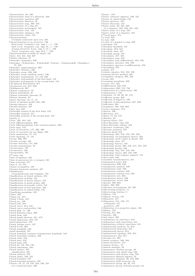Characteristic, 94, 530 Characteristic, 94, 350<br>Characteristic class of a fibration, 320<br>Characteristic equation, 385<br>Characteristic function, 32 Characteristic map, 300, 535<br>Characteristic of a ring, 94 Characteristic polynomial, 135<br>Characteristic root, 133 Characteristic subspace, 135<br>Characteristic value, 133 Characterization Characterization<br>
of simply connected open sets, 485<br>
of simply connected open sets, 485<br>
Characterization of an attractor, 730<br>
fixed point: Lyapunov exp. sign  $(-,-,-)$ , 730<br>
limit cycle: Lyapunov exp. sign  $(0,-,-)$ , 730<br>
s Chart, 413, 541, 542, 687<br>Chasles relations, 75 Chebychev inequality, 620 Chebyshev (Tchebychev, Tchebicheff, Čebyšev, Tschebyscheff, Chebishev), 75, 339 Chebyshev approximation, 669<br>Chebyshev distance, 220 Chebyshev norm, 338, 340<br>Chebyshev norm (uniform norm), 338<br>Chebyshev polynomials, 75, 116, 338<br>Chebyshev polynomials of the first kind, 116<br>Chebyshev polynomials of the first kind, 116 Chebyshev polynomials of the first kind, 116<br>Chebyshev polynomials of the second kind, 116<br>Chi-squared distribution, 617 Chi-squared ustribution, 011<br>Chi-squared test, 617, 622<br>Chillingworth, 687<br>Chinese congruence, 97<br>Chinese typothesis, 97<br>Chinese remainder theorem, 97 Chinese theorem, 97 Chinese theorem, 97<br>Choice function, 16, 17, 19<br>Choice of optimal model, 631, 632 Chordal distance, 423<br>Chordal theorem, 167 Chow test, 635<br>Christoffel symbol of the first kind, 418 Christoffel symbols, 417<br>Christoffel symbols of the second kind, 418 Church, 3<br>Circle, 163, 184, 185 Circle diffeomorphism, 692<br>Circle diffeomorphisms with rational number, 692 Circle map, 742<br>Circle of curvature, 177, 396, 398 Circle of curvature, 111, 350, 350<br>Circle of curvature for an ellipse, 397<br>Circle quadrature, 75, 131 Circle squaring, 75, 131<br>Circuit, 260, 297 Circular average, 491 Circular function, 174, 336 Circular permutation, 91<br>Circular permutation, 91<br>Circumcenter, 167 Circumcircle, 166<br>Circumradius, 167  $C^k$ -atlas, 541<br>Class of algebras, 594 Class of generators for a category, 581 Class of groups, 317<br>Class of groups, 317<br>Class V, 15, 578<br>Classes of quadrics, 188<br>Classical harmonic analysis, 487 Classification of quadrilaterals and triangles, 170<br>Classification of closed surfaces, 255 Classification of fields, 125 Classification of metric planes, 155<br>Classification of patch points, 402 Classification of periodic orbits, 719<br>Classification of periodic orbits, 719<br>Classification of valued fields, 145 Classifying morphism, 581 Clique, 262<br>Clopen set, 537<br>Closed 1-form, 316<br>Closed arc, 196 Closed ball, 216<br>Closed curve, 214, 545<br>Closed curve contractility, 546 Closed disk, 71, 196 Closed Eulerian chain, 260 Closed form, 448 Closed form, 446<br>Closed graph theorem, 241, 372<br>Closed immersion, 564, 571 closed immersion, 570 Closed Jordan curve, 197 Closed k-cell, 294 Closed manifold, 542 closed manifold. 547 Closed manifold (compact boundaryless manifold), 547 Closed monoidal category, 586 Closed monoidal<br>Closed orbit, 722<br>Closed part, 216 Closed path, 279 Closed set, 26, 195, 198<br>Closed subscheme, 564 Closed surface, 255 classification, 255<br>Closed surfaces, 255 Closed under, 520, 521 Closed-bounded, 197<br>Closed-bounded property, 197 Closure, 24, 27, 42, 195, 216, 520, 521<br>of a connected part, 226

 ${\rm Closure}$  ,  $674$ Closure ,  $674$ <br>Closure (abstract algebra), 520, 521<br>Closure (abstract algebra), 520, 521<br>Closure of valued fields, 146<br>Closure theorems, 155<br>Cluster point, 26, 190, 220<br>of a sequence, 322, 323, 341, 423<br>Cluster point of Cluster point of a map, 221<br>Cluster point of a sequence, 221<br> $C^n[a, b]$  space, 371<br>Co-cone, 601<br>Co-unit, 320 Co-unit, 320<br>Co-unit of a graded co-ring, 320<br>Cobordant, 547<br>Cobordant manifold, 547<br>Cobordism, 373, 547 Cobordism class, 547 Cobordism group, 547<br>Coboundary, 317, 534 Coboundary map, 555<br>Coboundary map (differential), 555, 556<br>Coboundary map (differential), 555, 556 Coboundary operator, 534, 550<br>Coboundary operator (codifferential), 558<br>Cobounding, 373 cochain, 317 Cochain complex, 534, 555, 556 Cochrane-Orcutt method, 635 Cocomplete category, 305, 585<br>Coconstant morphism, 599<br>Coconstant morphism, 599<br>Cocorstant morphism, 599<br>Cocycle, 317, 534<br>Codifferential, 558, 559 Codifferential, 558, 559<br>Codimension, 699, 712, 734<br>Codimension of a bifurcation, 736<br>Codimension-1, 733<br>Codomain, 14, 29, 30, 38, 519<br>Coefficient group, 302 Coefficient of degree k, 108<br>
Coefficient of determination, 627, 629<br>
Coefficient of determination, 627, 629<br>
Coefficients, 304<br>
Coequalizer, 305, 588, 604 Coexact sequence, 313<br>Cofactor, 106 Cofibration, 314<br>Cofinal, 15, 23, 578 Cofinality, 23<br>Cofinality, 23<br>Cogroup object, 310 Cohen-Macaulay ring, 525<br>Cohen-Macaulay scheme, 564<br>Coherence conditions, 593<br>Coherence property, 587 Coherent sheaf, 553 Cohomology, 263, 316, 476, 549, 556 Cohomology (of topological space), 550<br>Cohomology (with values in sheaf), 550 Cohomology (with values in snear), 550<br>Cohomology class, 317<br>Cohomology functor, 597<br>Cohomology group, 263, 316, 317, 476, 550<br>Cohomology groups, 568<br>Cohomology ring, 318, 319, 550<br>Cohomology theory, 263, 476, 509<br>Cohomolo Cohomology with compact support, 571<br>Cohort data, 625 Conort data, 023<br>Coincident transformation, 161<br>Cointegrated series, 648<br>Cointegration, 626, 648<br>Cointegration analysis, 648 Cointegration rank, 649<br>Cointegration relation, 650 Cointegration relation, 550<br>Cointegration relation test, 650 Cointegration test, 648<br>Cointegration theory, 626<br>Cointegration vector, 648<br>Cokernel, 599, 605<br>Colimit, 305, 602 Collection of morphisms, 38, 598<br>Collectivizing property, 11<br>Collectivizing relation, 8<br>Collinear, 152 Collinear vectors, 181<br>Collinearity, 181 Collineation, 151, 156, 171<br>orthogonal, 151 projective, 149 Collineation of a projective plane, 156 Collision, 748<br>Coloring, 214, 261  $Comatrix, 106$ Comb space, 203 Combination (or selection), 613<br>
Combination with repetitions, 615<br>
Combinations without repetition, 615<br>
Combinatorial analysis, 54, 613<br>
Combinatorial analysis, 54, 613 Combinatorial homotopy, 254<br>Combinatorial theory, 613 Combinatorial topology, 250, 254<br>Combinatorics, 254, 613 Comeagre set, 232 Comma category, 580, 584<br>Comma derivative, 417 Common divisor, 57<br>Common multiple, 58 Commutative Abelian groups, 89<br>Commutative Abelian groups, 89<br>Commutative and unitary ring, 522 Commutative Banach algebra, 24  ${\rm Commutative\ diagram},\, 30,\, 273,\, 600\\ {\rm Commutative\ field\ structure},\, 64$ Commutative group, 82, 89, 475<br>Commutative group (Abelian group), 82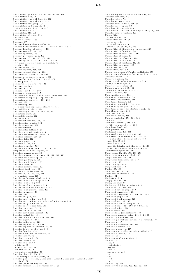Commutative group for the composition law, 156<br>
Commutative ring, 522<br>
Commutative ring with identity, 522<br>
Commutative ring with unity, 522<br>
Commutative semigroups, 92<br>
Commutative unit ring, 10, 64<br>
with no divisor of z Commutator, 315, 502<br>Commutator subgroup, 315 Comonad, 593 Comonad (cotriple), 593<br>Compact, 197<br>Compact boundaryless manifold, 547 Compact boundaryless manifold (closed manifold), 547<br>Compact houndaryless manifold (closed manifold), 547 Compact mvariant chaotor set, 132<br>
Compact manifold, 541, 547<br>
Compact polyhedral pair, 302<br>
Compact polyhedral pair, 302<br>
Compact set, 26, 197, 208, 209, 715<br>
Compact space, 26, 78, 208, 209, 223, 538<br>
by adjunction of a by adjunction of a point (at infinity),<br>
product, 224<br>
Compact subset, 197<br>
Compact support, 288, 668<br>
Compact support theorem, 288<br>
Compact-open topology, 209, 309<br>
Compact-open topology on  $X^Y$ , 309<br>
Compactification, Compactiness, 208<br>
Compactness, 208<br>
Compactum, 210<br>
Comparability, 21, 44, 579<br>
Comparabile distances, 217<br>
Comparison of Fourier and Laplace transforms, 663<br>
Comparison of topological spaces, 200<br>
Comparison of topologic Comparison of topologies, 199, 218<br>Compass, 129<br>Compass, 129 Compatibility, 414<br>
of a map with topological structures, 414<br>
Compatibility of charts, 414<br>
Compatibility of charts of an atlas, 432<br>
Compatible charts, 541<br>
Compatible charts, 542<br>
Compatible charts, 542 Complement, 8, 12, 13<br>Complement formula, 468, 477 Complement formula, 400, 4<br>Complementary angles, 162<br>Complementation, 9 Complemented lattice, 9, 23 Complete algebraic variety, 513<br>Complete axiomatic set theory, 13 Complete axiomatic set theory, 15<br>
Complete category, 305, 585<br>
Complete field, 322<br>
Complete lattice, 128<br>
Complete local ring, 569<br>
Complete metric space, 67, 215, 228, 230<br>
Complete metric space, 67, 215, 228, 230 Complete metric space, 67, 215, 228, 230<br>
complete normed linear space, 21<br>
Complete normed space, 21<br>
Complete normed space, 20<br>
Complete normed vector space, 21, 237, 241, 371<br>
Complete quadrangle, 158<br>
Complete quadrila Complete uniform space, 231<br>Completed local ring, 569<br>Completely regular space, 207<br>Completion, 78, 160, 215, 528<br>of a metric space, 229<br>Completion (abstract algebra), 528<br>Completion of a metric space, 229<br>Completion of a Completion of mothe space, 212<br>Completion of pre-Hilbert space, 242<br>Completion of uniform space, 231 Completion process, 78 Complex, 289<br>Complex analysis, 421 Complex analytic function, 548<br>
Complex analytic function, 548<br>
Complex analytic function (holomorphic function), 548<br>
Complex analytic funtion, 548 Complex analytic funtion, 548<br>
Complex analytic manifold, 540<br>
Complex conjugate, 71, 76<br>
Complex continuation, 421<br>
Complex curvilinear integral, 425<br>
Complex differentiability, 424, 548, 549<br>
Complex differentiability, 4 Complex Hahn-Banach theorem, 25 Complex infinity, 78<br>Complex line bundle, 561 Complex measure 442 Complex number, 69 addition, 69<br>calculation rules, 76 multiplication, 69 mutupleation, by<br>
normal representation, 76<br>
Complex plane, 71, 216, 717<br>
homeomorphic to the sphere, 78<br>
Complex plane (z-plane, Gauss plane, Argand-Gauss plane, Argand-Cauchy<br>
plane), 71<br>
Complex plane, 71 piane), *(1)*<br>Complex projective n-space, 299<br>Complex representation of Fourier series, 654

Complex representation of Fourier sum, 656 Complex sequence, 423<br>Complex sphere, 78 Complex structure, 433 Complex structure, 433<br>Complex vector bundle, 269, 561<br>Complex vector space, 20<br>Complex-differentiable, 549<br>Complex-differentiable (holomorphic, analytic), 549 Complex-valued function, 421<br>Composition Composition<br>of reflections, 153<br>Composition law, 29, 30  $\begin{array}{l} \text{composition}\ \text{law},\ \text{29},\ \text{30}\\ \text{associative},\ \text{30}\\ \text{external},\ \text{38},\ \text{43},\ \text{516}\\ \text{internal},\ \text{38},\ \text{39},\ \text{41},\ \text{42},\ \text{515}\\ \text{Comparison of differentiable functions},\ \text{330} \end{array}$ Composition of functions, 344<br>Composition of homotheties, 165 Composition of maps, 30<br>Composition of reflections, 153 Composition of relations, 29<br>Composition of relations, 41, 515 Composition operators, 493 Composition operators, 493<br>
Composition rule, 330<br>
Compositum, 162, 530<br>
Computation costs of Fourier coefficients, 656<br>
Computation of complex Fourier coefficients, 656 Computiplication, 312<br>Concave function, 312<br>Concave function, 677<br>Concentrated probability measure, 725 Concept of convergence, 38<br>Concept of correlation, 625<br>Concept of correlation, 625<br>Concrete category, 582, 584<br>Concrete Riemann surface, 432 Concurrent lines, 152 Condensation point, 195<br>Conditional distribution, 618<br>Conditional expectation, 618 Conditional forecast, 630 Conditional probability, 615, 618<br>Conditionally compact set, 375<br>Conditionally compact set, 375<br>Conditions of order (of identifiability), 642<br>Conditions of rank, 642<br>Cone, 184, 276, 601 Cone, 101, 210, 601<br>Cone construction, 288<br>Cone of revolution, 172, 184, 185 Cone over X, 276 Confidence interval, 616, 629 of the variance of error, 629<br>Confidence level, 616 Configuration, 156<br>Conformal map. 438, 482 Conformal map, 438, 482<br>Conformal mapping, 421, 438, 482<br>Conformal transformation, 421, 438, 482<br>Complex plane, Riemann sphere, 438<br>from  $C$  to  $C$ , 439 from  $\hat{C}$  to  $\hat{C}$ , 439 from the interior unit disk to itself, 439<br>of simply connected domain, 439, 440 or simply connected domain, 439<br>Congruence, 29, 143, 151, 161, 273<br>Congruence, 29, 143, 151, 161, 273<br>Congruence modulo an ideal, 143<br>Congruence theorems, 163 Congruence theorems, 163<br>Congruence transformation, 149<br>Congruent, 143<br>Congruent figures, 9<br>Congruent sets, 160 Congruent sets, 100<br>Conic, 185, 186<br>Conic section, 156, 185<br>Conic section directrix, 185<br>Conics, 184 Conics, 184<br>Conjecture, 2, 5<br>Conjugacy, 690, 723<br>Conjugacy class, 86<br>Conjugacy of diffeomorphisms, 690 Connugacy of diffeomorphisms, 690<br>Connected, 196, 538, 539<br>Connected acyclic graph, 260<br>Connected compact set, 214<br>Connected component, 203, 226, 262, 545 Connected component, 203, 226, 2<br>Connected graph, 260<br>Connected Hopf algebra, 320<br>Connected set, 195, 196<br>Connected sinplicial complex, 297 Connected sinplicial complex, 297<br>Connected space, 197, 202, 203, 225, 545<br>Connected subset, 203 Connectedness, 195 connectedness, 195<br>
Connectedness (connectivity), 539<br>
Connecting homomorphism, 291, 554, 560<br>
Connecting morphism, 597<br>
Connecting morphism (boundary morphism), 597<br>
Connection, 417 Connection, 417<br>Connection coefficient, 417, 418<br>Connection curvature, 417<br>Connection geodesic, 417 Connection on a differentiable manifold, 417 Connection torsion, 417 Connections<sub>1</sub> Connections, 1<br>Connections of propositions, 1 Connectives onnectives<br>and, 1<br>equivalent, 1<br>implies, 1 nand. 1  $non-equivalent, 1$  $nor 1$  $\frac{1}{\text{not}}$ , 1  $or. 1$  $\overline{\text{xor}}$ , 1 Connectivity, 196 Connectivity number, 256, 257, 261, 412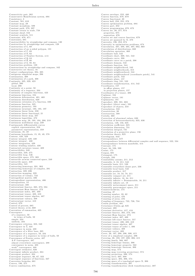Connectivity pair, 262<br>
Conservative Hamiltonian system, 694<br>
Consistency, 3<br>
Constant, 581, 610<br>
Constant map, 29<br>
Constant morphism, 599<br>
Constant path, 279, 297<br>
Constant teturn to scale, 758<br>
Constant tehor 552 Constant sheaf, 552<br>Constant symbols, 511<br>Constraint, 670, 671 Constraints, 681 Constraints, oo1<br>Constructibility by straightedge and compass, 130<br>Construction by straightedge and compass, 129<br>Construction of C, 69<br>Construction of an n-sided polygon, 131 Construction of  $\mathbb{C}$ , 69<br>Construction of  $\mathbb{N}$ , 62 Construction of Number System, xvii Construction of Number<br>Construction of  $\mathbb{R}$ , 66<br>Construction of  $\mathbb{Z}$ , 59, 64 Construction problem, 129<br>Construction by straightedge and compass, 162 Constructive set theory, 16 Contact configurations, 394, 395 Contiguous simplicial maps, 296 Continuation, 308<br>Continuation of a path, 308<br>Continuity, 325, 329, 423 global, 200<br>local, 200 Continuity at a point, 50<br>Continuity at a point, 50<br>Continuity of a sequence, 204<br>Continuity of complex functions, 423 Continuity of compiex tunctions, 423<br>Continuous bijection, 194<br>Continuous deformation, 401, 469<br>Continuous destribution, 620<br>Continuous extension of a function, 326 Continuous function, 325<br>Continuous geometry, 193 Continuous invariant, 193, 195, 197 Continuous Invariance, 199, 199,<br>Continuous linear form, 238<br>Continuous linear functional, 21 Continuous linear map, 237<br>Continuous logarithm, 472 Continuous ingeritum, 472<br>Continuous map, 50, 193, 194, 200, 219<br>Continuous multilinear map, 239<br>Continuously differentiable curves explicit representation, 358<br>parametric representation, 358<br>Continuum, 35, 49 Continuum, 35, 49<br>
Continuum hypothesis, 15, 35, 49, 578<br>
Contour, 428, 429<br>
Contour integral, 429, 430<br>
Contour integral , 430<br>
Contour integral , 430<br>
Contour integral , 429<br>
Contour integral , 429 Contour winding number, 430<br>Contracted curvature tensor, 409<br>Contractibility, 249 Contractibility, 249<br>Contractible, 249, 275<br>Contractible loop, 546<br>Contractible space, 275, 305 Contractile arcwise connected space, 249 Contractile space, 249 Contractility, 545<br>Contracting homotopy, 291, 303<br>Contracting homotopy of complex, 291 Contraction, 229, 696 Contraction, 229, 090<br>Contraction mapping, 229<br>Contragedient matrix, 406 Contragredient representation, 406 Contraposition, 54<br>Contravariant, 408<br>Contravariant functor, 265, 273, 594 Contravariant Hom functor, 273 Contravariant index, 407, 409<br>Contravariant tensor, 408, 410 Contravariant tensor algebra, 407 Contravariant valency, 408 Contravariant vector, 410<br>Control, 670 Control, 510<br>Control of process, 685<br>Control theory, xviii, 669<br>Convention of summation, 405 Convergence of a sequence, 50<br>in terms of balls, 50 simple, 234 uniform, 234 Convergence criterion, 323, 340 Convergence in  $\hat{\mathbb{C}}$ , 423 Convergence in norm, 488 Convergence of a filter base, 205 Convergence of a sequence, 50, 234<br>Convergence of a sequence in terms of balls, 50 Convergence of a sequence in terms of<br>Convergence of Fourier series, 487<br>A-P convergence, 487<br>almost everywhere convergence, 488 convergence in norm, 488<br>weak\* convergence, 488 Convergent estimator, 626 Convergent infinite product, 324<br>Convergent product, 324 Convergent sequence, 66, 67, 322<br>Convergent sequence, 66, 67, 322<br>Convergent sequence of functions, 327 Convex, 196, 275 Convex combination, 675

Convex envelope, 252, 480<br>Convex function, 678, 679<br>Convex functional, 20<br>Convex hull, 250, 255, 278 Convex nun, 200, 200, 210<br>Convex optimization problem, 684<br>Convex part, 252 Convex part, 252<br>Convex programming, 670, 673<br>Convex set, 26, 277, 674  $\tt{prop}$ erties, 675 .<br>separation. 676 Convex set and convex function, 679  $\begin{minipage}{.4\linewidth} Convexist graph, 278 & Convexity, 196, 252, 674 \\ \end{minipage}$ Convexity in optimization problems, 674<br>Convolution, 487, 488, 495, 497, 662, 668<br>Convolution of distributions, 668 Convolution of distributions, 668<br>Convolution operation, 460<br>Coordinate ball, 542<br>Coordinate chart, 269, 541, 542<br>Coordinate curve, 398<br>Coordinate curve on a patch, 398<br>Coordinate curve on a patch, 398<br>Coordinate function, Coordinate neighborhoods, 315 Coordinate neighbourhood, 544<br>Coordinate neighbourhood (coordinate patch), 541 Coordinate patch, 542<br>Coordinate plane, 157 Coordinate ring, 531, 532<br>Coordinate transformation, 414, 542<br>Coordinates, 157 in affine planes, 157 in projection planes, 157<br>Coordinates of a tensor, 406 Coordinates or a tensor, 400<br>Coplanar, 164<br>Coplanarity, 181<br>Coplanarity, 181<br>Coproduct, 299, 591, 603<br>Coproduct (direct sum), 591<br>Coproduct (direct sum), 591<br>Coproduct (direct sum), 591 Coresolution, 558<br>Corestriction, 30 Coretraction, 598<br>Coriolis, 360 Corroms, 500<br>Correction of abnormal values, 630<br>Correction of heteroscedasticity, 635, 636 Correlation, 149, 156, 625<br>Correlation coefficient, 625<br>Correlation dimension, 731<br>Correlation integral, 731 Correlation of a projective plane, 156<br>Correlation theory, 625 Correlogram, 643 Correspondence between differential complex and null sequence, 522, 534<br>Correspondence between manifolds, 414 Cosecant, 175<br>Coset, 84, 526, 599 Cosine, 175<br>Cospan, 601 Cotangent, 175<br>Cotriple, 593 Countability axioms, 211, 212<br>Countabile, 3, 18, 211, 542<br>Countable, 3, 18, 211, 542<br>Countable basis, 211, 539<br>Countable everywhere dense part, 236 Countable local basis, 543 Countable product, 217 Countable set, 18, 34, 78, 211<br>Countably compact set, 211 Countably infinite, 18, 34, 211<br>Countably infinite, 18, 34, 211<br>Countably infinite = Denumerable, 18, 211<br>Countably infinite set, 18<br>Countably metacompact space, 211 Countably paracompact space, 211<br>Counterclockwise, 175 Counting, 37<br>Counting number, 33, 62 Counting number, 33,<br>Counting of poles, 476<br>Counting of zeros, 476 Coupling of frequency, 722, 726, 734<br>Cousin problem, 481 Cousin problem,  $481$ <br>Covariant,  $408$ <br>Covariant,  $408$ <br>Covariant,  $408$ <br>Covariant derivative,  $417, 418$ <br>Covariant functor,  $265, 273, 594$ Covariant Hom functor, 273<br>Covariant index, 407, 409 Covariant linex, 407, 409<br>Covariant left-exact functor, 557<br>Covariant tensor, 406, 408, 410<br>Covariant tensor algebra, 407<br>Covariant tensor of order 1, 406<br>Covariant velency, 408<br>Covariant velency, 409 Covariant vector, 409<br>
Cover of a simplicial complex, 296<br>
Cover of a simplicial complex, 296<br>
Covering, 26, 193, 197, 208, 306, 415<br>
Covering family, 568, 607 Covering homotopy lemma, 306 Covering homotopy remma, 500<br>Covering homotopy property, 562<br>Covering homotopy theorem, 306 Covering map, 574<br>Covering map (covering projection), 574 Covering projection, 306, 574<br>Covering sieve, 607, 608<br>Covering sieve, 607, 608<br>Covering space, 204, 306, 574<br>Covering space of a topological space X, 306 Covering transformation, 307<br>Covering transformation, 307<br>Covering transformation (deck transformation), 307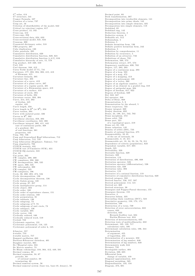$C^r$ -atlas, 414<br> $C^r$ -structure, 541 Cramer Formula, 107 Creation of a torus, 737 Crisp set, 16 Criterion of identifiability of the model, 642 Critical (or rejection) region, 617<br>Cross product, 13, 182  $Cross-cap, 412$  $Cross-caps, 256$ Cross-sectional data, 624, 633<br>Cross-sectional model, 631, 634 Crosscap, 300<br>Crosscap, 300<br>Crossword dictionary order, 518 CRS property, 207<br>Cube duplication, 130 Cubic parabola, 395<br>Cumulative distribution, 620<br>Cumulative distribution, 620, 620, 621 Cumulative distribution function (c.d.f), 616<br>Cumulative distribution function (c.d.f), 616<br>Cumulative hierarchy of sets, 15, 578<br>Cup product, 318-320, 550  $Curl, 316$ Curl theorem, 348, 412 Curry-Yorke model (C-Y), 741<br>Curry-Yorke model (C-Y), 741<br>Curvature, 177, 393, 394, 398, 415, 418<br>of Riemann, 415 Curvature formula, 395 Curvature line, 403 Curvature of a curve, 419 Curvature of a plane curve, 397<br>Curvature of a plane curve, 397 Curvature of a Riemannian space, 419 Curvature of a surface, 419<br>Curvature of circle, 394 Curvature of helix, 394 Curvature vector, 393, 394<br>Curve. 214, 215, 392 of Jordan, 445 regular. 445 Curve length, 358 Curve length in  $\mathbb{R}^3$  (or  $\mathbb{R}^2$ ), 358 Curve torsion, 394 Curve with isolated point, 336<br>Curves in  $\mathbb{R}^3$ , 392<br>Curvilinear abscissa, 359, 393 Curvilinear coordinates 343 398 Curvilinear integral, 360, 411, 445 case of continuous paths, 468<br>of a gradient, 361 of real functions, 361<br>properties, 445 Cusp, 702, 736<br>Cusp and Generalized Hopf bifurcations, 712 Cusp bifurcation, 712, 735<br>Cusp bifurcation (Bogdanov, Takens), 712 Cusp singularity, 702<br>CUSUM statistic, 631 CUSUM test (CUmulative SUM), 631<br>CUSUM-SQ statistic, 631 Cut, 65<br>
Cut, 65<br>
Cut point, 262<br>
CW complex, 298, 300<br>
CW complexes, 298, 300 CW decomposition, 300, 535<br>CW space, 300, 535 Cw space, 300, 333<br>CW subcomplex, 300<br>CW-complex, 535<br>CW-complexes, 196<br>Cycle, 86, 260, 285, 474, 534 Cyclic decomposition, 136<br>Cyclic decomposition theorem, 136 Cyclic Galois group, 128<br>Cyclic group, 87, 257 Cyclic multiplicative group, 114<br>Cyclic object, 303 Cyclic order, 160<br>Cyclic order of equivalence classes, 151 Cyclic order relation, 160<br>Cyclic permutation, 91 Cyclic subbasis, 136<br>Cyclic subgroup, 73 Cyclic subgroup, 10<br>Cyclic subgroup of T, 73<br>Cyclic subgroup of unit circle, 73 Cyclic subspace, 136<br>Cyclic variable, 695 Cyclic vector, 136 Cyclically ordered, 160 Cyclically reduced word, 519<br>Cycloid, 722 Cyclotomic equation, 131<br>Cyclotomic polynomial, 116, 125 Cyclotomic polynomial of order k, 125  $\delta$ -functor, 557 d-stable, 753<br>d-stable matrix, 757 Damped oscillation, 663<br>Darboux-Ribaucour thriedron, 401 Daughter wavelet, 665 De l'Hospital rules, 334<br>De Moivre number, 73 De Rham cohomology, 316, 364, 412, 449, 501<br>Decimal comma, 68<br>Decimal expansion, 34, 67 periodic, 68 of rational number, 68 terminating, 68 Decimal numeral system, 56 Decimal numeral system (base ten, base-10, denary), 56

 $\rm{Decimal\,\,point},\,\,68$ Deck transformation, 307 Decomposition into irreducible elements, 141 Decomposition into prime ideals, 142 Decomposition into simple elements, 335 Decompostion into simple elements, 118 Dedekind, 65<br>Dedekind ring, 142 Deduction theorem, 4<br>Deductive system, 3<br>Definable set, 512 Definiendum. 5 Definiens, 5 Definite hermitian form, 136 Definite positive hermitian form, 242 Definition, 5 Definition by comprehension, 11<br>Definition by recurrence, 5<br>Definition of an attractor, 733 Definitions of chaos. 732 Deformation, 569, 573 Deformation, 303, 313<br>Deformation retract, 277, 573<br>Degeneracy conditions, 699, 702<br>Degree, 117, 283, 293 Degree of a continuous map, 293 Degree of a loop, 503<br>Degree of a map, 472 Degree of a mapping, 413<br>Degree of a polynomial, 109 Degree of a vertex, 260<br>Degree of an algebraic number, 117<br>Degree of an element in a graded ring, 318 Degree of an element in a gr<br>Degree of antipodal map, 30<br>Degree of freedom, 617, 622<br>Degrees of freedom, 629  $304$ Del. 343, 347 Del operator, 348 Del operator, 348<br>Delta of Dirac, 668<br>Demonstration, 5, 6<br>Demonstration by the absurd, 5<br>Dence trajectory, 722 Dence trajectory, 722<br>Denjoy integral, 369<br>Denjoy theorem, 692<br>Dense, 24, 198, 211, 542, 702<br>Dense morphism, 572 Dense orbit, 709<br>Dense part, 221 of a topological space, 219<br>Dense set, 65, 198<br>Dense valuation, 145<br>Density of orbits (DO), 733 Density of rational function, 475 Denumerability, 33-35 of the set of rationals, 34<br>Denumerable, 3, 18, 211 Denumerable set, 18, 34, 53, 54, 78, 211<br>Dependence of criteria (population), 623<br>Dependent variable, 617, 685  $\frac{D \times p \times n \times m}{D \times p \times h}$ , 525 Derivability, 329 Derivable function, 329 Derivate, 329<br>Derivation, 114 Derivation, 114<br>Derivation of distributions, 496, 668<br>Derivation operator, 526<br>Derivation operator (differentiation), 526<br>Derivation rule, 329 Derivation rules, 392<br>Derivative, 119<br>Derivative, 119<br>Derivative of a rational fraction, 119<br>Derivative of cumulative distribution function, 620 Derivative of cumulative distribution<br>Derived category, 592<br>Derived functor, 556, 557, 597<br>Derived polynomial, 114, 121<br>Derived set, 369 Derived structure, 38<br>Desargues and Pappus-Pascal theorems, 155<br>Desargues theorem, 155<br>Descartes, 4 Descartes folium, 335<br>Descending chain condition (DCC), 523 Descriptive geometry, 150, 173, 174<br>Destination, 598 Destruction of a torus, 739<br>Detection of error autocorrelation, 633 causes, 633<br>detection, 633 Breusch-Godfrey test, 634<br>Durbin-Watson test, 634 Detection of heteroscedasticity, 635<br>Detection tests of multicollinearity, 632 Determinant, 105, 133, 717 calculation rules. 106 Determinant calculation rules, 106, 344<br>Determination of argument, 455 of logarithm, 455 otermination of a measure, 350<br>Determination of a measure, 646<br>Determination of lag numbers, 640 Deterministic walk, 644 Devaney, 732 Developable surface, 404<br>Deviation, 230, 685<br>Differential form change of variable, 410 Diagonal approximation, 319<br>Diagonal morphism, 565 Diagonalization, 133, 134 Diagram, 273, 601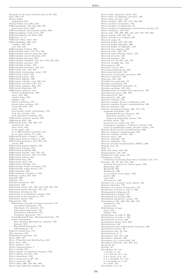$\begin{tabular}{l} Diagram of the pure rotation and its lift, 692 \\ Dice, 259, 615 \\ Dickey-Fuller \end{tabular}$ augmented, 644 augmented, 644<br>Dickey-Fuller test (DF), 644<br>Diffeomorphism, 542, 546, 686, 691<br>hyperbolic linear, 692<br>Diffeomorphism and periodic points, 692 Diffeomorphism of the circle, 687<br>Diffeomorphisms and flows, 686 Difference, 8, 11<br>Difference filter order, 644 Differentiability, 329, 342<br>
complex, 424, 549<br>
real, 424, 549<br>
Differentiable 2-chain, 506 Differentiable atlas, 414, 415, 542<br>Differentiable atlas, 414, 415, 542<br>Differentiable concave function, 678<br>Differentiable convex function, 678<br>Differentiable function, 329<br>Differentiable manifold, 414, 415, 513, 540, 697 Differentiable p-form, 410<br>Differentiable p-form, 410<br>Differential, 331, 410, 555 Differential (coboundary map), 555<br>Differential 1-form, 443 Differential 1-form, 443<br>
Differential 2-form, 449<br>
Differential algebra, 526<br>
Differential calculus, xvii, 328, 341<br>
Differential calculus in  $\mathbb{R}^n$ , 341<br>
Differential complex, 522, 534<br>
Differential complex, 522, 53 Differential Equation, 377 Differential equation, xvii<br>(linear) homogeneous, 382 exact, 379, 380 explicit form, 378<br>implicit, 381 initial conditions, 378 initial-value problem, 378<br>of second order, 381 order. 378 structurally stable (robustness), 723 with one variable, 378<br>with separated variables, 379<br>Differential equation system, 383 Differential equation system, 3<br>Differential field, 526<br>Differential form, 316, 409, 410<br>closed form, 448 exact form,  $448$ <br>in the plane,  $448$ on a differentiable manifold, 410<br>on an open subset of  $\mathbb{C}$ , 498<br>Differential form of degee 1, 443 Differential forms of degree 2, 449 Differential geometry, xvii, 392, 415  $curves, 392$ curves, 392<br>Differential graded algebra, 527<br>Differential k-forms, 138<br>Differential manifold, 686 Differential manifold, 686<br>
Differential module, 522, 523, 527<br>
Differential operator, 374, 415, 668<br>
Differential p-form, 316<br>
Differential ring, 526<br>
Differential sheaf, 553<br>
Differential sheaf, 553<br>
Therential sheaf, 55 Differential topology, 415<br>Differentially stable (d-stable), 753<br>Differentially stable matrix, 757 Differentiation, 708 Differentiation, 100<br>Differentiation of degree n, 289<br>Diffusion model, 637, 638 Digraph, 600 Dilation, 165 Dilation parameter, 666<br>Dimension, 294 Dimension, 287, 302, 312, 549, 553, 597 Dimension axiom, 287, 302, 312, 549, 5<br>Dimension axiom theorem, 312, 317<br>Dimension invariance, 212<br>Dimension of a simplicial complex, 294<br>Dimension of the measure  $\mu$ , 731<br>Dimension theory, 212 Dimensions, 730<br>Dimensions through invariant measures, 731 correlation dimension, 731 dimension of a measure, 731 generalized dimension, 731<br>information dimension, 731 Lyapunov dimension, 731<br>Local Hausdorff dim. (Douady-Oesterlé), 731 metric dimensions Box-counting dimension or capacity, 730 fractals 730 Haussdorff dimension, 730 self-similarity, 731<br>Dimetric projection, 174 Dini theorem, 234<br>Diophantine equation, 144 Dirac, 668, 727<br>Dirac  $\delta$  function and distribution, 659 Dirac mass. 496 Dirac measure, 725 Direct demonstration, 5 Direct family, 535 Direct family (of algebraic systems), 536<br>Direct family (of sets), 535 Direct homothety, 165 Direct isometries in  $\mathbb{R}^3$ , 164 Direct isometry, 160 Direct isometry, 160<br>Direct limit, 266, 536, 601, 602<br>Direct limit (filtered colimit), 591

Direct limit (inductive limit), 601<br>Direct limit (of algebraic systems), 536<br>Direct limit (of sets), 535<br>Direct product, 266, 375, 519, 524, 602<br>Direct product of modules, 102<br>Direct product of subgroups, 89<br>Direct product Directed angle, 75<br>Directed angle, 75<br>Directed graph, 259, 582, 600<br>Directed graph (digraph), 600<br>Directed graph (or digraph), 259<br>Directed line segment, 150 Directed order, 205, 579<br>Directed order (filtrant order), 579 Directed order (filtrant order),<br>Directed preorder, 535<br>Directed segment, 150<br>Directed set, 23, 205, 535, 579<br>Directed straight-line, 150 Directedness, 259<br>Direction curves. 404 Direction curves, 404<br>Directional blowing-up, 702<br>Directional derivate, 342 Directions of principal curvature, 403 Directly congruent, 160<br>Directrix, 185, 186 Dirichlet box principle, 53<br>Dirichlet conditions, 655<br>Dirichlet Pigeonhole principle, 53 Dirichlet Pigeonnoue principle, 55<br>Dirichlet problem, 487, 492<br>Disappearance of saddle-node separatrix, 738<br>Disconnected space, 202, 203 Disconnectivity, 203 Discontinuity, 194, 326 Discrete category, 582<br>Discrete complex Fourier coefficients, 656 Discrete complex Fourier transformation, 656 Discrete distance, 220 Discrete dynamical system, 686, 715, 723 invariant manifolds, 723 Hadamard-Perron theorem, 723 separatrix surfaces, 723 transverse homoclinic points, 723 periodic orbits, 723 properties of  $\omega$ -limit set, 723<br>topological conjugacy of discrete systems, 723 types of equilibrium points (Steady states), 723<br>Discrete Haar wavelet transformation, 666 Discrete Haar wavelet transformation<br>Discrete Laplace transformation, 664<br>Discrete random variable, 620 Discrete space, 226<br>Discrete topology, 198 Discrete valuation, 145<br>Discrete wavelet transformation (DWT), 666<br>Disjoint sets, 26 Disjoint sets, 20<br>Disk, 71<br>Disk with holes, 450, 452 Displacement, 158, 186 Dissipative baker map, 732<br>Dissipative system Disspative system<br>transitions stemming from linear stability loss, 718<br>Distance, 66, 76, 184, 219, 220<br>between two parts of a metric space, 220<br>Hamming, 220<br>Hausdorff, 220<br>Minkowski, 220 on a normed vector space, 220<br>p-adic, 220  $semi, 220$ ultra-metric, 220 Distance (in a normed vector space), 237<br>Distance function, 727 Distance on a space of functions, 217<br>Distinction between  $\varepsilon_t$  and  $e_t$ , 628 Distinguished subgroup, 88<br>Distinguished triangle, 591 Distributed lag models, 639<br>Distributed parameter system, 739 Distribution, 391, 496, 659, 668, 726<br>leptokurtic, 644 normal, 644 Distribution of lags finite, 640<br>infinite, 640 Distribution of order 0, 496<br>Distribution of order 1, 496 Distribution of zeros, 463<br>Distribution theory, 654, 668 Distributions, 616 Distributions, 310<br>Distributions and subharmonic functions, 492 Distributions and subhar<br>Distributive lattice, 23<br>Distributive law, 42, 516 Distributive law, 42, 516<br>Distributivity, 8, 9<br>Divergence, 316, 347, 348<br>Divergence, 316, 347, 348<br>Divergence theorem, 348, 364, 412<br>Divergence theorem, 348, 364, 412 Dividend, 64 Divides, 95 Divides, 33<br>Divisibility, 55, 141<br>a divides b, 141<br>a is a divisor of b, 141 a is a divisor of b, 141<br>a is a factor of b, 141<br>b is a multiple of a, 141<br>b is divisible by a, 141  $\frac{1}{2}$  in a field, 145<br>Divisibility in N, 55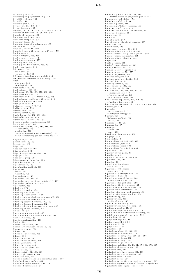Divisibility in  $\mathbb{Z},\;55$ Divisibility in polynomial ring, 120<br>Divisibility theory, 145<br>Divisible, 141 Divisible, 141<br>
Divisible group, 317<br>
Divisor, 64, 141, 146, 147<br>
Divisor function, 435<br>
Domain, 14, 29, 30, 38, 93, 422, 502, 512, 519<br>
Domain, 14, 29, 30, 38, 93, 422, 502, 512, 519 Domain of definition, 29, 38, 119, 519<br>Domain of variation, 581 Dominant coefficient, 109<br>
Dominant coefficient, 109<br>
Dominant term, 109<br>
Dominant term, 109<br>
Dominant term of a polynomial, 109<br>
Dominant term of a polynomial, 109<br>
Dot product, 21, 182<br>
Douady-Oesterlé theorem, 731<br>
The Douady-Oesterlé theorem (for diff. eq.), 731 Douady-Oesterlé theorem (for diff.<br>
Double cone, 311<br>
Double integral, 355, 356<br>
Double integral, 355, 356<br>
Double angle formula, 177<br>
Doubling the cube, 75<br>
Doubly periodic function, 436, 437<br>
Doubly stochastic, 616<br>
Napo DS process, 644<br>with drift, 644 without drift, 644<br>DS process (random walk model), 644<br>DS processes (Difference Stationary), 644  $Dual$ algebraic, 238 topological, 238<br>Dual basis, 238, 405 Dual basis, 238, 409<br>
Dual category, 583, 584<br>
Dual space, 19, 21, 139, 370, 405, 408<br>
Dual space functor, 273<br>
Dual space of  $V(V^{\pm}HM(W, k))$ , 408<br>
Dual universal coefficients theorem, 318<br>
Dual vector space, 105, 405<br>
Dual Duality principle, 671<br>Duffing attractor, 709, 710 Duning attractor, 709, 710<br>Duning system, 710<br>Duning variable, 630<br>Dupin indicatrix, 403, 419, 420 Durbin-Watson test, 639<br>Durbin-Watson test (DW), 634 Dyadic wavelet transformation, 666<br>Dynamical model, 648 Dynamical system, xviii, 684, 686, 714<br>
conservative, 715<br>
dissipative, 715 volume-contracting (or dissipative), 715 volume-preserving (or conservative), 715 E-cyclic object, 303 E-cyche object, 505<br>ε-neighborhood, 199 Eccentricity, 185  $Edge, 258$ Edge connectivity, 262<br>Edge number, 263 Edge number, 263<br>
Edge of simplicial complex, 297<br>
Edge path, 297<br>
Edge path group, 297<br>
Edge-preserving bijection, 258<br>
Eigen-decomposition, 133<br>
Eigendirection, 189<br>
Eigendirection, 189<br>
Eigendirection, 189 Eigenfunction method, 390 Eigenspace<br>stable, 708<br>unstable, 708 Eigensubspace, 133<br>Eigenvalue, 133, 385, 722 Eigenvalue analysis of the matrix  $e^{TR}$ , 717 Eigenvalue analysis of the mail<br>Eigenvector, 385<br>Eilenberg, 575<br>Eilenberg, 575<br>Eilenberg criterion, 474<br>Eilenberg-Mac Lane, 576 Ellenberg-Mac Lane, 576<br>Ellenberg-Moore algebras, 594<br>Ellenberg-Moore algebras (of a monad), 594<br>Ellenberg-Moore category, 594<br>Ellenberg-Steenrod axioms, 549, 553 Eilenberg-Steenrod theorem, 302<br>Eilenberg-Steenrod theorem extension, 302 Eilenberg-Zilber theorem, 305<br>Einheit, 42, 515 Einstein summation, 343, 405<br>Einstein summation, 343, 405<br>Einstein summation convention, 405, 407 Eisenstein series, 435<br>Elastic transformation, 193 Elation 156 Elementary *i*-chain, 504<br>Elementary *i*-chain, 504<br>Elementary symmetric function, 113<br>Elementary topos, 608 Ellipse, 185<br>Ellipse circumference, 358 Elliptic, 158<br>Elliptic function, 436 Elliptic function order, 436<br>Elliptic geometry, 179<br>Elliptic invariant, 435 Elliptic metric plane, 154 Elliptic plane, 152<br>Elliptic point, 402, 403, 419 Elliptic right triangle, 180<br>
Elliptic right triangle, 180<br>
Elliptic umbilic, 403<br>
Embedded hypersurface, 544<br>
Embedded hypersurface, 544 Embedded  $m$ -dimensional tori. 720 Embedded submanifold, 544

Embedding, 66, 416, 520, 544, 594 Embedding, 66, 416, 520, 544, 594<br>of metric planes in projective planes, 157<br>Embedding (imbedding), 544<br>Embedding of Q in R, 66<br>Embedding space, 416<br>Embedding Whitney theorem, 416<br>Empirical coefficient, 625<br>Empirical esti Empirical t-student, 625 Empty map, 30<br>Empty set, 7 End of a path, 279 End of a path, 219<br>End of edge of simplicial complex, 297<br>Endoarrow, 600<br>Endofunctor, 593<br>Endogenous variable, 625, 626 Endomorphism, 33, 134, 520, 598<br>Endomorphism, 33, 134, 520, 598<br>Endomorphism (of algebraic system), 520<br>Endomorphism eigenvector, 189 Endomorphism reduction, 134  $Engle, 648$ Engle-Granger, 649<br>Engle-Granger algorithm, 648<br>Enough *H*-injectives, 555 Enough  $\mathcal{H}$ -injectives, 555<br>Enough injective objects, 555<br>Enough injectives, 555–557<br>Enough projectives, 555–557<br>Enough projectives, 556<br>Enriched category, identity, 588<br>Enriched category identity, 588<br>Enriched functor Entire series, 132, 328, 428, 453, 457<br>
convergence sets, 440<br>
convergence sets, 440 of several variables, 440<br>with nonnull radius, 333 Entire series expansion, 421, 426, 457<br>of rational function, 426 Entire series expansion of circular functions, 337 Entourages, 230 Entropies metric entropy, 727 topological entropy, 727<br>Entropy, 727 Kolmogorov-Sinai, 727<br>metric, 727 Enumerable, 18, 211<br>Enumeration, 37 Envelope<br>convex, 480  $\begin{array}{c} \text{upper, } 230 \\ \text{Envelope of holomorphy, } 480 \end{array}$ Epigraph, 349<br>Epimenides, 13 Epimorphism, 38, 520, 598, 599<br>Epimorphism, 38, 520, 598, 599<br>Epimorphism (epi), 264<br>Epimorphism (epic), 598<br>Epimorphism (or epi), 598, 606<br>Equality of two pairs, 27<br>Equality ign, 3<br>Equality test of variances, 636<br>Equality Equality test of variance<br>Equalizer, 305, 604<br>Equation, 106<br>Equation of 3rd degree<br>resolution, 128 resourcion, 120<br>Equation of 4th degree<br>resolution, 129<br>Equation of a straight line, 157<br>Equation of line, 183 Equation of second degree, 186<br>in two coordinates, 186 Equation of tangent plane, 399<br>Equation of the first degree, 157 Equation solvable by radicals, 129<br>Equation with determinant, 184 Equation with point and normal, 184<br>Equation with vector product, 184 Equicontinuity, 235<br>Equicontinuous, 235 family of maps, 235<br>Equicontinuous family, 235 Equicontinuous family of maps, 235<br>Equidecomposable, 17, 18<br>Equidecomposable, 17, 18<br>Equilateral hyperbolic function, 178<br>Equilibrium in a distribution economy, 677 Equilibrium point of type (m,k), 719<br>Equipollent, 29, 33 Equipollent bipoints, 161 Equipotence, 33, 34, 36<br>Equipotent, 29, 33 Equipotent set, 34 Equivalence, 594<br>Equivalence class, 28, 201, 276 Equivalence in a category, 273<br>Equivalence of categories, 266, 594, 596 Equivalence of flows, 692 Equivalence of loops, 445<br>Equivalence of paths, 445 Equivalence of paths, 445<br>Equivalence relation, 18, 28, 64, 67, 201, 276, 415<br>Equivalent absolute values, 145 Equivalent arcs,  $414\,$ Equivalent covering spaces, 307, 309<br>Equivalent generating system, 200 Equivalent local families, 711 Equivalent norms, 237<br>Equivalent norms (in a normed vector space), 237 Equivalent representations of Fourier integrals, 661<br>Equivalent representations of Fourier integrals, 661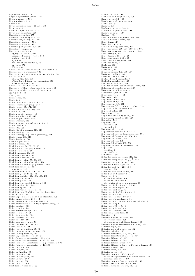Equivariant map, 740<br>Ergodic dynamical system, 725<br>Ergodic measure, 725<br>Ergodic theory, 725 Error, 626<br>Error correction model (ECM), 648 Error  $\varepsilon_t$ , 626<br>Error of approximation, 332 Error of specification, 626<br>Essential extension, 555 Essential monomorphism, 555 Essential singularity, 421, 464<br>Essential submodule, 555<br>Essential supremum, 391 Essentially surjective, 594, 595<br>Essentially unique, 57 Estimation method of d<br>
aggregate variance, 652<br>
aggregated absolute value, 652<br>
periodogram, 652 R/S, 652<br>variance of the residuals, 652 wavelets, 652<br>Whittle, 652 Estimation methods of nonlinear models, 638<br>Estimation of parameters, 626<br>Estimation procedures for error correlation, 634<br>Estimator, 626 BLUE, 629, 634, 635<br>of fractional integration parameter, 652 of Hurst exponent, 652<br>Estimator of coefficients, 626 Estimator of Generalized Least Squares, 633<br>Estimator of the variance of the error, 627  $\mathrm{Ét}(X), 568, 569$  $Et/X$ , 569 Etalé space, 610  $E$ tale,  $568$ Etale cohomology, 568, 570, 571 Etale cohomology group, 570<br>Etale cover, 567, 571, 610<br>Etale fundamental group, 568 Etale map, 568<br>Etale map of schemes, 610 Etale morphism, 568, 569<br>Etale neighborhood, 568 Etale presheaf, 610 Etale presheaf on a scheme, 610, 611<br>Etale sheaf, 610 Etale site, 568 Etale site of a scheme,  $610, 611$ Etale topology, 568<br>Etale topology (algebraic geometry), 568<br>Etale topos, 568, 610 Etale X-scheme, 568<br>Euclid algorithm, 58, 111<br>Euclid axioms, 149<br>Euclid lemma, 56, 57, 60, 95<br>Euclid lemma (for polynomials), 111<br>Euclid lemma in Z, 60<br>Euclidean algorithm, 142 Euclidean distance, 220<br>Euclidean division, 55, 59, 109<br>Euclidean division algorithm, 110<br>Euclidean division of polynomials, 109 Euclidean function, 142<br>monotone, 142<br>Euclidean geometry, 149, 150, 160<br>Euclidean group E(n), 163<br>Euclidean metric, 153, 193, 199, 409<br>Euclidean moves, 163<br>Euclidean plane, 154<br>Euclidean polynomial division, 120 Euclidean ring, 142, 143<br>Euclidean space, 211<br>Euclidean transformation, 161 Euclidean/non-Euclidean metric plane, 153 Euler affinity, 169 Euler approximation of Duffing attractor, 709 Euler characteristic, 296, 413<br>Euler characteristic (of a genus), 412 Euler characteristic (of a topological space), 412 Euler constant, 338 Euler criterion 144 Euler differential equation, 373 Euler formula, 76, 296<br>Euler formulas, 74, 654 Euler function, 143, 338<br>Euler line, 166, 167 Euler product formula, 58<br>Euler theorem, 96, 167, 403<br>Euler totient, 57, 96<br>Euler totient function, 57, 96 Euler's displacement theorem, 186 Euler-Cauchy method, 387 Euler-Lagrange theorem, 83, 84<br>Euler-Poincaré characteristic, 296, 413<br>Euler-Poincaré characteristic of (X,E), 301 Euler-Poincaré characteristic of a polyhedron, 296<br>Euler-Poincaré characteristic of K, 296 Eulerian chain, 260<br>Eulerian cycle, 260 Eulerian function, 651<br>Eulerian graph, 260 Eulerian multiplier, 379 Eulerian path, 260<br>Eulerian trail, 260 Eulerian walk, 260

Euclidean division in Z, 59

E valuation map,  $309$ Even and odd polynomials, 109<br>Even polynomial, 109 Evenly covered open set, 306<br>Event, 615, 618<br>Evolute, 397 Evolute of a curve, 396, 397<br>Evolute of a plane curve, 398<br>Evolute of an arc, 397<br>Evolvent, 396 Exact differential equation, 379, 380 Exact differential form, 380 Exact form, 448<br>Exact functor, 595 Exact homology sequence, 291<br>Exact sequence, 290, 313, 509, 554, 605 Exact sequence (acyclic complex), 290<br>Exact triangle, 291<br>Exact triangle theorem, 291<br>Exactness axiom, 302, 553 Exactness of a sequence, 290<br>Exchange rules, 3<br>Excision, 292<br>Excision 1, 292<br>Excision 2, 292<br>Excision axiom, 302, 553, 597 Excision corollary, 301<br>Excision theorem, 296, 317 Excluded third principle, 2<br>Exclusion restrictions, 642<br>Exhaustion sequence, 458<br>Exhaustion sequence of compact sets, 458 Existence of covering space, 308<br>Existence of null element, 9 Existential quantifier, 10<br>Exogenous variable, 625<br>Expansion, 696 Expansion of  $1/\Gamma$ , 468 Expansion of  $1/\zeta, \, 467$ <br>Expectation,  $616,\, 621$ Expectation (of a random variable), 616<br>Expectation of the error, 626<br>Expected value, 616 Expected value, Explained variability (SSE), 627 Explanatory variable, 617, 626<br>Explosion, 746<br>Exponent, 68 irrational, 68<br>| rational, 68<br>Exponential, 72, 336<br>Exponential absolute value, 145 Exponential Fourier transformation, 661<br>Exponential function, 72, 336, 454 Exponential functor, 608<br>Exponential law, 309<br>Exponential object, 580, 586<br>Exponential series of matrices, 384 Expression<br>identical, 2 satisfiable, 2<br>Ext functor, 558<br>Extended complex plane, 421, 422 Extended complex plane  $(\widehat{\mathbb{C}}, \widehat{d}),$  422 Extended complex plane C, 421 Extended Euclid algorithm, 112 Extended real line, 223, 422 compact, 223 Extended real number line, 217<br>Extending by linearity, 285 E x ten sion, 5 7 3 o f ab solu te valu es, 1 4 6 of natural numbers, 64<br>of semiring of natural numbers, 63<br>Extension field, 65, 69, 122, 531<br>Extension field degree, 122 Extension field of Q, 65<br>Extension field of R, 65, 69, 422<br>Extension of a field, 122 Extension of a map, 29, 573 Extension of a semigroup, 91<br>Extension of first-order predicate calculus, 3 Extension of Q, 67<br>Extension of Q to R, 65<br>Extension of R to C, 65 Extension theorem, 228 Extensional definition, 11 Exterior, 214<br>Exterior algebra, 137–139, 318<br>of a vector space, 139 of alternating multilinear forms, 139<br>Exterior algebra (Grassmann algebra), 137<br>Exterior angle, 162<br>Exterior calculus, 138<br>Exterior calculus, 138 Exterior derivative, 316, 364, 450 Exterior derivative of a 1-form, 450<br>Exterior differential, 410<br>Exterior differential form, 138 Exterior differentiation, 410<br>Exterior differentiation of differential forms, 138 Exterior point, 195, 198<br>Exterior point, 195, 198<br>Exterior power, 316<br>of two antisymmetric multilinear<br>of two antisymmetric multilinear forms, 138<br>universal properties, 140 Exterior product (wedge product), 139<br>External center of similitude, 166<br>External composition law, 43, 516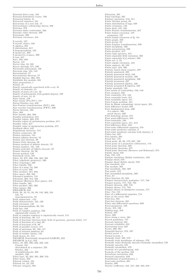External direct sum, 524<br>External homothetic center, 166 Extracted family, 31<br>Extracted sequence, 221 Extracted sequence, 221<br>Extraction of a root nth, 77<br>Extraordinary cohomology theory, 302 Extrema, 373<br>Extrema under constraints, 346 Extreme value theorem, 209<br>Extremum, 209 Extrinsic curvature, 418 F-acyclic, 557<br>F-acyclic object, 556  $F$ -algebra, 594 F-aigebra, 594<br>F-distribution, 617<br>F-homomorphism, 521 F-model set, 303<br>F-projective n-space, 299<br>F-test, 617 Face, 294, 303 Factor, 141<br>Factor ring, 43, 526 ractor ring, 43, 320<br>Factor hrough, 571, 586<br>Factorable polynomial, 120<br>Factorial ring, 124, 142<br>Factorization, 57<br>Factorization theorem, 57 Faithful functor, 266, 594<br>Faithfully flat module, 565 Faithfully flat module, 565<br>False proposition, 1<br>Family signalism<br>Family signalism<br>Family defenents, 31<br>Family of persons of a set, 32<br>Family of parts of a set, 32<br>Family of polynomials with graded degrees, 109<br>Family of s Fair all user test, 002<br>Fast Fourier transformation (FFT), 656<br>Fast wavelet transformation (FWT), 666 Fast wavelet transformation  $(\mathbf{r} \mathbf{w} \mathbf{1})$ , 000<br>Fatou theorem, 488<br>Fber, 268<br>Fber, 268<br>Feasible polyhedron, 671<br>Feasible region of 09, 670<br>Feasible region of optimization problem, 671<br>Feasible region of optimization Feasible region of optimization problem, 67<br>Feasible value, 671<br>Feasible value of optimization problem, 671 Feedback effect. 647 Feigenbaum attractor, 715 Fermat conjecture, 96<br>Fermat equation, 144 Fermat infinite descent. 52 Fermat last theorem, 96 Fermat little theorem, 96<br>Fermat method of infinite descent, 52 Fermat mumber, 131, 148<br>Fermat number, 131, 148<br>Fermat principle of infinite descent, 52<br>Fermat theorem, 93, 96<br>Ferrari method, 129 Feuerbach circle, 167<br>Fiber, 53, 275, 306, 520, 560, 569 Fiber (algebraic geometry), 560<br>Fiber (algebraic geometry), 560<br>Fiber (topology), 560<br>Fiber bundle, 562 Fiber bundle, 562<br>Fiber of a map, 53, 560<br>Fiber of cover, 306<br>Fiber product, 314, 604<br>Fiber space, 268, 562 Fibonacci numbers, 741<br>Fibonacci numbers, 741<br>Fibration, 268, 314, 562<br>Fibration (Hurewicz fiber space), 314 Fibre bundle, 562<br>Fibre product, 265, 266<br>Fibre square, 266 FIEGARCH, 652<br>Field, 38, 43, 81, 92, 98, 143, 360, 516<br>left, 79 noncommutative, 79 Field adjunction, 122<br>Field characteristic, 125, 126 Field extension, 122<br>Field homomorphism, 99, 521 Field line, 348<br>Field of complex numbers, 422 algebraically closed, 77<br>Field of complex numbers is algebraically closed, 115 Field of fractions, 99, 117<br>Field of fractions, 99, 117<br>Field of fractions, 99, 117<br>Field of fractions (fraction field, field of quotients, quotient field), 117<br>Field of fractions of a ring, 98<br>Field of fractions of R, 98 Field of parallel vectors, 417<br>Field of quotients, 99, 100, 117<br>Field of rational numbers, 64 Field of residue classes, 145 Field theory, 81, 514<br>FIGARCH (fractionally integrated GARCH), 652<br>FIGARCH (fractionally integrated GARCH), 652<br>FIGARCH (p.d., 905, 208, 222, 223, 543<br>Cauchy, 231<br>determined by a sequence, 231<br>Exéchet 292 Fréchet. 222 of neighborhoods, 222 smallest, 222<br>Filter base, 22, 204, 205, 209, 543<br>Filter bases, 222 Filtered colimit, 591 Filtered set, 23, 535 Filtrant category, 589

Filtration, 301<br>Final topology, 201<br>Finitary operation, 510, 511<br>Finite Abelian group, 89<br>Finite distribution of lags, 640<br>Finite distribution of lags, 640<br>Finite Feolier transformation, 657<br>Finite Fourier transformation, Finite Fourier transformation, 657<br>
Finite Galois extension, 127<br>
properties, 127<br>
Finite Galois extension of Q, 131<br>
Finite graph, 259<br>
Finite graph, 259<br>
Finite Laplace transformation, 656<br>
Finite Laplace transformation, Finite morphism, 566<br>Finite presentation, 569 Finite presentation, 569<br>Finite rank operator, 375<br>Finite rank operator, 375<br>Finite separable field extension, 569<br>Finite separable k(y)-scheme, 569<br>Finite set, 5, 53<br>Finite set, 5, 53 Finite separation  $K(y)$ -scheme, 309<br>Finite set, 5, 53<br>Finite support, 40, 108<br>Finite support, 40, 108<br>Finite support, 40, 108<br>Finitely based chain complex, 297<br>Finitely generated (295<br>Finitely generated docal, 529<br>Finitel First difference model, 635 First fundamental form, 400 of a sphere, 400 patch theory, 400<br>First homology group, 475 First quasi-differences, 634<br>First-countable, 538 First-countable space, 211, 212<br>First-difference filter, 644<br>First-difference filter, 644<br>First-order differential equation, 378<br>First-order predicate calculus, 2<br>First-order predicate calculus with identity, 3<br>Field law, Five lemma, 291<br>Fixed line, 173 Fixed point, 30, 86, 173, 687, 730<br>Fixed point of a projective collineation, 173 Fixed point of a projective collineation, 173<br>Fixed point theorem, 229<br>Fixed-point theorems, 677<br>Fixed-point theorems, 677<br>Fixed-point theorems (Brouwer and Kakutani), 674<br>Flabby sheaf, 559 Flag, 150, 159<br>Flasque resolution (flabby resolution), 559 Flasque sheaf, 559<br>Flasque sheaf (flabby sheaf), 559 Flat manifold, 418<br>Flat module, 565 Flat morphism, 565, 569 Flat point, 419 Flat unramified morphism, 569<br>Floor, 61 Floor, 01<br>Floor function, 61, 624<br>Floquet characteristic multiplier, 717, 746<br>Floquet matrix, 717, 722, 734<br>Floquet theorem, 699, 716 Floquet theory, 717, 734<br>Floquet theory, 717, 734<br>Floquet theory in dissipative systems, 717<br>Flow, 714, 715<br>Flow of a differential equation, 714 Flow of a differential equation, 114<br>Flow on the torus, 693<br>Flow-box, 691<br>Flow-box theorem, 691<br>Flows and differential equations, 689 Flows and differential<br>Focus, 185, 186<br>Folding map, 310<br>Folium, 335 Force, 360<br>Force along a curve, 361 Forced pendulum, 747<br>Forecast interval, 631 Forecast reliability, 631 Forecasting error, 627<br>Forest, 260, 261<br>Forgetful functor, 273, 597 Formal proof, 4<br>Formal system, 4 Formally étale, 569, 570<br>
Formally étale, 569, 570<br>
Formally étale morphisms of schemes, 570<br>
Formally étale=Formally smooth+Formally unramified, 570<br>
Formally smooth, 570<br>
Formally unramified, 570<br>
Formally unramified, 57 Formula of a parallelogram, 242<br>Formula of the median, 242<br>Formula of the median, 242<br>Fortuitous correlation, 625 Forward regression, 633 Foundations of mathematics, 1 Four-color problem, 261 Fourier, 389<br>Fourier coefficient, 442, 457, 460, 493, 653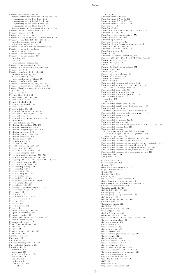Fourier coefficients, 244, 656 determination for symmetric functions, 655<br>symmetry of the first kind, 655<br>symmetry of the fourth kind, 655 symmetry of the second kind, 655<br>symmetry of the third kind, 655<br>determination with numerical methods, 655<br>Fourier cosine transformation, 657, 661 Fourier expansion, 654<br>Fourier integral, 477, 661<br>Fourier integral in complex representation, 661<br>Fourier series, 435, 436, 487, 653, 654 complex representation, 654 important properties, 654<br>Fourier series and Fourier integrals, 655<br>Fourier series and transform usual writings,  $6\sqrt{54}$ Fourier series convergence, 653<br>Fourier series expansion, 457 complex, 436 real, 436 three different forms, 655 Fourier series integration, 653<br>Fourier sine transformation, 657, 661 Fourier sum, 654<br>Fourier transform, 390, 653, 654 continuous writing, 654 discrete writing, 654<br>three continuous writings, 654<br>Fourier transformation, 495, 657, 661<br>Fourier transformation (definition), 661<br>Fourier transformation (definition), 661 Fourier-Plancherel transformation, 654 Fppf cover, 567<br>Fpqc cover, 567 Fréchet filter, 222, 543<br>Frénet basis, 394, 397, 398 Frénet formulas, 394, 397<br>Frénet trihedral, 394 Fractal dim en sion al, 7 3 0 Fractals, 730<br>Fraction field, 99, 117 Fractional Brownian motion, 651 Fractional Gaussian process, 651<br>Fractional ideal, 146 Fractional integration parameter, 651 Frames, 666 Frechet differential, 372<br>Fredholm alternative, 377, 390<br>Fredholm determinant, 390 Fredholm integral equation, 390 Fredholm operator, 376<br>Fredholm theorem, 374, 390 Fredholm theorems, 390<br>Fredholm theory, 390 Free A-module, 316<br>Free abelian, 295 Free Abelian group, 518, 519<br>Free algebra, 518, 523 Free associative algebra , 523 Free chain complex, 303 Free commutative algebra, 518, 523<br>Free functor with basis in  $\mathcal{M},$  303 Free functor with basis in  $\mathcal{M}$ , 303<br>Free group, 103, 254, 297, 298, 502, 518, 519<br>Free group of rank m, 298<br>Free from the basis, 297<br>Free homotopic loops, 502 Free homotopy, 274<br>Free ideal ring, 523 Free ideal ring (fir), 523<br>Free mobility, 159<br>Free module, 102, 524<br>Free module (homological algebra), 524 Free monoid, 518, 523<br>Free object, 519, 580 Free object (universal algebra), 519 Free orthogonal system, 243 Free part, 102<br>Free product, 297 Free R-module, 518, 523<br>Free resolution, 556 Free ring, 524<br>Free variable, 2 Free Z-module, 519 Frege, 4, 14 Frequency locking, 741, 744<br>Frequency spectrum, 662 Frequency table, 620<br>Freudenthal suspension theorem, 315 Frobenius method, 417<br>Frobenius theorem, 417 From Torus to chaos, 739 Front face, 318 Frontier, 294<br>Frontier point, 195, 198, 219 Frontier set, 195<br>Fubini formula, 54 Fulcrum, 190 Full functor, 594 Full subcategory, 264, 281, 593<br>Fully faithful functor , 594 Function, 14, 29 harmonic, 425<br>Lagrange, 673<br>logarithmic barrier, 674 o ne -to -o ne, 2 9 penalty, 673<br>subharmonic nontrivial, 491

 $test, 668$ 

totient, 68<br>Function from R to R<sup>m</sup>, 341<br>Function from R<sup>n</sup> to R<sub>n</sub> 342<br>Function from R<sup>n</sup> to R<sup>m</sup>, 344<br>Function C<sub>n</sub> A<sub>59</sub><br>Function C<sub>1</sub> A58<br>Function of differentiable real variable, 329 Function φ, 434, 437<br>Function preserving structure, 576 Function space, 233, 309<br>Function symbols, 511 Function theory, xvii, 421<br>Function theory (complex analysis), xvii<br>Functional, 19, 20, 370, 391<br>Functional analysis, xvii, 370 Functional axiom, 14<br>Functions, 29 Functions of several variables, 440<br>Functor, 256, 257, 264, 265, 272, 273, 576, 594 Functor categories, 576<br>Functor category, 586<br>Functor *H<sub>n</sub>,* 271<br>Functor in algebraic topology, 257 Functor Spec, 572<br>Functorial, 587 Functorial isomorphism, 587 Functorial method, 256<br>Functorial variable 3 Functorial variable, 3<br>Functoriality, 587<br>Fundamental (homotopy) group, 250<br>Fundamental (homotopy) group, 250, 255, 280<br>of a connected polyhedron, 254<br>Fundamental groupoid, 280<br>Fundamental groups of polyhedra, 297<br>Fundamen complex, 385<br>real, 385 Fundamental neighborhood, 306<br>Fundamental neighborhood of base space, 306 Fundamental relations normal, geodesic curvature, curvature, 401<br>Fundamental relations between  $\chi_{\bf n}, \chi_{\bf g}, \chi,~401$ Fundamental sequence, 66 Fundamental set, 8 Fundamental structure, 37, 38 Fundamental system, 383 Fundamental system of neighborhoods, 200, 221, 230, 234<br>Fundamental tensor, 407, 418 Fundamental theorem for homogeneous linear diff. equations, 716 for non-homogeneous linear equations, 716<br>theory of patches, 405<br>Fundamental theorem of algebra, 77, 283, 284 Fundamental theorem of arithmetic, 57<br>Fundamental theorem of arithmetic (for polynomials), 111 Fundamental theorem of curve theory, 395<br>Fundamental theorem of integral calculus, 349, 352<br>Fundamental theorem of projective geometry, 156<br>Fundamental theorem of Riemannian geom., 418 Fuzzy set theory, 16<br>Fuzzy set:, 16 G-equivariant, 307 G -isomorphism, 308 G-map, 307<br>G-module homomorphism, 521 G-paradoxical set, 8<br>G-set, 306 G-space, 306, 562<br>Gödel, 3, 37<br>Gödel completeness theorem, 3 Gödel incompleteness theorem, 3<br>Gödel second incompleteness theorem, 3 Gabor transformation, 666 Galerkin method, 749<br>Galois field, 43, 126, 516<br>Galois group, 126 Galois group of a polynomial, 128<br>Galois map, 126<br>Galois theory, 38, 81, 126, 514<br>Galton board, 621 Galtonian curve, 621<br>Gambling, 615 Gamma function, 337, 651<br>GARCH(p,q), 652 GARMA process, 651<br>Gateaux differential, 372 Gauss and Mainardi-Codazzi relations, 405<br>Gauss complex plane, 76 Gauss curvature, 403 Gauss curvature, 40 Gauss formulas, 404<br>Gauss function, 622 Gauss lemma, 144<br>Gauss lemma (for polynomials), 111 Gauss plane, 422<br>Gauss relations, 405 Gauss theorem, 57, 60, 348<br>Gauss theorem in Z, 60 Gauss trihedron, 404<br>Gauss-Newton algorithm, 638 Gaussian curvature, 403, 419, 420<br>Gaussian curvature of a surface, 420 Gaussian elimination, 133<br>Gaussian white noise, 643 Gavrilov-Shilnikov, 748, 749  $G$  CH, 15

G eg enb au er, 6 5 1 G eg enb au er freq u en cy, 6 5 2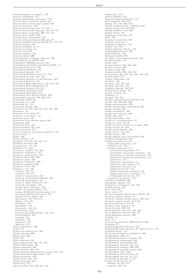General equation of degree n, 129<br>General equilibrium, 677<br>General equilibrium (economics), 677<br>General form of dynamic model, 684 General form of state-space model, 685<br>General Lie group, 132<br>General linear group, 131, 172, 416<br>General linear group  $GL_n(q)$ , 172, 191, 417<br>General linear group  $GL_n(q)$ , 172, 191, 417<br>General linear model, 628 General monic polynomial, 128 General orthogonal group  $GO_n(q), 191$ <br>General orthogonal group  $GO_n(q, F), 172, 191$ General position, 278<br>General quantifier, 2, 10<br>General set theory, 15 General term,  $240$ General topology, 193<br>General valency, 408 Generalization of Cauchy criterion, 228<br>Generalization of VECM, 649<br>Generalized ARFIMA process, 651 Generalized continuum hypothesis (GCH), 15<br>Generalized derivative, 391 Generalized dimension, 731 Generalized element, 581 Generalized Euclidean space, 21, 137 Generalized function, 391, 659<br>Generalized function (or distribution), 391 Generalized functions, 20<br>Generalized Hopf bifurcation, 712, 713, 736<br>Generalized Hopf singularity, 713 Generalized integral, 354, 355 Generalized Lagrangian, 681<br>Generalized lagrangian, 679 Generalized least squares (GLS), 633<br>Generalized sequence, 205, 206, 322<br>Generating family, 89<br>Generating part, 102<br>Generating part, 102<br>Generating system, 199<br>Generator, 84, 297, 519, 524, 581, 591, 609<br>Generator, 84, 297 Generator of an ideal, 95<br>Generator of an ideal , 111 Generator part, 168<br>Generators of an abelian group, 285<br>Generatrix, 400 Generatrix lines, 404 Generic element, 581, 610<br>Generic property, 724<br>Generic property (or typical property), 724<br>Gentzen-type, 2 Genus, 256<br>Genus theorem, 145<br>Geodesic , 179, 372, 373, 401, 417<br>Geodesic curvature, 401<br>Geodesic line, 177, 401<br>Geometric arc, 392 Geometric complex, 251, 255<br>Geometric congruence, 152 Geometric construction, 129<br>Geometric fiber, 560, 569 G eom etric p oint, 5 6 0 G eom etric realiz a tio n, 2 9 5 Geometric sequence, 322<br>Geometric series, 323 Geometry, xvii, 149<br>absolute, 149, 151 absolute, 149, 151<br>analytic, 149, 151<br>axiom C (connection), 154<br>axiom D (connection), 154<br>axiom H (hyperbolic), 154<br>axiom H (polar trilateral), 154<br>axiom P (polar trilateral), 154<br>axiom R (rectangle), 153<br>axioms A,A\* (bise non-Euclidean, 149<br>ordinary, 150 parabolic, 149 projective, 149 spherical, 179 Gereno lemniscate, 336 Germ, 551 Germ of an analytic set, 560 Giraud theorem, 609<br>Glesjer test, 636  $G$ lide,  $162$ Glide reflection, 162 Global bifurcation, 736, 737, 746 Global bifurcations, 734 Global continuity, 200 Global element, 581, 610<br>Global element (global section, point), 581, 610<br>Global homoclinic bifurcations, 738 Global maximum, 679 Global mean value, 491 Global minimum, 679 Global Proj, 572<br>Global section, 558, 563, 581, 610

Global Spec, 571<br>Global stability, 759<br>Globally stable equilibrium, 757<br>GLS estimator, 634, 635 Gluing, 274, 547, 606, 610<br>Gluing (concatenation, collation), 606<br>Gluing axiom, 551, 606, 607<br>Gluing condition, 551, 606 Gluing lemma,  $274$ Gnomonic projection, 179<br>Gode, 559 Godement resolution, 559 Golbach conjecture, 1 Goldbach conjecture, 148 Golden rule, 758<br>Golden theorem (Gauss), 144 Goldfeld-Quandt test, 636<br>Gollub-Benson, 726<br>Gompertz model, 638 Goodwin cyclical growth model. 761 Goodwin model, 753 Grade, 525<br>Graded algebra, 263, 476, 523<br>Graded coring, 320<br>Graded coring, 320<br>Graded module, 263, 522, 523 Graded ring, 264, 270, 318, 476, 522, 523<br>Graded sheaf, 553 Graded valuations, 110 Gradiant, 489<br>Gradient, 316, 342, 343<br>Gradient operator, 412<br>Gradient theorem, 343, 412 Graeco-Latin square, 613 Graeffe method, 341 Grammar, 5 G ran ger, 6 4 7, 6 5 1 Granger representation theorem, 649<br>Graph, 258, 299, 560, 600<br>Graph automorphism, 259 Graph characteristic polynomial, 134 Graph coloring, 261<br>Graph coordinates, 539 Graph cycle (circuit), 260<br>Graph edge, 258 Graph isomorphim, 258<br>Graph of a correspondence, 27 Graph of a map, 27, 30<br>Graph of binary relation on a space, 299<br>Graph of map, 29, 519<br>Graph representation, 258 Graph theory, xvii, 258<br>Graph vertices, 258 Graph without loop and spindle, 259<br>Graphical integration, 355 Graphical projection, 174<br>anamorphic projection, 174<br>auxiliary view, 174<br>parallel projection, 174 axonometric projection, 174<br>axonometric projection (dimetric), 174<br>axonometric projection (isometric), 174<br>axonometric projection (trimetric), 174 multiviews, 174<br>multiviews (elevation), 174<br>multiviews (floor plane), 174<br>multiviews (section), 174 oblique projection, 174<br>oblique projection (cabinet), 174<br>oblique projection (Cavalier), 174<br>orthographic projection, 174 perspective projection, 174<br>Grassman manifold, 138 Grassmann algebra, 137<br>Grassmann coordinates, 138, 140 G ra ssm an nian, 1 3 8 Gray code, 667 Great circle, 179<br>Greatest common denominator (GCD), 69 Greatest common divisor, 57<br>Greatest common divisor (gcd.), 120, 143 Greatest common divisor in Z, 60<br>Greatest element, 9, 45, 46 Greatest lower bound, 9, 46<br>Green formula, 489, 501<br>Green theorem, 285, 316, 348, 364<br>Green-Riemann formula, 363, 411 Green-Riemann theorem, 363<br>Grelling, 13 Grid, 171 Grid search procedure (Hildreth-Lu), 635 Gridding, 171<br>Grobman-Hartman theorem, 723<br>Grobman-Hartman theorem (for discrete sys.), 723<br>Gronwall lemma, 754 Gross substitutability assumption, 760<br>Grothendieck, 269, 575<br>Grothendieck abelian category, 591<br>Grothendieck abelian category, 591<br>Grothendieck pretopology, 607<br>Grothendieck topology, 567, 570<br>Grothendieck topology, 569, Grothendieck topology axioms, 607<br>Grothendieck topos, 608<br>Grothendieck trace formula, 571 Grothendieck universe, 16, 577<br>Grothendieck universe U, 577<br>Group, 38, 42, 81, 82, 515<br>Abelian, 42, 516, 517<br>isometry, 149, 151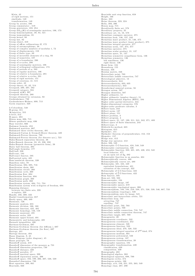Klein, 42<br>of rigid motions, 151 similtude, 149<br>transformation, 149  $\begin{array}{l} \text{transformation, 149} \\ \text{Group by arrows, 590} \\ \text{Group generators, 103, 254} \\ \text{Group generators, 103, 254} \\ \text{Group } GL_n(K) \text{ of nonsingular matrices, 106, 173} \end{array}$ Group homomorphism, 38, 84, 521<br>Group isomorphism, 85 Group Isomorphism, 85<br>Group kernel, 88<br>Group law, 82<br>Group object, 310<br>Group of affine collineations *G*, 172 Group of automorphisms, 38<br>Group of complex numbers of modulus 1, 72 Group of displacements, 159<br>Group of displacements, 159<br>Group of finite type, 89<br>Group of invertible elements of a ring, 93 Group of isometries, 187 Group of n-boundaries, 290<br>Group of n-cycles, 290 Group of nonsingular matrices, 106<br>Group of orthogonal collineations, 173 Group of periods of  $\omega, \, 503$ Group of regular matrices, 106 Croup of relative n-boundaries, 291<br>Group of relative n-boundaries, 291<br>Group of relative n-cycles, 291<br>Group of rigid motions, 151 Group of rotations, 41, 515 Group order, 42<br>
Group theory, 81, 82, 514<br>
Group theory, 81, 82, 514<br>
Groupoid category, 594<br>
Groupoid  $\pi(K)$ , 297<br>
Groupoid theorem, 280<br>
Groupoid theorem, 280<br>
Groupoid theorem, 280<br>
Groupoid theorem, 280 Groups obtained by extension. 92 Guckenheimer, 732<br>Guckenheimer-Holmes, 699, 713 Gysin sequence, 320 h-Cobordism, 548  $H$ -group, 311<br> $H$ -injective, 555 h-level. 312 H-space, 283 Hénon map, 696, 715<br>Hénon quadratic map, 696 Henon quadratic map,<br>Haar wavelet, 666<br>Hadamar formula, 453 Hadamard matrices, 667<br>Hadamard three circles theorem, 491 Hadamard-Cartan & Gromoll-Meyer theorem, 420<br>Hadamard-Perron theorem, 720<br>Hadamard-Perron theorem, 720 naaamard-rerom theorem (10r discrete sys.<br>Hahn-Banach separation theorem, 26<br>Hahn-Banach theorem, 24, 45, 236, 238<br>Hahn-Banach theorem (geometric form), 26 Hairy ball theorem, 294<br>Half-angle formulas, 177<br>Half-ball, 230 Hall-ball, 230<br>Half-cone, 184<br>Half-exact functor, 595<br>Half-period ratio, 435 Ham-sandwich theorem, 320 Ham-sandwich theorem, 32<br>Hamilton rules, 79<br>Hamiltonian, 694, 695, 716<br>Hamiltonian chain, 260<br>Hamiltonian circuit, 260<br>Hamiltonian cycle, 260<br>Hamiltonian cycle, 260 Hamiltonian function, 694 Hamiltonian graph, 260<br>Hamiltonian path, 260 Hamiltonian system, 694, 711, 724<br>Hamiltonian system, 694, 711, 724<br>Hamiltonian system with *n*-degrees of freedom, 694<br>Hamming distance namming austance<br>between two finite sets, 220<br>n-tuplets, 220<br>Handle, 256, 300, 432<br>Hankel transformation, 657 Hardy space, 460, 489<br>Harmonic, 726 Harmonic analysis, 655<br>Harmonic division, 166, 168 Harmonic division, 166, 168<br>Harmonic function, 425, 485<br>Harmonic homology, 156, 158<br>Harmonic majorant, 491<br>Harmonic series, 323 Harmonic upper-bound, 491<br>Harmonicity and holomorphy, 485 Harnack inequalities, 486<br>Hartman-Grobman, 697 Hartman-Grobman theorem (for diffeom.), 697<br>Hartman-Grobman theorem (for flow), 697 Hartman-Groman theorem (for no<br>Hartogs, 441<br>Hartogs theorem, 494<br>Hasse diagram, 9, 45<br>Hasse Diagram (order diagram), 45 Hasse principle, 79<br>Hausdorff axiom, 219<br>Hausdorff dimension of the measure  $\mu$ , 731 Hausdorff dimension of the measure<br>Hausdorff dimension properties, 730<br>Hausdorff distance, 220<br>Hausdorff paradox, 17 Hausdorff quotient space, 299<br>Hausdorff separation axiom, 206<br>Hausdorff separation axiom, 206<br>Hausdorff space, 193, 199, 206, 207, 538, 539<br>Hausdorf dimension, 730<br>Heat equation, 389, 661<br>Heaviside, 668

Heaviside unit step function, 658<br>Height, 166<br>Heine, 223<br>Haire, 42 Heine theorem. 223. 224 Heine theorem, 223, 224<br>Helix, 393, 396<br>Henon map, 715<br>Hereditarily finite set, 578<br>Hereditary property, 35<br>Hereditary roperty, 35<br>Hereditary set, 14, 16, 578<br>Hermitian conjugate operator, 375<br>Hermitian form, 136, 137, 24 Hermitian norm, 137, 374, 377<br>Hermitian operator, 375 Hermitian scalar product, 21, 137<br>Hermitian space, 21, 137 Hermitian symmetric sesquilinear form, 136<br>Hermitian symmetry, 136 left semilinear, 136<br>right linear, 136 Hesse form, 184<br>Hessenberg, 155 Hessian, 346<br>Hessian matrix, 346 Heteroclinic point, 703<br>Heteroclinic saddle connection, 747 Heterological adjective, 13<br>Heterological adjective, 13<br>Heteroscedasticity, 633, 635<br>Heteroscedasticity, 643 Hexadecimal numeral system, 56<br>Hexagon axiom, 587 nexagon identities, 587<br>Higher aithmetic, 51<br>Higher aithmetic, 51<br>Higher aithmetic (number theory), 51<br>Higher Dimensional Algebra (HDA), 594 Higher Dimensional Argebra (HDA)<br>Higher order partial derivative, 344<br>Higher-dimensional categories, 576 Higher-order predicate calculus, 3<br>Higher-order predicate calculus, 3<br>Hilbert basis, 244 Hilbert norm, 137<br>Hilbert plane, 151 Hilbert problem, 3 Hilbert program, 4<br>Hilbert space, 21, 137, 199, 211, 241, 242, 371, 489<br>Hilbert space of finite dimension, 244 Hilbert-type, 2<br>Hilbert-type, 2<br>Hildreth-Lu method, 635 Histogram, 615<br>Hjelmslev, 151 Hjelmslev theorem of perpendiculars, 152, 153<br>Hjelmslev theorem of perpendiculars, 152, 153 Hemslev, 191<br>Hodge star, 412<br>Holge star operator, 412<br>Holes, 506, 549 Holomorphic C-C-function, 424, 548, 549 Holomorphic continuation, 426<br>Holomorphic function, 333, 421, 425, 426, 453, 548 ofomorphic ranceron, 000,<br>local behavior, 477<br>on an open set of  $\mathbb{S}_2$ , 482 on an open set of s<sub>2</sub>, 482<br>Holomorphic function in an annulus, 464<br>Holomorphically convex, 480<br>Holomorphically convex set, 480<br>Holomorphy, 421, 424, 440<br>equivalent formulations, 421<br>extension of the concept, 422<br>materials Holomorphy of C-C-functions, 422 Holomorphy of C-C-functions, 422<br>Holomorphy of Ĉ-C-functions, 422<br>Hom functor, 595<br>Hom-set, 582, 583 Hom see, see, see<br>Homeomorphic, 194<br>Homeomorphic image, 197<br>Homeomorphic spaces, 219 Homeomorphic topological space, 200<br>
Homeomorphism, 193, 194, 219, 248, 271, 538, 539, 546, 687, 733<br>
Homeomorphism (topology), 538<br>
Homeomorphism onto its image, 545 Homoclinic and heteroclinic orbits, 721<br>Homoclinic loop, 747  $\begin{array}{ll}\n\text{invariant loop, 744}\n & \text{attracting, 747}\n & \text{repelling, 747}\n & \text{Fopelling, 747}\n & \text{Homoclinic points, 709}\n & \text{Homoclinic saddle connection, 710, 747}\n & \text{Homoclinic saddle connection theorem, 747}\n & \text{Homoclinis tangle 607–700}\n\end{array}$ Homoclinic tangle, 697, 709<br>Homogeneity, 20 Homogeneous coordinate, 532<br>Homogeneous coordinates, 252 Homogeneous element, 528 Homogeneous element, 520<br>Homogeneous function, 533<br>Homogeneous ideal, 270, 528, 533 Homogeneous integral equation of 2<sup>nd</sup> kind, 374<br>Homogeneous integral equation of 2<sup>nd</sup> kind, 374 Homogeneous polynomial, 533<br>Homogeneous system, 107<br>Homogeneous transformation, 20 Homogeneous transformation, 184<br>Homographic equation, 184<br>Homographic transformation, 439<br>classification, 439 composition, 439<br>Homography, 483<br>Homological algebra, 263 Homological equation, 698, 700 Homologous cycles, 474 Homologous points, 166<br>Homologous points, 166<br>Homology, xvii, 156, 251, 255, 263, 549<br>Homology class, 287, 290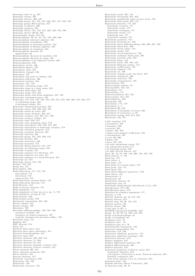Homology class of  $z_n$ , 287<br>
Homology classes, 285<br>
Homology functor, 286, 597<br>
Homology group, 251, 255, 257, 263, 287, 475, 550, 749<br>
Homology group (Betti group), 257<br>
Homology group (Betti group), 257<br>
Homology sequen Homomorphism as cartesian product, 521<br>Homomorphism as cartesian product, 521<br>Homomorphism of Banach algebras, 494<br>Homomorphism of complexes, 521 Homomorphism theorem, 88 applications, 88<br>
Homomorphism theorem for modules, 102<br>
Homomorphism theorem for rings, 100<br>
Homomorphisms of an algebraic system, 590 Homoscedasticity, 628<br>Homothetic circles, 166<br>Homothetic figures, 165 Homothetic rigures, 165<br>Homothetic ratio, 165<br>Homothetic triangle, 166 Homothety, 165 Homothety, 100<br>Homothety and point at infinity, 165<br>Homothety-reflection, 166 Homothety-rotation, 165<br>Homothety-rotation, 165<br>Homotopic, 247, 749<br>Homotopic continuous maps, 472 Homotopic continuous maps, 472<br>
Homotopic continuous maps, 472<br>
Homotopic path edges, 297<br>
Homotopic paths, 247, 502<br>
Homotopic paths, 247, 502<br>
Homotopic topological space, 248<br>
Homotopic topological space, 248<br>
Homotopi Homotopy category, 274, 305, 311, 592<br>Homotopy category (hTop), 311<br>Homotopy class, 248, 274<br>Homotopy class (mapping class), 573<br>Homotopy equivalence, 248, 249, 274, 305<br>Homotopy equivalence in homotopy category, 274<br>Homo Homotopy group, 247, 250, 309, 312<br>Homotopy identity, 283 Homotopy identity, 283<br>Homotopy invariant, 573<br>Homotopy invariant, 573<br>Homotopy lifting property, 314, 573<br>Homotopy of continuous maps, 248 Homotopy of paths, 247<br>Homotopy sequence of a fibration, 314<br>Homotopy sequence of a pair, 314<br>Homotopy sequence of a pair, 314<br>Homotopy sequence of a weak fibration, 315 Homotopy sequence or a we<br>Homotopy ste, 573<br>Homotopy theory, 214, 270<br>Homset, 582, 585<br>Hooke law, 377 Hopf algebra, 320<br>Hopf bifurcation, 711, 718, 735 generalized, 713<br>subcritical, 712 subcritical,  $112$ <br>
Hopf bifurcation (normal form), 733<br>
Hopf bifurcation (normal form), 733<br>
Hopf bifurcation theorem, 712<br>
Hopf fibration, 315 Hopf noration, 313<br>
Hopf recurrence theorem, 718<br>
Hopf singularity, 711<br>
Hopf singularity of type  $(p, +)$  or  $(p, -)$ , 713<br>
Hopf singularity of type p, 713 Hopf theorem, 320<br>Hopf-Landau model, 739 Hop-Lamaau model, (39)<br>Horizontal composition, 264, 585<br>Horner schema, 341<br>Horner scheme, 109<br>Horseshoe, 708<br>Horseshoe diffeomorphism, 703, 705, 708<br>canonical example, 705 dynamics on symbol sequences, 707<br>symbolic dynamics for horseshoe diffeo., 707 Horseshoe map, 731<br>Hosking, 651<br>HSP theorem, 514 hTop, 311<br>Hurewicz fiber space, 314<br>Hurewicz fiber space (fibration), 314 Hurewicz homomorphism, 315<br>Hurewicz map, 289 Hurewicz Hap, 209<br>Hurewicz theorem, 288, 289, 315<br>Hurewicz theorem (1), 289<br>Hurewicz theorem (2), 315 Hurewicz theorem (absolute version), 315<br>Hurewicz theorem (relative version), 315 Hurst exponent (H), 651<br>Hurst exponent (H), 651<br>Hurst statistic, 651<br>Hurwitz theorem, 477 Hypebolic convergence, 650<br>Hyperbola, 185, 186 Hyperbolic, 158<br>Hyperbolic attractor, 748

Hyperbolic axiom (H), 154<br>Hyperbolic decreasing, 651, 652<br>Hyperbolic equilibrium point of type (m,k), 723<br>Hyperbolic fixed point, 697, 747<br>Hyperbolic innction, 177, 337<br>hyperbolic cosecant, 177<br>hyperbolic cosine, 177<br>hyper hyperbolic secant, 177<br>hyperbolic sine, 177 hyperbolic tangent, 177<br>Hyperbolic geometry, 176<br>Hyperbolic invariant set, 708 Hyperbolic linear diffeomorphism, 692, 696, 697, 705<br>Hyperbolic linear diffeomorphism, 692, 696, 697, 705<br>Hyperbolic linear flow, 696 Hyperbolic metric plane, 154<br>Hyperbolic model, 152<br>Hyperbolic model, 152<br>Hyperbolic non-wandering set, 709<br>Hyperbolic non-wandering set, 709<br>Hyperbolic priodic orbit, 697<br>Hyperbolic plane, 152<br>Hyperbolic plane, 152<br>Hyperbo Hyperbolic structure, 708<br>Hyperbolicity, 702<br>Hyperbolicity, 702<br>Hypercomplex number, 35<br>Hyperparallel, 152, 154 Hyperplane, 717 Hypersurface, 717<br>Hypersurface, 717<br>Hypertetrahedron, 251, 255 Hypervolume, 251, 255<br>Hypoellipticity, 492 Hypograph, 349<br>Hypotenuse, 175, 178<br>Hypothesis, 2, 5  $Hypothesis H_0$ , 625 Hypothesis of normality of errors, 626 Hypothesis of recurrence, 5, 39 Hypothesis testing, 616, 617, 622<br>Hysteresis, 748, 751 I-adic topology, 533<br>  $\ddot{i}$ -boundaries, 497<br>  $\ddot{i}$ -boundary, 506<br>  $\ddot{i}$ -boundary, 501  $i$ -cocycles, 501<br> $i$ -chains, 497, 504  $i$ -chains with integral coefficients, 504<br> $i$ -coboundaries, 501  $i$ -cycle, 90, 506 *v*-cycle, 90, 300<br>
I-depth, 525<br> *i*-faces, 251, 255<br>
i-th étale cohomology group, 571 Fin etate commonogy group, 571<br>i-th cohomology group, 571<br>i-th homology group, 556<br>i-th right derived functor, 557<br>Ideal, 22, 43, 93, 100, 142, 269, 516, 523, 528<br>Ideal element, 4, 149<br>Ideal line, 157 ideal object, 4<br>Ideal plane, 157<br>Ideal plane of a metric plane, 157 Ideal point, 154, 157<br>Ideal sheaf, 552 Ideal sheaf (algebraic geometry), 552<br>Ideal sheaf (algebraic geometry), 552<br>Ideal theory, 142 Idempotence, 8<br>Idempotent, 93 Idempotent element, 33 Idempotent ring, 10<br>Idempotent ring, 10<br>Identically independently distributed (i.i.d.), 643<br>Identification, 275, 299 Identification space, 574<br>Identification space, 574 Hentity, 3, 576<br>Identity, 3, 576<br>Identity element, 42, 43, 515, 516<br>Identity functor, 273<br>Identity map, 29, 30, 173, 219 Identity matrix, 105<br>Identity object, 586 1dentity object, 586<br>if and only if (iff), 5<br>IGARCH (integrated GARCH), 652<br>Image, 14, 29, 30, 85, 290, 519, 520<br>Image of homomorphism, 85 Image of nonborphism<br>Imaginary part, 76<br>Imaginary part, 76<br>Imaginary part , 70<br>Imaginary part of z, 70 Immeasurable frequencies, 726<br>Immeasurable frequencies, 726<br>Immersion, 213, 546 Immersion, 213, 340<br>Immersion (algebraic geometry), 571<br>Immersion (algebraic topology), 546<br>Immersion theorem, 213 Impacts multiplier, 647<br>
Impact multiplier, 647<br>
Implicit differential equation, 381<br>
Implicit differential<br>
Implicit function, 335<br>
Important properties of Fourier series, 654<br>
asymptotic behavior, 655<br>
convergence of fun convergence of function in mean, Parseval equation, 654<br>Dirichlet conditions, 655 Dirichlet conditions, 653<br>
least mean squares error of a function, 654<br>
Improper point, 155<br>
Impulse function (Dirac  $\delta$  function), 659<br>
In bijection with, 36, 47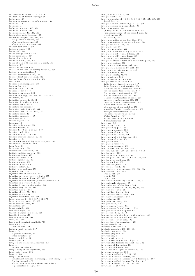Inaccessible cardinal, 15, 578, 579<br>Inadequacy of Zariski topology, 567<br>Incidence, 150 Incidence-preserving transformation, 157 Incident, 152 Inclusion, 11<br>Inclusion, 11<br>Inclusion function, 520, 591<br>Inclusion functor, 584 Inclusion map, 520, 544, 599<br>Incomplete basis theorem, 103<br>Indefinite integral, 349, 352, 353<br>of algebraic functions, 354 of rational functions, 353<br>of rparticular functions, 354 Independent events, 619<br>Indeterminates, 120 Index, 430, 471<br>Index change formula, 40 Index gymnastics, 407 Index of a cycle, 474<br>Index of a loop, 473, 504<br>Index of a loop, 473, 504<br>Index of loop with respect to a point, 470 Indicator, 57<br>Indicator variable, 630<br>Indicator variable, 630<br>Indicator variable (or dummy variable), 630 Indicator variable (or dummy<br>Indirect demonstration, 5<br>Indirect isometries in  $\mathbb{R}^3$ , 164 Indirect least squares (ILS), 642<br>Indirectly conformal mapping, 438<br>Individual, 2 Induced homomorphism, 545 Induced law, 32<br>Induced law, 32<br>Induced map, 273, 554<br>Induced order, 38, 45<br>Induced orientation, 286 Induced orientation, 286<br>Induced topology, 194, 199, 201, 538, 543<br>Induction, 35<br>Induction axiom, 4, 50, 62<br>Induction hypothesis, 5, 39 Inductive definition, 5<br>Inductive definition, 5<br>Inductive limit, 550, 552, 601<br>Inductive limit (direct limit), 601 Inductive Infinite (unfect In<br>
Inductive ordered set, 47<br>
Inductive set, 47 Inductive set, 47 Infimum, 46<br>Infimum, 46<br>Infinite cyclic group, 296<br>Infinite descent, 52<br>Infinite distribution of lags, 640 Infinite graph, 259<br>Infinite product, 324, 467 Infinite product expansion, 467<br>Infinite set, 34 Infinite-dimensional F-projective space, 299 Infinitesimal calculus, xvii Infix form, 32<br>Inflection point, 334 Information dimension, 731<br>Initial condition problem, 386 Initial conditions, 378<br>Initial morphism, 580 Initial morphism, 580<br>Initial object, 310, 580<br>Initial property, 580<br>Initial segment, 48, 65<br>Initial topology, 201 Initial vapology, 201<br>
Initial-value problem, 378<br>
Injective arcs on manifold, 414<br>
Injective arcs on manifold, 414<br>
Injective evelope (injective hull), 555<br>
Injective homomorphism, 520, 555<br>
Injective homomorphism (monomo Injective immersion, 544, 545<br>Injective linear transformation, 546 Injective linear transformation, 546<br>Injective map, 29, 31, 519<br>Injective module, 554<br>Injective object, 555, 556<br>Injective patch, 406<br>Injective resolution, 555, 556<br>Injective resolution, 555, 556<br>Inner product, 21, 136, 13 Inner-product space,<br>Innovation, 647<br>Input variable, 684<br>Inscribed angle, 163 Inscribed angles in a circle, 163<br>Inscribed angles in a circle, 163<br>Inscribed circle, 176<br>Insertion function, 591 Inset, 707, 709<br>Inset, 707, 709 Instability, 717 subharmonic, 734 Instrumental variable, 637 Integer, 64 algebraic structure, 64 order structure 64 Integer modulo n, 87 Integer part. 61 Integer part of a rational fraction, 118 Integer part of a rational fraction,<br>
Integers<br>
calculation rules, 64<br>
Integrability of the logarithm, 463<br>
Integrable system, 695<br>
Integral, 146 Integral calculation complement formula (meromorphic embedding of  $\zeta$ ), 477 Fourier integral, 477 of a rational function without real poles, 477 trigonometric inttegral, 477

Integral calculus, xvii, 348<br>Integral closure, 146<br>Integral domain, 43, 93, 99, 100, 120, 142, 457, 516, 523<br>divisibility, 141 Integral domain (entire ring), 43, 93, 516<br>Integral domain by prime ideal, 100 Integral equation, 374<br>(homogeneous) of the second kind, 374 (nonhomogeneous) of the second kind, 374<br>classification, 374 of  $1<sup>st</sup>$  kind, 374 Integral equation of the first kind, 374<br>Integral equations of the second kind, 374<br>Integral function, 352, 457 Integral kernel, 377 Integral kernel, 377<br>Integral mean-value, 351<br>Integral of a 1-form on a part of R, 445<br>Integral of a differential 2-form, 501<br>Integral of a differential form, 410 Integral of a differential form, 410<br>
according to a parameter, 411<br>
Integral of closed 1-form on a continuous path, 469<br>
Integral of surface, 362<br>
Integral on a continuous path, 469<br>
Integral on a piecewise  $c^1$  path, 4 finite Laplace transformation, 656<br>for functions of several variables, 657 Fourier cosine transformation, 657 Fourier sine transformation, 657 Fourier transformation, 657, 661 Hankel transformation of order, 657 Laplace transformation, 656, 657 Laplace-Carson transformation, 657 Mellin transformation, 657<br>of functions of one variable, 656 one-sided Fourier transformation, 657 Stieltjes transformation, 657<br>two-sided transformation, 656 Walsh functions, 667 wavelet transformation, 665<br>Z-transformation. 664 Integrand, 349 Integrand, 349<br>Integration by parts, 379<br>Integration by parts, 353<br>Integration methods, 353<br>Integration of 0-form, 506 Integration of 1-forms, 506 Integration of a C-C-function, 425<br>Integration of series, 354 Integration rule, 351 Integration rules, 425<br>Integration theorems, 362 Integrations term by term, 354<br>Interior, 195, 214, 216, 333, 536, 537, 548<br>Interior, 195, 214, 216, 333, 536, 537, 548<br>Interior angle, 162<br>Interior point, 195, 198, 219, 536, 537, 674 Interior point methods, 674 Interior point methods, b /4<br>
Interior product, 139<br>
Interieave sequence, 216<br>
Intermediate field, 122<br>
Intermediate value theorem, 203, 226, 326<br>
Intermediate value theorem, 203, 226, 326<br>
Intermittency, 738, 745<br>
type 1,  $\times$  i  $\frac{1}{2}$ ,  $\frac{1}{46}$ <br>Internal (composition) laws of lattice, 9<br>Internal angle bisector, 167 Internal center of similitude, 166 Internal composition law, 39, 41, 42, 515<br>Internal composition law, 39, 41, 42, 515<br>Internal Hom functor, 586 Internal homothetic center, 166 Internally homologous, 373 Internaty homologous, 3<br>
Interpolation, 339<br>
Interpretation, 513 Interpretation (logic), 513<br>Interpretation (model theory), 513 Interpretation of multipliers, 681 Intersection, 8, 9, 11, 13<br>Intersection of a simple arc with a sphere, 396 Intersection of neighborhoods, 195<br>Intersection of neighborhoods, 195<br>Intersection of open sets, 195<br>Intersection of subcomplexes, 290 Intput variable, 685 Intput variable, 685<br>Intrinsic curvature, 418<br>Intrinsic geometry, 400, 401, 415 Intrinsic parameter, 393<br>Intrinsic property, 197 Intuitionism, 4<br>Intuitionistic logic, 4 Intuitionistic logic, 4<br>Intuitionistic propositional logic, 4<br>Intuitionistic Zermelo-Fraenkel (IZF), 16<br>Invariance of dimension, 294<br>Invariance of domain, 294 Invariance of domain, 294<br>Invariance of integral by homotopy, 469<br>Invariant Cantor set, 692<br>Invariant manifold, 697, 720, 747<br>Invariant manifold theorem, 697<br>Invariant manifold theorem (for diffeomorph.), 697<br>Invariant man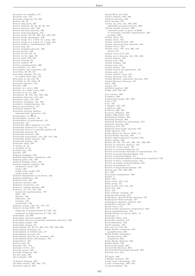Invariant set stability, 715 Invariant set stability, 715<br>
Invariant sets, 715<br>
Invariant subgroup, 84, 599<br>
Inverse edge path, 297<br>
Inverse edge path, 297<br>
Inverse element, 32, 42, 82, 86, 515<br>
Inverse function, 327, 546<br>
Inverse function theorem, 39 Inverse Inncorn Incorem, 390<br>Inverse inneomorphism, 219<br>Inverse image, 29, 30, 498, 519, 520, 560<br>Inverse image (preimage), 520<br>Inverse image of a 1-form by a map, 444<br>Inverse image of a 2-form by a map, 450<br>Inverse Laplac Inverse Lapiace transformation<br>Inverse map, 30<br>Inverse mapping theorem, 568<br>Inverse matrix, 106<br>Inverse on the left, 32 Inverse on the right, 32<br>Inverse path, 279, 445 Inverse path, 279, 445<br>Inverse relation, 29<br>Inverse symbol, 30<br>Inverse transformation, 666<br>Invertibility, 141, 344<br>Invertibility and continuity, 327<br>Invertible, 40, 93, 141<br>Invertible element, 40, 141<br>Invertible element, 4 In residue class 1.mg, 11<br>Invertible on the left, 32<br>Invertible on the right, 32 Invertible operator, 372<br>Involute, 396 Involute of a curve, 396<br>Involute of a plane curve, 398 Involute of a piane curve, 396<br>Involute of an arc, 396<br>Involution, 40, 134, 161, 240, 562<br>Involutive function, 134, 240<br>Involutive map, 134, 240 Involutive mapping, 134, 240<br>Involutive transformation, 161 Invariance changes in account Irrational rotation number<br>(quasiperiodic behavior), 744 Irrationality of  $\sqrt{2}$ , 65 Internative of V2, 09<br>Irreducibility criteria, 121<br>Irreducibility of polynomials, 121 Freducible, 141<br>
Irreducible, 141<br>
Irreducible affine algebraic set, 531<br>
Irreducible element of a ring, 95<br>
Irreducible form of a rational number, 62 Irreducible fraction, 68<br>Irreducible fraction, 530 Irreducible polynomial, 110, 120, 121, 530<br>Irreducible prime element, 142<br>Irreducible scheme, 564 Irrelevant ideal, 528 is divisor of 44 is multiple of, 44 Isoclinal line, 379<br>Isocline, 379 Isogonal mapping, 438<br>Isolated logarithmic singularity, 433<br>Isolated point, 195, 198<br>Isolated singular point, 428 Isolated singular solution, 381<br>asymptotic point, 381 centre, 381<br>nodal point (node), 381 saddle point, 381<br>Isolated singularities on k-sheets, 433 Isolated singularities on<br>Isolated singularity, 464<br>Isolated zeros, 462 Isonated zeros, 402<br>Isometric patches, 400<br>Isometric projection, 174 Isometric regular patches, 400<br>Isometry, 18, 151, 173, 193<br>canonical transformation, 187 glide, 149<br>identity, 149<br>reflection, 149 rotation, 149<br>translation, 149 Isometry group, 149, 151, 173, 187<br>Isometry group Is(E), 187 subgroup of displacements Is<sup>+</sup>(E), 187 subgroup of displacements Is<sup>-</sup> $(E)$ , 187 Subgroup of the Charles of the Somorphic directed graphs, 600 Isomorphic functors (naturally equivalent functors), 302<br>Isomorphic graphs, 259 Isomorphic groups, 85<br>Isomorphism, 33, 38, 81, 302, 514, 520, 598, 606 Isomorphism of groups, 85<br>Isomorphism of groups, 85<br>Isomorphism of ordered sets, 47<br>Isomorphism theorem, 89<br>Isomorphism theorem for modules, 102 Isomorphism-dense subcategory, 595 Isoperimeter, 373 Isopermeter, 373<br>Isotone map, 66<br>Isotropic line, 158<br>Isotropic vector, 137<br>Isotropy group, 483<br>Isotropy subgroup, 306<br>ith Isce map, 286<br>ith k-simplex 550 ith k-simplex, 550  $\begin{array}{l} \mathcal{J}\text{-shaped diagram, }601 \\ \text{Jacobian matrix, }343,\,344,\,716 \\ \text{Jacobson radical, }529 \end{array}$ 

Jarque-Bera test, 643<br>Jensen formula, 463, 492 Johnson theorem, 494 Joint entropy, 727<br>Jordan arc, 214, 215, 392, 393<br>admissible parameterization, 393 Jordan areolar measure, 365 countable union of parts of R366 of rectangles (possibly degenerated), 365<br>problem, 366 Jordan basis, 135<br>Jordan block, 135 Jordan canonical form, 136 Jordan canonical form theorem, 136 Jordan Curve, 255<br>Jordan curve, 197, 214, 392, 445 closed, 197 Jordan curve in  $\widehat{\mathbb{C}}$ , 423<br>Jordan curve theorem, 214, 294, 504 Jordan domain, 485 Jordan form, 698 Jordan Lemma, 429 Jordan loop, 444<br>Jordan matrix, 135 Jordan matrix decomposition, 135 Jordan path, 444<br>Jordan regular curve, 445 Jordan theorem, 473, 474<br>Jordan-Brouwer separation theorem, 294<br>Jordan-Brouwer theorem, 214  $\rm Joule,\ 360$ Joyeux, 651<br>jth Betti number, 502<br>Judge, 632, 634, 637  $k(y)$ -scheme, 569<br>k-algebra, 568  $k$ -connected graph, 261, 262  $k$ -face, 279 k-jet, 701<br>k-simplex, 251, 255 k-skeleton, 300<br>K-theory, 269, 562<br>K-vector subspace, 108<br>Kähler differential, 527 Königsberg bridges, 258<br>Künneth formula, 305 Künneth formula, 500<br>Künneth formula for cohomology, 318<br>Künneth theorem, 305<br>Kakutani, 674, 677<br>Kakutani fixed point theorem, 677 KAM theorem, 724<br>Kelley-Morse set theory (KM), 15<br>Kelvin-Stokes theorem, 364 Nevn-Stokes theorem, 304<br>Kepler (approximation) method, 355<br>Kepler folium, 336<br>Kernel, 85, 88, 133, 161, 290, 557, 599, 605<br>Kernel (in abstract algebra), 521<br>Kernel for vector space, 521<br>Kernel is a normal subgroup, 88 Kernel of derivation function of polynomials, 114 Nernel of group homomorphism, 521<br>Kernel of group homomorphism, 521<br>Kernel of homomorphism, 85<br>Kernel of homomorphism of differential complexes, 522<br>Kernel of homomorphism of differential complexes, 522<br>Kernel of magma hom Kernel of morphism, 85 Kernel of morphism, 60<br>Kernel of ring homomorphism, 521<br>Kernel pair, 588, 599, 605<br>Ket, 409 Keynesian assumptions, 760 Kleene, 1<br>Klein, 163<br>Klein bottle, 255, 412 Klein group, 42<br>Klein model, 149, 152, 176 Klein test, 632<br>Knot, 197 Knot without crossing, 197<br>Kolmogoroff axioms, 618<br>Kolmogorov-Arnold-Moser theorem, 724<br>Kolmogorov-Sinai entropy, 727 Kolmogorov-Smirnov statistic, 631<br>Kondrakov theorem, 391 Korch curve, 731<br>Koyck model (geometric progression), 640 Koyck transformation, 641<br>Kripke-Platek set theory (KP), 15 Kronecker, 4<br>Kronecker delta, 343 Kronecker formula. 413 Krull dimension, 526 Evall topology, 533<br>
kth root of a real, 69<br>
Kuhn-Tucker conditions, 679 quantification, 682 Kuhn-Tucker multipliers interpretation, 682 morproduces, 682<br>Kuhn-Tucker theorem, 682<br>Kupka-Smale, 709 Kuratowski graph, 263<br>Kuratowski theorem, 263 Kuratowski-Pontryagin theorem, 263 Kurtosis test, 643  $L^2$ -space, 392 L'Huilier theorem. 180 L numer theorem, 180<br>L-adic étale cohomology, 570<br>L-adic cohomology, 569, 570<br>L-automorphism, 126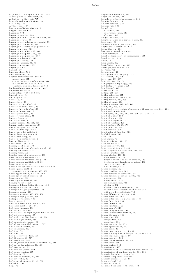L-globally stable equilibrium, 757, 758<br>α-limit point, ω-limit point, 690<br>α-limit set, ω-limit set, 715<br>L-locally stable equilibrium, 757 L-stability, 757<br>L∞[a, b] space, 371<br>Löwenheim-Skolem theorem, 2<br>Lagged variable, 634 Lagrange, 673<br>Lagrange equation, 750<br>Lagrange form of Taylor remainder, 332<br>Lagrange formula, 395 Lagrange interpolating polynomial, 112<br>Lagrange interpolation, 339<br>Lagrange interpolation polynomial, 112<br>Lagrange method, 339 Lagrange multiplier, 346, 634<br>Lagrange multiplier (LM), 634<br>Lagrange multiplier test, 630 Lagrange polynomial, 112<br>Lagrange stability, 718<br>Lagrangian theorem, 83, 86<br>Lagrangian theorem, 681<br>Lagrangien, 681 Lambek, 577<br>Laminar phase, 738<br>Laminarization, 746 Laplace transformation, 656, 657 convergence, 657 inverse Laplace transformation, 657 rules for the evaluation , 657<br>transform of special functions, 658 Laplace-Carson transformation, 657 Laplacian vector, 347<br>Large category, 568, 582, 585 Lateral classe, 84<br>Latin square, 613 Lattice, 9, 22<br>Lattice ideal, 23 Lattice maximal ideal, 23 Lattice non-trivial ideal, 23 Lattice of periods of  $\omega,~503$ <br>Lattice of power set,  $10$ Lattice prime ideal, 23<br>Lattice proper ideal, 23<br>Lattice theory, 9<br>Lattices of sets, 9 Laurent series, 428, 464, 664<br>Laurent series expansion, 428 Law of composition, 29, 30<br>Law of double negation, 2 Law of excluded middle Law of tacracted middle, 4 Law of monotony, 63<br>Law of non-contradiction, 2 Laws of Morgan, 2<br>Lcal element, 581, 610<br>Leading coefficient, 109<br>Leading coefficient of a polynomial, 109 Leading monomial, 518 Leading term, 109 Leading term of a polynomial, 109<br>Least common multiple, 58, 121 Least common multiple (lcm.), 143<br>Least common multiple in Z, 60<br>Least element, 45, 46<br>Least mean squares error of a function, 654 Least squares method<br>geometric interpretation, 628, 631 Least upper bound, 9, 45, 46, 160<br>Least upper bound theorem, 66 Least-squares, 339<br>Least-squares method, 339<br>Leaving variable, 670<br>Lebesgue differentiation theorem, 488 Lebesgue integral, 367, 368<br>Lebesgue integral properties, 368<br>Lebesgue lemma, 469<br>Lebesgue measure, 365, 366, 486 Lebesgue-negligible set, 368<br>Ledrappier theorem, 731 Leech lattice, 9<br>Lefschetz fixed point theorem, 304<br>Lefschetz theorem, 304<br>Lefschetz theorem, 304 Left adjoint, 593, 607<br>Left adjoint and right adjoint functor, 302 Left adjoint functor, 595<br>Left and right distributivity, 43, 516 Left and right unitor, 586<br>Left cancellable element, 33 Left closed monoidal category, 587<br>Left derived functor, 557 Left exactness, 317<br>Left field, 79 Left ideal,  $22$ Left projective module, 554 Left R-module M, 517<br>Left resolution, 556<br>Left surjective and univocal relation, 29, 519<br>Left surjective relation, 29, 519<br>Left translation, 82 Left zero morphism, 599<br>Left-exact functor, 595<br>Left-inverse, 32<br>Left-inverse element, 42, 515 Left-invertible, 32 Left-neutral element,  $32, 42, 515$ Left-shift, 707

Leg, 178

Legendre polynomials, 339 Legendre symbol, 144<br>Leibniz criterion of convergence, 324<br>Leibniz formula, 114 Leibniz notation, 330<br>Leibniz rule, 526<br>Length, 447<br>of a curve, 447 of a Jordan curve, 448<br>of a path, 447<br>Length measure, 415<br>Length measure on a regular patch, 400 Lens space, 301<br>Leontief input-output model, 669<br>Leptokurtic distribution, 644<br>Leray theorem, 296 less than or equal to, 36, 44 Level homotopy, 312<br>Level of degeneracy (or codimension), 699<br>Level set, 347, 520 Lever, 190<br>Levi-Civita, 407<br>Levi-Civita connection, 418<br>Lexicographic product, 49 Li-Yorke, 732<br>Lie algebra, 132<br>Lie algebra of a Lie group, 132 Lie bracket, 132, 698<br>Lie group, 131, 417<br>Lift, 268, 573, 688, 691<br>Lift (algebraic topology), 573<br>Lift (category theory), 573<br>Lift (lifting), 573<br>Lifted map, 740<br>Lifting, 282, 573 Lifting criterion, 307<br>Lifting criterion theorem, 307<br>Lifting lemma, 282, 306<br>Lifting of maps, 216 Lifting property, 569, 570, 573<br>Limit, 220, 305, 602<br>Limit and cluster points of function with respect to a filter, 223<br>Limit and colimit, 305<br>Limit cycle, 690, 713, 717, 718, 720, 724, 730, 734 Limit of a filter, 223 Limit of a map, 221<br>Limit of a sequence, 221 Limit of function, 325<br>Limit ordinal, 15, 48, 578<br>Limit point, 26, 195<br>Limit theorem, 620 Limit value of function  $325$ Lindelöf space, 212 Line, 163<br>Line angles, 75 Line at infinity, 157, 173<br>Line bundle, 561<br>Line connectivity, 262 Line integral, 343, 412, 429 Line integral of a vector field, 343, 412<br>Line of curvature, 403 Linear algebra, 132, 136<br>affine structure, 133 diagonalization and decomposition, 133<br>Euclidean and Hermitian structure, 133 linear structure, 133<br>multi-linearity, 133 Linear closure, 102<br>Linear combinations, 102 Linear correlation coefficient, 625<br>Linear differential equation, 380, 716 autonomous, 716<br>homogeneous, 716 non-homogeneous, 716<br>of oder n, 382 of oder n (non-homogeneous), 383<br>of oder n with constant coefficients, 383 with periodic coefficients, 716<br>Linear differential operator, 668 Linear extension, 103<br>Linear extension of a partial order, 45 Linear form, 105, 238<br>Linear function, 20 Linear functional, 20<br>Linear group", 240<br>Linear independence, 102<br>Linear interpolation method, 340 Linear Lie group, 131<br>Linear map, 103 com position, 105<br>operations, 104 Linear operator, 20, 372 Linear optimization, 670<br>Linear order, 45<br>Linear programming, xviii, 669 Linear stability loss in dissipative systems, 718<br>Linear topological space, 20 Linear topology, 533 Linear transformation, 20, 158 Linear trend, 650 Linear variety, 513<br>Linearization, 685 Linearization of (statistical) nonlinear models, 637<br>Linearization of nonlinear model, 684, 685<br>Linearly dependent vectors, 181 Linearly independent vectors, 181<br>Linearly ordered set, 21, 44 Lines in sheaf,  $152$ Lin ked va riable, 2

Liouville boundedness theorem, 433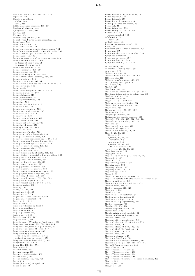Liouville theorem, 463, 465, 695, 716 Lipschitz, 229<br>Lipschitz condition<br>global, 386  $local, 386$ Little Desargues theorem, 155, 157 Littlewood theorem, 493<br>Ljung-Box statistic, 643  $LM$  tes,  $630$  $LM$  test,  $634$ Lin test, 004<br>Lobachevsky geometry, 152<br>Lobachevsky-Bolyai-Gauss geometry, 152 Local basis, 543<br>Local bifurcation, 711 Local bifurcations, 734<br>Local bifurcations, 734<br>Local bifurcations inearby steady states, 734 Local bifurcations nearby a periodic orbit, 736<br>Local canonical parametrization, 432<br>Local chart, 451, 708 Local chart, 491, 708<br>Local compactness and paracompactness, 540<br>Local continuity, 50, 51, 200 in terms of open balls, 51<br>in terms of sequences, 51<br>Local coordinate chart, 541 Local coordinates, 413, 687 Local cross section, 691<br>Local diffeomorphism, 454, 546 Local element (local section), 581, 610 Local embedding, 545 Local extrema, 331, 332, 345<br>Local extrema, 331, 332, 345<br>Local extrema of functions from  $\mathbb{R}^n$  to  $\mathbb{R}$ , 345 Local extremum 346 Local family, 711 Local homeomorphism, 306, 413, 538 Local maximum, 45, 679<br>Local minimum, 679 Local presentation, 553 Local representatives, 708<br>Local ring, 526<br>Local section, 563, 581, 610 Local stability, 758 Local stable manifold, 720 Local structural stability, 703  $\begin{array}{c} \text{Local surface, 415, 542} \\ \text{Local system, 312} \end{array}$ Local system of groups, 312<br>Local trivialization, 561 Local-global bifurcation, 747<br>Local-ringed space, 270<br>Locality axiom, 551, 606<br>Localization, 528 Localization, 528<br>Localization of a ring, 528<br>Localization of an R-module, 528 Locally 1-connected space, 308<br>Locally arcwise-connected space, 204, 546 Locally compact Hausdorff space, 204,<br>Locally compact Hausdorff space, 299<br>Decally compact space, 210, 224, 422<br>Locally connected space, 203, 227<br>Locally constant sheaf, 552 Locally exact form, 448<br>Locally finite family of parts, 211, 496 Locally finitely-presentable flat morphism, 569<br>Locally invertible function, 345 Locally Noetherian scheme, 564<br>Locally of finite type, 566, 569 Locally path connected, 277<br>Locally pathwise-connecte, 539 Locally pathwise-connected, 538<br>Locally pathwise-connected space, 196 Locally quasi-finite morphism, 569<br>Locally ringed space, 270, 552 Locally small category, 582, 583, 585<br>Locally small category, 582, 583, 585<br>Locally stable equilibrium, 757<br>Locally trivial bundle, 268, 315, 561 Location vector, 182 Locking, 743<br>Locking, 743<br>Locus, 71, 397, 531<br>Logarithm, 336, 455<br>Logarithm in  $\mathbb{C}$ , 76 Logarithmic barrier function, 674<br>Logarithmic potential, 490 Logic, xvii, 1, 512<br>Logic of orders, 3 logic of predicates by level, 3 Logical connective, 1<br>
Logical constant, 3<br>
Logical propositions, 1 logistic curve, 638<br>Logistic map, 715, 737 Logistic model, 638<br>Logistic model, 638<br>Logistic model (Vehulst or Pearl curve), 638 Long exact sequence, 289, 554, 605, 606 Long exact sequence, 289, 554, 605, 606<br>Long exact sequence of a pair axiom, 597<br>Dong exact sequence theorem, 317<br>Long memory phenomena, 652 Long memory phenomena, 652<br>
Long memory process, 650<br>
defined by autocorrelation, 650<br>
defined by spectral density, 651<br>
Long range dependence (LRD), 652<br>
Longitudinal data, 633<br>
Longitudinal data, 633 Loop, 214, 430, 444, 574<br>Loop space, 311 Love space, 911<br>
Lorentz curve, 663<br>
Lorentz tensor, 409<br>
Lorentz transformation, 409 Lorenz model, 749 Lorenz system, 715, 716, 721 Lotto,  $615$ Lower (Riemann) integral, 350<br>Lower bound, 46

Lower box-counting dimension, 730 Lower capacity, 730<br>Lower integral, 350 Lower limit of sequence, 323 Lower nointwise dimension, 731<br>Lower set, 23<br>Lower strangular, 110 Lower triangular matrix, 109  $\begin{array}{l} {\rm Lower\; triangular\; matrix} \ {\rm Loxodrome, 180} \ \hline \ {\rm Dxoadrospherical, 180} \ L^P\text{-function, 392} \ L^P\text{-space, 392} \ L^P[a, b] \ {\rm space, 371} \end{array}$ *L*-[*a, o*] space, 511<br>Lumped parameter model, 739<br>Lune, 179<br>Lusternik-Schnirelmann theorem, 294 Lusternik-Schiffelmann theorem, 294<br>Lyapunov, 687<br>Lyapunov characteristic number, 728<br>Lyapunov dimension, 731<br>Lyapunov exponent, 727<br>Lyapunov function, 759<br>Lyapunov stability, 718, 719 m-fold cover, 307 m-sheeted covering space, 307<br>m-simplex, 278 Möbius function, 40 Möbius inversion formula, 40, 116 Möbius strip, 412<br>Möbius transformation, 439, 483 MA (moving average), 645<br>MA model, 645  $MA(q), 645$ MA(q), 645<br>Mac Lane, 575, 589<br>Mac Lane coherence theorem, 586, 587<br>Mac Lane introduction to categories, 589 Mackey topology, 376<br>Madaurin series, 90<br>Magma, 41, 515, 520, 521 Main convergence criterion, 323 Mainardi-Codazzi relations, 405<br>Major axis, 185 Majorant, 45, 46, 53, 370, 490<br>Majorant, 45, 46, 53, 370, 490<br>Majorization, 324<br>Malgrange theorem, 711<br>Malgrange-Ehrenpreis theorem, 669 Manifold, 300, 413-415, 513, 540, 708<br>Manifold with boundary, 417, 541<br>Manifold with boundary, 417, 541<br>Mantissa, 624<br>Many-sorted language, 512 Many-sorted logic, 512<br>Many-to-one relation, 14, 29 Map,  $9, 29, 38, 519$ <br>Map,  $9, 29, 38, 519$ <br>Bijective,  $31$ <br>bijective,  $33, 519$ <br>contraction,  $229$ <br>fixed-point,  $229$ <br>injective,  $29, 31, 519$ <br>injective,  $29, 31, 519$ <br>injective,  $29, 31, 519$ of the first return, 722<br>surjective, 29, 31, 36, 519<br>Map fixed point, 229 Map germ, 552 Map locally of finite presentation, 610 Map object, 580 Map sink, 724<br>Map winding number, 742 Map winding number, 7<br>Mapping cone, 303<br>Mapping cylinder, 277<br>Mapping fiber, 313, 314<br>Mapping space, 233<br>Maps, 9, 29 Maps, 9, 29<br>Maps and structures for sets, 27<br>Maps compatible with structures (morphisms), 38<br>Maps on unit circle, 740<br>Marginal optimality conditions, 679<br>Markov chain, 616, 623<br>Markov process, 616, 623 Mass point, 190 Matching, 152<br>Mathematical expectation, 621<br>Mathematical induction, 49 Mathematical logic, xvii, 1<br>Mathematical programming, 673 Mather theorem, 705<br>Mather theorem, 705<br>Matrix, 103, 104, 133<br>Matrix diagonalization, 134<br>Matrix form, 628 Matrix minimal polynomial, 134<br>Matrix of affine collineation, 172 Maximal atlas, 542<br>Maximal differentiable atlas, 540 Maximal element, 22, 35, 45, 46, 579<br>Maximal filter, 19 Maximal ideal, 22, 269, 528, 569<br>Maximal ideal (for lattices), 23 Maximal spectrum, 528 Maximal tree, 297 Maximum element), 45<br>Maximum likelihood, 635 Maximum on a compact interval, 680<br>Maximum principle, 466, 482, 486, 491<br>Maxwell-Faraday equation, 364<br>Mayer-Viétoris, 502 Mayer-Victoris corollary, 301 Mayer-Vietoris corollary, 296 Mayer-Vietoris sequence, 296<br>Mayer-Vietoris sequence, 296<br>Mayer-Vietoris theorem, 292<br>Mayer-Vietoris theorem for reduced homology, 292 Meagre, 232 Meagre part, 232<br>Meagre set, 232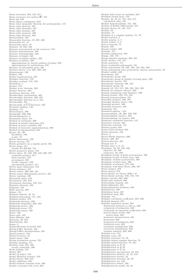Mean curvature, 403, 419, 421 Mean curvature of a surface  $\mathbf{S}^2$ , 421 Mean lag, 640 Mean square contingency, 623<br>Mean value inequality theorem (for polynomials), 115 Mean value theorem, 331<br>Mean value theorems, 331 Mean-value formula, 456 Mean-value property, 466<br>Mean-value theorem, 332<br>Measurability, 193 Measurable function, 19, 367, 368<br>Measurable set, 18 Measurable space, 18<br>Measure, 18, 349, 442<br>Measure concentrated on the attractor, 724 Measure determination, 350 Measure of hypographs, 349<br>Measure of length, 448 Measure of regular surface, 359<br>Measure of surface, 359<br>approximation by lateral surfaces of prims, 359<br>approximation by polyhedrons, 359<br>Measure of unbounded parts, 367<br>Measure theory, xvii, 365, 368, 442<br>Measurement, 160 Median, 166 Median, 100<br>Mellin transformation, 657 Melnikov function, 710<br>Melnikov method, 710, 739 Mendelson, 1 Menger, 213<br>Menger *n*-arc theorem, 262 Menger theorem, 262<br>Mergelyan theorem, 479 Meromorphic continuation, 465<br>Meromorphic function, 430, 465<br>Meromorphic function on C, 434<br>Meromorphy, 421 Meromorphy of  $\widehat{\mathbb{C}}$ - $\widehat{\mathbb{C}}$ -functions, 422 Mersenne number, 148<br>Meshing, 171 Metacategory, 590<br>Metagraph, 590, 600 Metam athematics, 4<br>Metastable chaos, 751 Method of continuity, 390 Method of penalty functions, 673<br>Method of proxy variables, 637<br>Method of successive approximations, 390 Method of superposition, 624<br>Metric, 20, 199<br>Euclidean, 199<br>p-adic, 79 Metric dimensions, 730<br>Metric entropy, 727<br>Metric geometry on a regular patch, 401 Metric plane, 151<br>| axioms M1,M2,M3, 151<br>Metric projective plane, 158<br>| Metric space, 50, 193, 199, 216, 220, 227<br>| countable product, 217 finite product, 217 precompact, 229 totally compact, 229 uncountable product, 217 Metric space dimension, 213<br>Metric subspace, 217<br>Metric tensor, 406–408, 418<br>Metric tensor (Riemannian metric), 407 Metric topology, 199<br>Metrizable space, 210<br>Metrization, 193, 210<br>Metrization theorems, 210, 211 Meusnier theorem,  $402$ M id p oint, 1 5 8 Midpoint, 158<br>Milne process, 388 Milnor, 715<br>Minimal element, 10, 45<br>Minimal polynomial, 117, 122<br>Minimal surface, 373<br>Minkowski distance, 220 Minkowski inequality, 220, 242<br>Minkowski metric, 409<br>Minkowski norm, 178 Minkowski tensor, 409 Minor, 106<br>Minor axis, 185<br>Minor Hessian, 346<br>Minorant, 46, 370 Minorization, 324 Minus, 8<br>Misspecification of model, 633 Mittag-Leffer theorem, 481 Mittag-Leffler decomposition, 434 Mixed product, 183 Mixed structure, 37<br>Mixed tensor, 408 Mixing dynamical system. 725 Moëbius meshing, 171<br>Moëbius strip, 255, 400<br>locally orientable, 400 M o de lo ckin g, 7 4 2 Model, 303<br>Model (in logic), 510 Model (Relation system), 510<br>Model theory, 509, 510 Model validation, 625 Model without constant term, 626

Models of product life cycle, 638

Models with errors on variables, 637<br>Modified Jordan form, 758 Module, 38, 43, 81, 101, 103, 517<br>calculation rules, 101 Module homomorphism, 101, 103<br>Module of Kähler differentials, 527<br>Module theory, 81, 101, 514<br>Modulo, 84 Modulus, 71<br>Modulus of a complex number, 71, 76 Modus barbara, 2 Modus ponens, 2, 5<br>Modus tollens, 2, 5<br>Moivre formula, 75 M on ad, 5 9 3 M on ad (triple), 5 9 3 M on adic, 5 1 1 M on adic a d jun ction, 5 9 3 Monge, 150, 173 Monge-Ampère equation, 389, 391<br>Monic divisor, 110, 147 Monic generator, 111<br>Monic irreducible polynomial, 121<br>Monic polynomial, 36, 109, 120, 134, 563, 569 Monic polynomial (unit polynomial, unitary polynomial), 36<br>Monkey saddle, 402<br>Monodromy, 427 Monodromy group, 428<br>Monodromy group of regular covering space, 308<br>Monodromy matrix, 723<br>Monodromy theorem, 306, 427 Monogenic group, 83<br>Monoid, 42, 515, 517, 520, 522, 582, 593 Monoid (in category theory), 593<br>Monoid (semigroup with identity), 590<br>Monoid axioms, 520, 576, 582 M on oid h om om o rphism , 5 2 1 Monoidal category, 586, 587<br>Monoidal identity object, 588 Monoidal product, 586<br>Monoidal structure, 588<br>Monomial algebra , 518<br>Monomial algebra , 518<br>Monomorphism (monic), 598<br>Monomorphism (monic), 598 Monomorphism (or monic), 606<br>Monotone arithmetic function, 141 Monotony criteria, 323<br>Monotony criterion, 141 Monster peaks, 650<br>Monte-Carlo method, 624 Montel theorem,  $458$ Monter en Moore-Smith sequence, 206<br>Morera, 426, 461 Morera theorem, 461<br>Morgan law, 9<br>Morgan laws, 2, 6, 12<br>Morphism, 33, 38, 576, 598 bijective, 38, 598<br>surjective, 38, 598 Morphism locally of finite presentation, 566<br>Morphism locally of finite type, 566 Morphism of finite presentation, 566<br>Morphism of finite type, 566<br>Morphism of schemes, 270, 563<br>Morphism with finite fibers, 566, 567 Morse surgery, 373<br>Morse theory, 373<br>Morse-Kelley set theory (MK), 15<br>Morse-Smale systems, 703, 724, 748 Mother wavelet, 665, 666<br>Multi-scale analysis, 666 Multicellular domain, 441<br>Multicollinearity, 631 Multicollinearity problems, 632<br>Multifunctor, 595 Multilinear form, 407<br>Multilinear map, 239 Multiple, 141<br>Multiple correlation coefficient, 627, 629 Multiple integral, 355<br>Multiple regression model, 628 Distinction between  $\varepsilon_t$  and  $e_t$ , 628<br>estimation of estimators, 628 estimation of regression coefficients, 628<br>general linear model, 628 m a trix fo rm , 6 2 8 g eom etric interp reta tio n, 6 3 1 properties, 628<br>properties of estimators, 629 statistical tests, 629 stochastic assumptions, 628<br>structural assumptions, 628<br>variance analysis, 629, 630 Multiple root, 112<br>Multiple roots, 121 Multiple roots, 121<br>Multiple structure, 37, 38<br>Multiple-valued complex function, 78<br>Multiple-valued complex function, 78<br>Multiplication in N, 52<br>Multiplication in Q, 61<br>Multiplicative associativity, 43, 516<br>Multiplicative Multiplicative notation, 32, 39 Multiplicative set, 528 Multiplicative subset, 528

Multiplicatively stable, 40, 93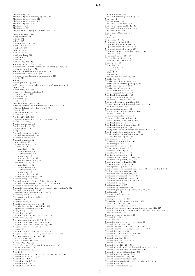Multiplicity, 462<br>Multiplicity of a covering space, 307<br>Multiplicity of a root, 112<br>Multiplicity of a zero, 462 Multiplicity order, 134<br>Multiplier, 748<br>Multipliers, 681 Multiview orthographic projections, 174 n-ary operation, 510 n-ary relation, 28<br>n-ball, 271  $n$ -ball, 215 n-boundary, 286, 287<br>n-cell, 299, 534, 585<br>n-cell e<sup>n</sup>, 299<br>n-chain, 286<br>n-chart, 413 n-coboundary, 317<br>n-cochain, 317<br>n-cocycle, 317<br>n-cycle, 86, 286, 287  $n\text{-dimensional }C^k\text{-atlas, } 541 \newline$ n-dimensional Grothendieck cohomology groups, 550 n-dimensional holes, 550 n-dim e n sio n al h om o topy g rou p s, 2 4 9 n -dim en sion al m a ni fold, 5 4 0  $n$ -dimensional Riemannian geometry, 415 n-disk, 271<br>*n*-disk, 215 n-disk (or n-ball), 271  $n-F$  system (system with n degrees of freedom), 694 n-gon, 299 n-manifold, 300, 540<br>n-order predicate calculus, 3<br>n-simple space, 313<br>n-simplex, 286 n-skeleton, 535<br>n-sphere, 271<br>n-th homology group, 550 n-times continuously differentiable function, 330<br>n-times differentiable function, 330 n-tuple, 12<br>n-variables function, 30 Naïve style, 581<br>Nabla, 343, 347, 348 Nagata-Smirnov metrization theorem, 212 Naive set theory, 8, 13<br>Napier analogies, 180<br>Napier number e, 323 Napier rules, 180<br>Nappe, 188<br>Natural equivalence, 302<br>Natural exponential, 336 Natural measure, 725<br>Natural mumber, 62 operations, 62<br>Natural number, 33, 62 addition, 63<br>associativity, 63 commutativity, 63<br>Distributivity, 63 monotony, 63 neutral element, 63 Simplification rule, 63<br>multiplication, 63 a sso cia tivity, 6 3 c om m u ta tivity, 6 3 Distributivity, 63 monotony, 63 neutral element, 63<br>Natural number object, 581 Natural perspective, 156<br>Natural topology, 193, 197–199, 204, 413<br>Natural transformation, 267, 302, 576, 600, 612<br>Naturally equivalent functors, 302<br>Naturally equivalent functors (isomorphic functors), 302<br>Naturally isomor Necessary condition, 5<br>Necessary condition (NC), 5<br>Negation, 8 Negation rules, 3<br>Negative autocorrelation, 633<br>Negatively correlated variables, 625 Negatively invariant set, 690<br>Negligible part, 232<br>Negligible set, 366<br>Neighborhood, 50, 193, 194, 198, 216 neighborhood, 199<br>Neighborhood axioms, 197, 218 Neighborhood basis, 199, 200, 543<br>Neighborhood basis (local basis), 543 Neighborhood filter, 222, 543<br>trace, 222 Neighborhood system, 193, 538, 543<br>Neighborhood system (neighborhood filter), 543<br>Neighborhood system basis, 211<br>Neil parabola, 395 Neimark-Sacker theorem, 737<br>Nerve, 296, 535, 559<br>Nerve of a cover of a simplicial complex, 296<br>Nested intervals, 323 N ested segments, 67 Net, 206 Neutral element, 32, 40, 42, 43, 64, 82, 86, 515, 516<br>Neutral element for ⊤, 40<br>Neutral line, 170 Neutral on the left, 32 Neutral point, 170<br>Neutrally stable, 687

Nevanlina class, 463<br>New Foundations (NFU,NF), 16 Newton, 14 Newton sums, 114 Newton's second law, 360<br>Newton-Gregory method, 339 Newton-Raphson method, 340<br>Newton-meter, 360<br>--Newtonian attraction, 347<br>NF, 16<br>NFU, 16 Nilpotent, 93, 135<br>Nilpotent element, 529 Nilpotent endomorphism, 135<br>Nilpotent sheaf of ideals, 570<br>Nilpotent sheaf of ideals,, 569 Nilpotent upper triangular matrix, 135<br>Nilradical, 529<br>Nine-point circle, 166, 167 No middle third set, 730 No-retraction theorem, 472 Nodal point, 381<br>Node, 258, 381<br>attracting, 717 center, 717<br>sink, 717 Node (vertex), 258<br>Node saddle bifurcation, 718 N o ethe ria n, 3 5 Noetherian affine scheme, 564<br>Noetherian induction principle, 35<br>Noetherian ring, 142, 523<br>Noetherian scheme, 563 Non denumerability, 34, 35<br>Non denumerability of R, 35 Non Euclidean metric, 153<br>Non parametric model, 685<br>Non-Algebraic functions, 336<br>Non-Archimedean valuation, 146<br>Non-autonomous differential equation, 716 n on unconomous unic.<br>Non-bicontinuous, 194 Non-connected space, 202 Non-constructibility theorem, 130 Non-contradiction in an axiomatic system, 5 Non-contradiction problem, 4<br>Non-degeneracy conditions, 699 Non-Euclidean geometry, 155<br>Non-Euclidean orthogonality, 158 Non-Euclidean plane, 154<br>Non-hyperbolic fixed points for planar fields, 702 Non-hyperbolic singular point, 699<br>Non-hyperbolic singularity, 699, 701 of saddle-node type, 701<br>Non-incident center, 158 Non-isolated singularity,  $433$ Non-isotropic line, 158<br>Non-orientable surface, 255 Non-principal filter, 19 Non-strict ordering, 45<br>Non-structured set, 47, 49 Non-topological map, 194<br>Non-trivial ideal (for lattices), 23 Non-wandering point, 690, 724<br>Noncommutative domain, 518 Noncommutative ring, 523<br>Nondegenerate point, 315 Nonhomogeneous integral equation of the second kind, 374<br>Nonhomogeneous system, 107 Nonlinear diffeomorphism, 697<br>Nonlinear dynamical system, 697 Nonlinear dynamical system , 717<br>Nonlinear estimation methods, 638<br>Nonlinear flow, 697<br>Nonlinear model, 637 Nonlinear optimization, 673 Nonlinear programming, xviii, 669, 670, 673 Nonlinearities, 742<br>Nonmeasurable set, 18 Nonresidue, 144<br>Nonsingular matrix, 105 Nontrivial subharmonic function, 491<br>Norm, 20, 146, 236, 708 Norm of a complex number, 71<br>Norm of the convergence in quadratic mean, 244, 245<br>Norm of the uniform convergence, 233, 237, 244, 245, 370, 371<br>Norm of vector, 181 Norm on a vector space, 236<br>Normability, 20 normable, 20<br>Normable topological vector space, 20<br>Normal component, 401<br>Normal curvature, 401, 403, 419, 420<br>Normal curvature of a regular surface, 420<br>Normal derivative, 489 Normal distribution, 616, 617, 622<br>Normal endomorphism, 137 Normal equation, 184 Normal equations, 626, 628<br>Normal factor, 89<br>Normal form, 128, 296, 734<br>Normal form theorem (differential equation), 698 Normal forms for diffeomorphisms, 699<br>Normal forms of bifurcations, 733 Normal monomorphism, 598 Normal monomorphism, 584, 598 Normal parameterization, 393<br>Normal parameterization of a circular helix, 393 Normal plane, 394<br>Normal representation, 77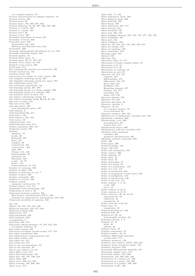of a complex number, 76<br>Normal representation of complex numbers, 76<br>Normal section, 402<br>Normal series, 89<br>Normal space, 193, 206, 207, 222<br>Normal to a patch, 399<br>Normal to a plane, 164 Normal tower, 89<br>Normal vector, 397 Normality hypothesis of errors, 627<br>Normality of errors, 626<br>Normality tests, 643 Jarque-Bera test, 643 Skewness and Kurtosis tests, 643<br>Normalizer, 308 Normally independently distributed (n.i.d.), 643<br>Normally summable family, 240<br>Normed algebra, 24<br>Normed linear space, 21<br>Normed space, 20, 21, 370, 371<br>Normed vector space, 21, 370 Normed vector spaces, 236<br>North pole, 271 Not topologically pairwise arc-connected, 196<br>Notion of attractor, 724<br>Nowhere dense, 232<br>Intersection of a simple arc with a plane, 396<br>nth (singular) homology group, 287<br>nth (singular) homology group of a space, 287<br>nth nth homology group, 287, 304<br>nth homology group of a chain complex, 290 nth homology group of a complex, 290<br>nth primitive roots of unity, 116<br>nth relative cobomology group, 317<br>nth relative homology group  $H_n(X, A)$ , 291<br>nth roots of unity, 131 Nth unit roots, 656<br>nth-rank tensor, 407 in m-dimensional space, 407 N ull elem ent, 9 Null hypothesis  $H_0$ , 617 Null object, 580 Null sequence, 522, 534<br>Null vector, 181 Null-homotopic, 274 Null-homotopic map, 274 Nullary operation, 265, 510 Numéraire goods, 760 Number<br>algebraic, 78 b-adic, 68<br>Bernoulli, 337 Betti, 257  $complex, 69$ connectivity, 257<br>connectivity , 261 ed ge, 2 6 3 Fermat, 131, 148 hypercomplex, 35<br>irrational, 68 Mersenne, 148<br>p-adic , 78, 79<br>prime , 147<br>transcendental, 78, 122 Number of crosscaps, 300<br>Number of edges, 296 Number of elements of a set, 7<br>Number of faces, 296<br>Number of handles, 300<br>Number of vertices, 296 Number system axiomatic construction, 78 Number theory, xvii, 141<br>Numerable Cech cohomology, 559 Numeration in base b, 56 Numerical harmonic analysis, 655<br>Fast Fourier transformation (FFT), 656<br>formulas for trigonometric interpolation, 655, 656 Numerical resolution of equation, 340 Ob, 576<br>Object, 38, 310, 576, 579, 598 Objective function, 670, 671, 681<br>Observed residual, 626 Obstruction, 315<br>Odd polynomial, 109 OLS estimator, 633<br>ω-assignment, 2<br>One-form, 409, 410<br>One-point compactification, 78, 210, 312, 422 of complex numbers, 78<br>One-relator group, 298<br>One-sector neoclassic growth model, 757, 758<br>One-sided convolution, 662 One-sided Fourier transformation, 657<br>One-sided surface, 255 One-sided test, 617<br>One-tailed test, 617 One-to-one correspondence, 33<br>One-to-one function, 29<br>One-to-one relation, 14, 29<br>Open affine cover, 571 Open ball, 194, 197, 199, 216<br>Open ball, 194, 197, 199, 216<br>Open cover, 208, 551, 607<br>Open covering, 193, 208, 499<br>Open curve, 214<br>Open curve, 214

Open disk, 71, 194 Open elementary chain, 260<br>Open Eulerian chain, 260<br>Open half-ball, 230 Open image, 466 Open immersion, 567, 571 Open interval, 194<br>Open manifold, 542 Open map, 201, 537 Open mapping theorem, 241, 372, 472, 477, 482, 537 Open morphism, 565 Open part, 216 O p en q -sim ple x, 2 9 4 Open set, 50, 193, 195, 198, 199, 536, 674<br>Open set axioms, 218<br>Open set topology, 536 Open subscheme, 564<br>Opening angle, 184<br>Operad, 525 Operand, 512 Operation table, 41, 515 Operations in Gauss complex plane, 76<br>Operations in N, 52<br>Operations in Z, 58 Operations on ordinals, 49 Operations on sets, 30 Operator, 20, 372, 375 compact, 375<br>differentiable, 372 differential, 374, 377<br>finite rank, 375<br>Fredholm, 376 Hermitian integral, 377 integral, 374, 377 invertible, 372<br>linear, 372, 416<br>Operator algebra, 375 Operator set, 510<br>Operator spectrum, 24 Operator variable, 3 Opposite, 40, 64 of a complex number, 76<br>of an irrational, 66 Opposite category, 265, 584<br>Optimal mix of explanatory variables, 631, 632 Optimality condition, 669<br>Optimization, xviii, 669 generalization, 671<br>normal form, 671<br>Optimization theory, 669<br>Optimization with two variables, 670 Optimum with constraint examples, 681 geometric interpretation, 681<br>Optimum without constraint, 680 Orbit, 306<br>Orbit space, 309<br>Orbital stability, 719<br>Order, 159, 579 Order and orientation, 159<br>Order contact, 396 Order diagram, 45<br>Order filter, 23 Order ideal, 23<br>Order isomorphic, 47 Order of a group, 82 Order of a polynomial , 110<br>Order of a root, 112 Order of integration, 648 Order of integration of time series, 648<br>Order of multiplicity, 134 Order of ramification, 146<br>Order of the zero, 118<br>Order relation, 7, 9, 44 cyclic, 160<br>strict, 44 Order relation on Q, 61<br>Order relation on Z, 59<br>Order structure, 38, 44, 63–65 antisymmetry, 44 reflexivity, 44 transitivity, 44 Order structure of R, 321 Order type, 47 comparison, 48 Ordered directed set, 589<br>Ordered field, 38 Ordered set, 38, 44<br>lexicographic product, 49 Ordering relation, 7, 9<br>Ordinal, 47, 48<br>finite, 48 infinite, 48 Ordinal classe, 49<br>Ordinal comparison, 49 Ordinal number, 33, 48<br>Ordinary differential equations second-order, 717<br>Ordinary geometry, 150<br>Ordinary least squares (OLS), 626, 644 Ordinary metric projective plane, 158<br>Ordinary sequence, 322 Orientable differentiable manifold, 416 Orientable regular curve, 447<br>Orientable surface, 255, 400 Orientation, 159, 286, 363, 446 Orientation of a Jordan arc, 393<br>Orientation of a plane, 150, 399<br>Orientation of a surface, 399, 400<br>Orientation of  $\Delta^{n}$ , 286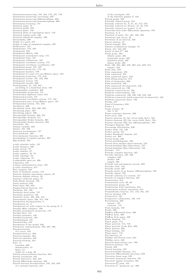Orientation-preserving, 159, 162, 173, 187, 740 Orientation-preserving (reversing), 697<br>Orientation-preserving diffeomorphism, 692 Orientation-preserving homeomorphism, 688<br>Orientation-reversing, 173<br>Oriented angle, 75<br>Oriented graph, 259<br>Oriented plane, 159<br>Oriented plane as topological space, 159<br>Oriented regular path, 446 Oriented simplicial complex, 295<br>Orientibility, 399<br>Origin of a path, 279<br>Origin of edge of simplicial complex, 297 Orthocenter, 167<br>Orthodrome, 179, 180 Orthogonal, 242<br>Orthogonal affinity, 168<br>Orthogonal axonometric map, 174<br>Orthogonal basis, 137 Orthogonal collineation, 165<br>Orthogonal coordinate system, 173 Orthogonal curvilinear coordinates, 343<br>Orthogonal group, 131, 187<br>Orthogonal group *O<sub>n</sub>*, 172, 191<br>Orthogonal measure, 479<br>Orthogonal of a part of a pre-Hilbert space, 242<br>Orthogonal projection, 174, 243<br>Orthogonal syste Orthogonal vectors, 191<br>Orthogonal wavelet, 666 Orthogonality, 21, 158, 242 according to a hermitian form, 136 Orthogonality condition, 400 Orthographic projection, 174<br>Orthonormal algebraic basis, 244<br>Orthonormal basis, 137 Orthonormal coordinate system, 172, 182 Orthonormal part of pre-Hilbert space, 137<br>Orthonormal system, 191, 243<br>Oscillatory, 686 Osculating circle, 394, 396, 398 Osculating plane, 394<br>Osculating sphere, 396<br>Ostrogradski formula, 363, 501<br>Ostrogradsky formula, 411<br>Ostrogradsky-Stokes formula, 363 Ostrogradsky-Stokes theorem, 363<br>Ostrowski, 145 Output variable, 685<br>Outset, 707, 709<br>Outward perturbation, 747<br>Over-harmonic, 493 Over-harmonic function, 493<br>Overlapping of regular patches, 399<br> $\mathcal{O}_X\text{-}\mathrm{module},$  565 p -a dic ab solu te valu e, 1 4 5  $p$ -adic distance, 220<br> $p$ -adic metric, 79 p-adic number, 67<br>*p*-adic number, 78, 79 p-adic topology, 79<br>p-adic valuation, 79 p-admissible open set, 306<br>p-function, 434 p-linear antisymmetric form, 139 p-value (statistics), 617<br>Pair category, 584<br>Pairs of harmonic points, 172<br>Pairwise disjoint equivalence classes, 28 Pairwise disjoint subsets, 28 Pairwise relatively prime, 57<br>Palis-Smale theorem, 724 Panel analysis, 633<br>Panel data, 625, 633<br>Pappus-Pascal theorem, 155 Parabola, 185, 186<br>Parabolic fixed point, 747<br>Parabolic geometry, 149<br>Parabolic point, 402, 403, 419 Paracompact space, 208, 211, 538<br>Paradoxical decomposition, 8 Paradoxical set, 8<br>Paradoxical set with respect to the group G, 8 Parallel affine subspace, 190<br>Parallel axonometric projection, 174 Parallel lines, 154<br>Parallel postulate, 149 Parallel projection, 168<br>Parallelepiped, 191 Parametering, 445<br>Parameters of the model, 626 Parametric representation, 393, 397, 398<br>Parametrization of a curve, 445 Parametrized arc, 392 Parseval equality, 653<br>Parseval equation, 655 Parseval formula, 244 Part, 11 art, 11<br>bounded, 209 denum era ble, 5 4 finite, 54<br>stable by a map, 30 Partial autocorrelation function, 643<br>Partial correlation, 631<br>Partial derivative, 342, 343 Partial differential equation, 388 Partial fraction decomposition, 335, 434, 659<br>of a rational function, 434

of the cotangent, 434<br>of the function gamma Γ, 434<br>Partial graph, 258 Partially ordered group, 512<br>Partially ordered set, 9, 21, 45, 512, 579<br>Partially ordered set (Poset), 21, 45, 579<br>Partially ordered set (poset), 9, 45<br>Particular first-order differential equations, 379 Partition, 8, 9<br>Partition of unity, 411, 481, 495, 499 Partitions and covers, 32 Partitions of an interval, 349 Pascal relation, 55<br>Pascal triangle, 333 Pascal's arithmetical triangle, 55<br>Patch, 415, 542, 687<br>Patch of class C<sup>T</sup>, 398<br>Patch point, 402<br>elliptic point, 402 hyperbolic point, 402 parabolic point, 402<br>
planar point, 402<br>
Path, 196, 204, 260, 276, 392, 444, 499, 574<br>
regular, 444<br>
Path class, 279 Path component, 276 Path connected, 276<br>Path connected space, 276 Path lifting property, 574<br>Path of integration, 660 Path-connected, 546<br>Path-connected (0-connected), 546 Path-connected set, 196 Pathwise connected set, 196<br>Pathwise connectedness, 546 Pathwise-connected, 196, 538, 539, 545, 546 Pathwise-connected (path-connected, 0-connected), 546<br>Pathwise-connected space, 196 Paving, 447<br>Peak of frequency, 650 Peano, 4 Peano axioms, 49 5 th, 5, 4 9 Pea n o e xis tenc e theo rem , 3 8 6 Pearl curve,  $638$ Peixoto theorem (I) (for vector field, flow), 704 Peixoto theorem (II) (for vector field, flow), 704<br>Peixoto theorem (III) (for diffeomorphism), 705 Pentagon diagram, 586 Percentage distribution, 620 Perfect field, 125, 530<br>Perfect group, 315 Perfect Reinhardt domain, 441 Perfect set, 369 Period bands, 436 Period parallelograms, 436<br>Period three implies chaos theorem, 733 Period-doubling (flip bifurcation), 737<br>Period-doubling (flip) bifurcation, 748<br>Periodic , 714<br>Periodic function, 435, 436<br>Periodic function, 435, 436 complex, 435 doubly, 436<br>simply, 436 Perio dic n on -a u to n om ou s sy s tem , 6 9 3 Periodic orbit, 710 Periodic point, 687 Periodic point of an Anosov diffeomorphism, 705<br>Periodic signal, 726<br>Periodic solution of a system, 717 Periods of complex function, 435<br>Permutation, 613 Permutation cycle, 86, 90<br>Permutation group, 86<br>Permutation with repetitions, 614 Permutation without repetition, 614 Perpendicular bisector, 151, 153, 161, 167<br>Perron integral, 370 Perspective, 156<br>Perspective collineation, 156, 170 Perturbation 685 inward , 747<br>outward , 747 Pesin formula, 728 Petals, 298<br>Pfaffian differential form, 408 Pfaffi an form, 408<br>Phase diagram, 715<br>Phase plane, 715<br>Phase plane, 715<br>Phase portrait, 715, 716<br>Phase portrait of the flow, 690 Phase-locking, 762<br>Phase-locking, 742<br>Phase-space, 715<br>Phi function, 57<br>Phillips and Perron tests, 644<br>Phillips curve, 638 Physical depreciation rate, 760<br>Physical measure, 725 Picard, 428<br>Picard iteration, 387 Picard-Lindelöf theorem, 714<br>Piecewise differentiable functions, 659 Piecewise linear map, 295<br>Piecewise monotonic function, 351 Piecewise regular boundary, 501 Piecewise- $\mathcal{C}^k$  path, 444<br>Piecewise- $C^r$  geometric arc, 392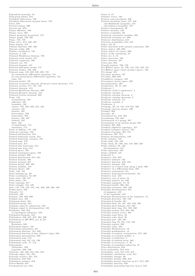Pigeonhole principle, 53<br>Ping-pong lemma, 518<br>Pitchfork bifurcation, 736<br>Pitchfork bifurcation (normal form), 733  $Pivot, 670$ Pivotal column, 669 Pivotal row, 670<br>Planar affinities, 168 Planar affinities, 168<br>Planar curve, 394<br>Planar geometric projection, 173<br>Planar geometric projection, 173<br>Plane, 150, 159<br>Plane curve, 214, 395, 397<br>Plane lamina, 412<br>Plateau function, 495, 500<br>Platonic solids, 296 Plucker coordinates, 138 Poincaré, 4, 138<br>Poincaré Bendixson theorem, 720 Poincaré circle model, 176 Poincare circle model, 176<br>Poincaré conjecture, 295<br>Poincaré cut, 721<br>Poincaré formula, 413<br>Poincaré half-plane model, 177 Poincaré lemma, 448, 498<br>Poincaré lemma, 448, 498<br>Poincaré map, 416, 692, 693, 695, 721 for autonomous differential equations, 721 for non-autonomous differential equations, 721  $roles, 721$ Poincaré model, 176 Poincaré recurrence theorem (Poincaré return theorem), 718<br>Poincaré recurrence theorem (Poincaré return theorem), 718 Poincaré theorem, 412 Poincaré-Bendixson theorem, 690 Poincaré-Brouwer theorem, 412<br>Poincaré-Cartan invariant, 695 Point,  $150$ accumulation 105 accumulation,<br>adherent, 195<br>boundary, 195 coundary, 199<br>cluster, 195, 322, 323, 341, 423<br>exterior, 195<br>frontier, 195 heteroclinic, 703<br>homoclinic, 703 interior, 195, 537<br>isolated, 195 limit, 195<br>of equilibrium, 714 stationary, 714<br>Point at infinity, 157, 422 Point-set topology, 193<br>Pointed deformation, 313 Pointed homotopy axiom, 312<br>Pointed homotopy category, 281 Pointed nomotopy category, 28<br>Pointed map, 272<br>Pointed pair, 314<br>Pointed pair homotopy, 314<br>Pointed pair map, 314<br>Pointed space, 538<br>Pointed topological space, 538 Poisson bracket, 698<br>Poisson distribution, 617, 621 Poisson formula, 486<br>Poisson integral, 487 Poisson kernel 486 488 Poisson stability, 718 Poisson theory, 426<br>Polar, 156, 184 Polar blowing up, 701<br>Polar coordinates, 76, 687 Polar coordinates, 70, 087<br>Polar form, 136, 137<br>Polar plane, 184<br>Polar topology, 377<br>Polar triangle, 154, 180<br>Pole, 118, 152, 156, 158, 184, 428, 429, 464, 465 Polish space, 232<br>Polyadic, 511<br>Polydisk, 440 Polygon, 168, 289, 669<br>Polygon area, 168 Polygonal chain, 254<br>Polygonal group, 254 Folygona equal by adjunction, 169<br>Polygons equal by defunction, 168<br>Polygons equal by decomposition, 168<br>Polyhedra, 250, 253<br>as topological subspaces, 250 as topological subspaces, 250<br>Polyhedral Formula, 412<br>Polyhedron, 250, 251, 255, 294, 296<br>Polyhedron in  $(\mathbb{R}^p, \mathfrak{R}^p)$ ,  $p \le 3$ , 251<br>Polynomial Bernstein, 338<br>Polynomial degree, 120 Polynomial equivalence, 69<br>Polynomial function, 112, 333 relation of lags (Almon's lags), 640<br>Polynomial function of lags (Almon's lags), 640 Polynomial map, 112<br>Polynomial ring, 69, 119, 120 Polynomial roots, 77, 112 Polynomials Chebyshev, 338 Legendre, 339, 340 Legendre, 339, 340<br>Polytope, 168, 250, 251, 255, 534<br>Polytope edges, 251, 255<br>Polytope vertices, 251, 255<br>Population, 616, 622<br>Population variance, 616<br>Porter-Hudak, 651<br>Porter-Hudak, 651

Portmanteau test, 643

Poset, 9, 45 Position vector, 182<br>Position vector, 182<br>Positive autocorrelation, 633<br>Positive hermitian form, 137, 242 and Minkowski inequality, 137<br>and Schwarz inequality, 137<br>and Schwarz inequality, 137 Positive homogeneity, 20<br>Positive measure, 442 Fositive scalability, 20<br>Positive scalability, 20<br>Positively correlated variables, 625<br>Positively invariant set, 690<br>Posterior distribution, 618 Posterior probability, 615, 618 Power, 33, 34<br>Power functions with rational exponents, 336<br>Power object, 580, 609 Power object (in topos), 609 Power of the continuum, 37<br>Power set, 8, 13 Power spectrum, 726 Power theorem, 167 Power-law, 652<br>
Prandtl number, 726, 749<br>
Pre-Hilbert space, 21, 136, 137, 242, 370, 371 Pre-Hilbert space, 21, 150, 151, 242, 510, 511<br>Pre-Hilbert space (inner product space), 136<br>Pre-image, 521 Pre-inner product, 137<br>Pre-limit, 266, 602 Preadditive category, 585 Precompact metric space, 229<br>Precomposition, 365<br>Predecessor, 49, 51, 322 Predicate, 1<br>Predicate, 1<br>Predicate (with 3 arguments), 2 Predicate calculus, 2 Predicate calculus, 2<br>Predicate calculus theorem, 2<br>Predicate calculus theorems, 3 Predicate carculus theo<br>Predicate symbols, 511<br>Predicates, 2 Preimage, 29, 53, 194, 519–521, 560<br>Preimage, 29, 53, 194, 519–521, 560<br>Preimage (inverse image), 520<br>Prelimit, 602 Preorder, 23<br>Preordered set, 579, 582 Preordering, 579, 582<br>Presentation of a group, 297 Fresentation of a group, 235<br>Presheaf, 267, 606<br>Presheaf, 267, 606<br>Presheaf (agebraic topology), 551<br>Presheaf (adegory theory), 551<br>Presheaf (category theory), 551<br>Preshear of groups, 267, 551<br>Presheaves, 267, 551<br>Presheav Primary decomposition, 136<br>Prime element, 142 Frime eienent, 142<br>
Prime field, 125, 126<br>
Prime ideal, 22, 100, 142, 143, 269, 528<br>
Prime number, 56, 120<br>
decomposition, 147<br>
Prime spectrum, 529<br>
Prime subfield, 125 Primeval, 2<br>Primitive, 352, 353 Primitive, 302, 303<br>
Primitive element, 123<br>
Primitive function, 349, 352<br>
Primitive integral, 349<br>
Primitive of a closed form along a path, 469<br>
Primitive of a differential form, 498<br>
Primitive polynomial, 121<br>
Primitive Primitive polynomial irreducible, 121<br>Primitive root, 125 Frimitive root, 125<br>Principal analytic set, 560<br>Principal analytic set, 560<br>Principal argument, 74, 76<br>Principal bundle, 268, 561 Principal curvature, 403, 420<br>Principal determination, 455 of argument, 455<br>of the logarithm, 455 Principal determination of the argument, 74<br>Principal direction, 188, 189 Principal direction, 180<br>
Principal G-bundle, 561<br>
Principal ideal, 22, 101, 528, 529, 560<br>
Principal ideal domain, 101, 528<br>
Principal ideal ring, 101, 528<br>
Principal normal, 373, 393, 398<br>
Principal normal, vector, 394<br> Principal order filter, 23<br>Principal order ideal, 23 Principal parat, 430, 465<br>Principal part, 430, 465<br>Principal ring, 95, 101, 142, 528<br>Principal symbol, 389<br>Principal value, 499<br>Principia Mathematica, 16<br>Principia mathematica, 14<br>Principia mathematica, 14 Principle of analytic continuation, 457, 486<br>Principle of analytic continuation, 457, 486 Principle of induction, 5<br>Principle of isolated zeros, 462 Principle of recurrence, 5, 49<br>Principle of recurrence, 5, 49<br>Principle of transfinite induction, 47<br>Prior distribution, 618 Prior probability, 615, 618<br>Probability, 815, 618<br>Probability, xviii, 613, 615, 618<br>Probability calculation, xviii, 615 Probability calculation, xviii, 615<br>Probability charges, 26<br>Probability density, 620, 634<br>Probability density, function (p.d.f), 615, 620<br>Probability function, 620<br>Probability generating function (p.g.f), 616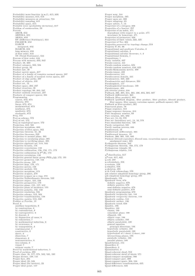Probability mass function (p.m.f), 615, 620<br>Probability measure, 615, 618<br>Probability measures on attractors, 724<br>Probability sampling, 615<br>Probability space, 615<br>Probable error (probability deviation), 617<br>Problem of enum Process ARCH, 652<br>ARFIMA, 651 ARMA, 652<br>DS (Difference Stationary), 644 FIGARCH, 652<br>GARCH integrated, 652<br>IGARCH, 652 long memory, 650<br>of first order, 644<br>TS (Trend Stationary), 644 Process of first order, 644 Process with memory, 633, 643<br>Product, 38, 603 Product category, 583, 584<br>Product group, 82<br>Product law, 40 Product metric space, 217 Product of a family of complete normed spaces, 237<br>Product of a family of normed vector spaces, 237<br>Product of edge paths, 297<br>Product of objects, 310 Product set, 13<br>Product space, 202, 237 Product structure, 38<br>Product topology, 66, 202, 237<br>Product uniform structure, 237 Products of compact spaces, 224 Programming<br>convex, 673, 674 discrete, 673<br>linear, 673, 674 mathematical, 673 nonlinear, 674<br>quadratic, 673 sto chastic, 673 Proj, 572<br>Proj as scheme, 572 Proj as set, 572 Proj as topological space, 572<br>Projection, 310, 561<br>Projection morphism, 603<br>Projection of fiber space, 562 Projection theorem, 21, 26<br>Projection theorems, 242<br>Projection to normal plane, 395 Projection to osculating plane, 395<br>Projection to rectifying plane, 395<br>Projective algebraic set, 513, 532 Projective bi-ratio, 176<br>Projective ccorrelation, 158 Projective collineation, 156, 158, 171, 173<br>Projective collineation in  $P^2(\mathbb{R})$ , 173 Projective correlation, 156<br>Projective general linear group  $PGL_n(q)$ , 172, 191<br>Projective geometry, 149, 156 Projective group, 149<br>Projective map, 170, 171<br>Projective metric, 158 Projective module, 554 Projective morphism, 572<br>Projective *n*-space, 270 Projective n-space on a ring, 572 Projective Nullstellensatz theorem, 533<br>Projective object, 555, 556 Projective perspective, 170<br>Projective plane, 155, 157, 412<br>Projective plane of incidence, 155<br>Projective polarity, 152, 158<br>Projective resolution, 556<br>Projective scheme, 513, 564 Projective transformation, 156<br>Projective variety, 513, 532 Proklos or Proclus, 13<br>Proof, 6 auxiliary hypothesis, 6 by construction, 6<br>by contradiction, 6 by contrapositive, 6 by descent, 6<br>by disjunction of cases, 6 by exhaustion, 7<br>by mathematical induction, 6 by recurrence, 6 by transposition, 6<br>combinatorial, 7 constructive, 6 direct, 6<br>dissection, 7 elementary, 6 nonconstructive, 6 tw o -colum n, 6 visu al, 7 without words, 7 Proof of excision, 293<br>Proof of excision, 293<br>Proper class, 16, 577, 578, 582, 585, 595<br>Proper divisor, 120, 141<br>Proper ideal, 22, 528<br>Proper ideal, 22, 528 Proper ideal (for lattices), 23 Proper ideal point, 157

Proper map, 544<br>Proper morphism, 565 Proper open set, 309 Proper subgroup, 83<br>Proper subset, 7, 13<br>Properties of a category, 256<br>Properties of a functor, 257<br>Properties of an index, 471 dependence with respect to a point, 471<br>invariance by homotopy, 471 Properties of estimators, 626<br>Properties of limit values, 323, 325 Properties of Tor, 304 Properties preserved by topology change, 218<br>Property P, 65, 66<br>Propositional and predicate Calculus, 2 Propositional calculus, 2<br>Propositional calculus theorems, 1, 2<br>Propositional formula, 1 Propositions, 1 Proxy variable, 637<br>Pseudo-convex, 441 Pseudo-random number, 624<br>Pseudo-random numbers, 616, 623 Pseudo-Riemannian metric, 409 Pseudo-tensor, 408<br>Pseudoconvex, 441 P seudoconvex domain, 441 P seudometric, 220, 230 Pseudometrics and distances, 234<br>Pseudosphere, 177<br>Pseudospherical loxodrome, 180 Pseudotensor, 408 pth exterior power, 316<br>Pullback, 266, 305, 314, 364, 498, 604, 605, 607<br>Pullback (differential), 365<br>Pullback (fiber product), 604 Pullback (pullback diagram, fiber product, fibre product, fibered product,<br>fiber square, fibre square, cartesian square, pullback square), 604<br>Pullback as fibre-product, 365 Punctured plane, 78<br>Puppe sequence, 313<br>Puppe sequence theorem, 313 Pure imaginary number, 69<br>Pure rotation, 691, 692 Pure set, 14, 16, 578<br>Pure set (hereditary set), 14, 16, 578 Pure sinusoidal function, 726 Purely categorical, 581<br>Purely random process, 633<br>Pushforward, 19 Pushforward (differential), 365<br>Pushforward measure, 19<br>Pushout, 266, 305, 535, 605<br>Pushout (fibered coproduct, fibered sum, cocartesian square, pushout square, am algamed sum), 605<br>Pythagoras theorem, 242 Pythagorean theorem, 169, 175, 178<br>Pythagorean triangle, 93 Pythagorean triplets, 144  $\chi^2$ -distribution, 617<br> $\chi^2$ -test, 617, 622 q-cell, 297<br>q-coboundary, 558 q -co ch ain, 5 5 9 q -sim ple x, 5 5 8 q-skeleton, 295<br>q-th Cech cohomology, 559<br>qth relative simplicial homology group, 296 qth simplicial homology group, 295<br>Quadrangle, 158<br>Quadratic form, 678 definite negative, 678<br>definite positive, 678 sem i-definite negative, 678 sem i-d efi nite p o sitive, 6 7 8 Q u a d ra tic p ro g ram m in g, 6 7 0 Quadratic reciprocity law, 144<br>Quadratic reciprocity theorem, 144<br>Quadratic residue, 144 Quadratic surface, 186<br>Quadratic trend, 650 Quadric, 186 Quadrics, 188<br>classes, 188 coincident plane, 188<br>ellipsoid, 188<br>elliptic cone, 188 elliptic cylinder, 188 elliptic paraboloid, 188<br>general equation principal directions, 188<br>hyperbolic cylinder, 188 hyperbolic paraboloid, 188<br>hyperboloid of 1 sheet; 2 sheet, 188<br>intersectiong planes, 188 parabolic cylinder, 188 parallel planes, 188 Q u a d rila teral, 1 5 4 Quantifier, 2<br>Quantifiers, 2 Quantization, 2 Quasi-coherent sheaf, 553<br>Quasi-coherent sheaf of ideals, 571 Quasi-compact morphism, 566 Quasi-compact part, 208<br>Quasi-compact space, 208, 538 Quasi-difference transformation, 635 Q u a si-diff eren ces, 6 3 5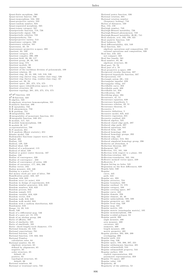Q u a si-fi nite m o rp hism , 5 6 6 Quasi-inverse functor, 596<br>Quasi-isomorphism, 534, 592<br>Quasi-projective variety, 533 Quasi-random number, 624<br>Quasi-separated morphism, 565 Quasi-tensor category, 587<br>Quasiperiodic function, 718, 726 Quasiperiodic signal, 726<br>Quasiperiodic solution, 722 Quasiperiodicity, 734<br>Quasiprojective variety, 513 Quasitensor category, 586<br>Quaternary relation, 161 Quaternion, 35, 79 Quaternion, 69, 19<br>Quaternionic projective n-space, 299 Quotient, 64, 109 Quotient category, 273<br>Quotient complex, 290, 298<br>Quotient field, 38, 99, 117 Quotient group, 38, 88, 505<br>Quotient map, 574 Quotient module, 38<br>Quotient object, 580 Quotient of the euclidean division of polynomials, 109 Quotient relation, 38<br>Quotient ring, 38, 43, 100, 143, 516, 526 Quotient ring (factor ring, residue class ring), 526<br>Quotient ring (factor ring, residue-class ring), 43 Quotient set, 28, 34<br>Quotient space, 201, 275, 574, 575<br>Quotient space (identification space), 574 Quotient structure, 38<br>Quotient topology, 201, 255, 275, 574, 575  $\mathbb{R}^2$ - $\mathbb{R}^2$ -function, 423 R<sup>2</sup>-R-function, 423<br>R-algebra, 523<br>R-algebraic structure homomorphism, 521 R-an aly tic fun ction, 4 8 6 R -B in s tability, 7 5 0 R-B phenomenon, 750<br>R-B problem, 751 *R*-integrability, 349<br>*R*-integrability of monotonic function, 351 *R*-integrable function, 349–351<br>R-module, 517, 521 R-module homomorphism, 536<br>R-module M, 517 α-representatives, 708<br>R/S analysis, 651<br>R/S analysis (Hurst statistic), 651 Rössler model, 729 Rademacher functions (square wave), 668 Radial, 491 Radian, 182<br>Radical, 129, 529 Radical ideal, 529<br>Radical of a polynomial, 115 Radical of ideal, 529<br>Radical or power center theorem, 167<br>Radius, 150 Radius of convergence, 328 Radius of convergence , 333<br>Radius of convergence of series, 426 Radius of curvature, 177, 394, 396<br>Radius vector, 182<br>Radon measure, 442, 446<br>Radon measure, 442, 446<br>Raising to a power, 77<br>Ral money stock per unit of labor, 760<br>Random, 616, 623<br>Random error (or noise), 616 Random in design of experiments, 616<br>Random number generator, 616, 623<br>Random numbers, 616, 623 Random process, 642<br>Random sample, 615<br>Random variable, 616, 620 Random vector, 616<br>Random walk, 616, 623 Random walk model, 644<br>Random with a uniform distribution, 623 Randomize, 616<br>Range, 14, 29, 519<br>Rank, 546 Rank of a differential map, 546<br>Rank of a pure set, 15, 578<br>Rank of an abelian group, 286 Ratio of affinity, 168<br>Ratio of similiarity, 165<br>Ratio: chord length/circle diameter, 174<br>Ratio: chord length/circle diameter, 174<br>Rational domain, 43, 516 Rational expectations, 761<br>Rational fraction, 119<br>Rational function, 119, 333, 334 Rational Number<br>calculation rules, 64 Rational number, 64, 65 algebraic structure, 65<br>defined by alignments, 65 n egative, 65 o rder stru ctu re, 6 5 d e fault, 6 5 positive, 65<br>topological structure, 65 default, 66 Rational numbers, 60 Rational or irrational ratio, 722

Rational power function, 336 Rational rotation, 691<br>Rational rotation number  $($  frequency locking $)$ , 744 Ratios of distances, 169<br>Ray, 152, 159<br>Rayleigh number, 749<br>Rayleigh-Bénard instability, 726 Rayleigh-Bénard phenomenon, 749<br>Rayleigh-Benard instability (R-B), 741 Real analysis, xvii, 193, 198, 321<br>Real analytic function, 548 Real balances, 761<br>Real differentiability, 424, 549 Real function, 324<br>algebraic operations and composition, 325 rational operations and composition, 326<br>Real line, 216, 225 not compact, 223 Real line bundle, 561<br>Real number, 65, 66 algebraic structure, 66<br>Real part, 70, 76<br>Real part of z, 70 Real projective n-space, 299<br>Reciprocal circular function, 337 Reciprocal hyperbolic function, 337 Rectangle axiom (R), 153<br>Rectangular impulse, 658<br>Rectangular tiling, 447<br>Rectifiable curve, 358<br>Rectifiable path, 499<br>Rectifiable set, 358 Rectification, 130 Rectifying plane, 394<br>Recurrence, 47, 51 Recurrence equation, 639 Recurrence hypothesis, 5<br>Recurrence relation, 39, 51 Recurrence theorem, 51 Recursive, 5<br>Recursive definition, 5 Recursive model, 625, 642 Recursive regression, 631 Recursive residual, 631<br>Reduced algebra, 525 Reduced closed edge path, 297<br>Reduced edge path, 297<br>Reduced equations, 641<br>Reduced form, 128 Reduced homology, 292 Reduced homology, 252<br>Reduced homology groups, 292 Reduced ring, 525<br>Reduced scheme, 513, 564 Reduced simplicial homology group, 296<br>Reductio ad absurdum, 6<br>Reduction theorem, 297 Refinement, 567 Reflection, 151, 161, 168 Reflection, 191, 191, 199 Reflection-rotation, 165<br>Reflection-translation, 162, 164 Reflexive normed vector space, 239 Reflexivity, 7<br>Region having no holes, 545 Regression on the first differences, 639 R e gula falsi, 3 4 0 Regular curve, 445<br>path, 444 Regular arc, 393<br>Regular attractor, 724<br>Regular boundary, 500<br>Regular cardinal, 15, 578 Regular category, 588 Regular covering space, 307<br>Regular curve, 445<br>Regular domain, 356 Regular element, 33, 40<br>Regular epimorphism, 588, 599 Regular geometric arc, 393<br>Regular local ring, 526 Regular map, 531 Regular matrix, 105<br>Regular matrix (nonsingular matrix), 105<br>Regular monomorphism, 599 Regular n-sided polygon, 84<br>Regular patch, 398 angle measure, 400<br>area measure, 400 curvature, 401<br>isometric, 400<br>length measure, 400<br>metric geometry, 401 Regular patches, 392, 398, 399<br>overlapping, 399 Regular path, 444 Regular ring, 526<br>Regular space, 193, 206, 207, 221 Regular subharmonic function, 491<br>Regular submanifold, 544 Regular submanifold property, 544 Regular surface, 359<br>explicit representation, 359 parametric representation, 359 Regular T1-space, 207<br>Regular value, 133 Regularity, 40<br>Regularity of the addition, 52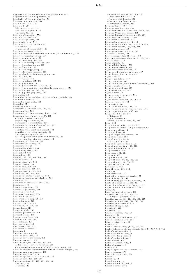Regularity of the addition and multiplication in  $\mathbb{N}$ , 52 Regularity of the multiplication, 55<br>Regularity of the multplication, 52<br>Reinhardt domain, 421, 441 Relaminarization, 746<br>Relation, 2, 297 left surjective, 29, 519<br>less than or equal to, 36 univocal, 29, 519<br>Relation of homotopy, 573 Relation symbols, 511 Relational signature, 511 Relational system, 510<br>Relations, xvii, 27, 29, 38, 681 compatible, 38<br>conditions of compatibility, 38 Relations and structures, xvii<br>Relations between coefficients and roots (of a polynomial), 113 Relative cobomology group, 317<br>Relative complement, 8, 12 Relative frequency, 620, 624<br>Relative homeomorphism, 299, 300 Relative homology group, 291<br>Relative homotopy, 279 Relative homotopy group, 314<br>Relative Hurewicz theorem, 315 Relative slmplicial homology group, 296<br>Relative Spec, 572 Relative tensor, 408<br>Relative topology, 197, 538<br>Relatively compact, 480<br>Relatively compact set, 375, 458, 480<br>Relatively compact set (conditionally compact set), 375<br>Relatively prime, 57, 143, 144<br>Relatively prime (coprim Removable singularity, 464<br>Renaming, 37<br>Repeating decimal, 68<br>Representable functor, 267, 597, 600 Representation, 580<br>Representation (representing object), 580 Representation of a curve in  $\mathbb{R}^2$ , 397 explicit representation, 397<br>implicit representation, 397 parametric representation, 397<br>Representation of a diffeomorphism, 691 Representation of line, 183<br>equation with point and normal, 184<br>equation with vector product, 184 homographic equation, 184 vector equation with point and direction, 183<br>vector equation with two points, 183 Representation theorem, 243<br>Representation theory, 509 Representative, 28 Representing object, 580 Reproducing kernel, 461<br>Residual, 23, 626 Residual *et*, 626<br>Residue, 119, 144, 430, 476, 506 Residue class, 143<br>Residue class ring, 526<br>Residue classes, 100<br>Residue field, 270, 526 Residue theorem, 430, 476<br>Residue-class ring, 43, 143 Resolution, 555, 556, 558<br>Resolution (abstract algebra), 558 Resolution (homological algebra), 556<br>Resoluton, 553<br>Resoluton of differential sheaf, 553 Resonance, 698 Resonant condition, 700<br>Resonant eigenvalues, 698 Restoring force, 648<br>Restricted homotopy, 573 Restriction, 30, 573<br>Restriction of a map, 29, 573 Restriction rule, 329<br>Retract, 249, 271, 573 Retraction, 36, 271, 573<br>Return force, 648 Return to scale, 758<br>Revealed preferences, 760 Reversal of axis, 173 Reverse homothety, 165<br>Reynolds number, 727<br>Ricci calculus, 407 Ricci curvature, 419<br>Ricci tensor, 409, 419<br>Richardson theorem, 3 Riemann, 4 Riemann criterion, 350<br>Riemann curvature, 415 Riemann curvature tensor, 409<br>Riemann geometry, 415<br>Riemann integral, 349, 350, 355, 368 of functions of several variables, 355 on measurable domains of  $\mathbb{R}^2$  in the Jordan sense, 356 Riemann integral transformation into curvilinear integral, 363<br>Riemann mapping theorem, 483<br>Riemann space, 407, 415<br>Riemann space, 407, 415<br>Riemann sphere, 78, 415, 422, 423, 482<br>Riemann sum, 350, 358, 360 Riemann surface, 78, 415, 421, 423, 431 abstract, 432<br>concrete, 432

obtained by compactification, 78<br>of logarithm function, 432<br>of sphere with handle, 432<br>of square root function, 432 topological structure, 432<br>Riemann tensor, 409, 415<br>Riemann zeta function, 338<br>Riemann-Christoffel curvature tensor, 409 Riemann-Christoffel tensor, 409<br>Riemann-integrable function, 350, 368 Riemann-Stieltjes integral, 369 Riemannian connection, 418 Riemannian geometry, 413, 415<br>Riemannian manifold, 407, 415, 418, 540 Riemannian metric, 407, 408, 418<br>Riemannian space, 415 Riemannian structure, 415, 708<br>Rienhardt domain, 441 Riesz decomposition theorem, 492 Riesz representation theorem, 21, 375, 442 Riesz theorem, 375<br>Right adjoint, 589 Right adjoint functor, 595<br>Right angled triangle, 178 Right cancellable element, 33 Right closed monoidal category, 587<br>Right derived functor, 556, 557<br>Right ideal, 22 Right R-module M, 517<br>Right resolution, 556 Right resolution (coresolution, resolution), 558<br>Right triangle, 175, 178 Right zero morphism, 599 Right-exact functor, 595 Right-inverse, 32<br>Right-inverse element, 42, 515 Right-invertible, 32<br>Right-neutral element, 32, 42, 515 Rigid motion, 161, 163<br>Rigid object, 588 Rigid transformation, 161, 163 Rigid transformation (rigid motion), 161 Rigid transformation in  $\mathbb{R}^3$ , 164 Ring, 38, 42, 81, 92, 516<br>of integers, 63 of polynomials, 69<br>without divisor of zero, 43, 516 Ring , 522<br>Ring homomorphism, 94, 99, 521 Ring homomorphism (ring morphism), 94 Ring isomorphism, 94<br>Ring morphism, 94<br>Ring of congruence classes, 100 Ring of fractions, 528<br>Ring of integers, 63, 64 calculation rules, 64 Ring of integers modulo n, 96<br>Ring of matrices (n,n), 43, 516 Ring of polynomials, 43, 516<br>Ring spectrum, 529<br>Ring theory, 81, 514 Ring with a one, 522<br>Ring with a one, 522<br>Ring with identity, 43, 516, 522<br>Ring with unity, 43, 516, 522<br>Ringed space, 513, 552<br>Ritt algebra, 527 Rolle theorem, 331, 332<br>Roof, 601 Root extraction, 128 Root nth of a complex number, 77<br>Root of unity, 73, 131 Root of unity (de Moivre number), 73<br>Roots of a polynomial, 112, 121<br>Roots of a polynomial of degree n, 121 Roots or zeros of a polynomial,  $112$ R o se, 2 9 8 Rose (bouquet of circles), 298<br>Rotation, 41, 157, 162, 164, 515 of a regular polygon,  $41,515$ Rotation group, 41, 131, 160, 191, 515<br>Rotation number, 691, 734, 740, 743<br>Rotation of a vector field, 413 Rotation of angle, 173 Rotational, 347 Rotations, 157 Rouché theorem, 477, 504 Rough set, 16<br>Routh-Hurwitz conditions, 753 Row stochastic matrix, 623<br>RSA (cryptosystem), 96 Ruelle, 733<br>Ruelle-Takens theory (R-T), 727, 741<br>Ruelle-Takens-Newhouse scenario (R-T-N), 727, 739, 741 Rule of contraposition, 2<br>Rule of modus barbara, 2 Rule of modus ponens, 2<br>Rule of modus tollens, 2<br>Ruled surface, 404 Rules of distributivity, 2 Rules of inference, 1 Runge, 479 Runge approximation theorem, 479<br>Runge theorem, 478<br>Runge-Kutta method, 388 Russel, 13 R u ssell, 8, 1 4 Russell paradox, 4 Russell paradoxical set, 8<br>Russell's antinomy, 8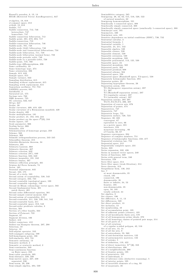Russell's paradox, 8, 13, 14<br>RVAR (Retricted Vector AutoRegressive), 647 σ-algebra, 18, 618 σ-compact space, 212<br>σ-field, 18, 618<br>Saddle, 717<br>Saddle connection, 712, 746 heteroclinic, 747<br>homoclinic, 747<br>Saddle connection bifurcation, 712<br>Saddle point, 381, 673, 694, 717 Saddle-connection, 710 Saddle-connection bifurcation, 746<br>Saddle-node, 701, 748<br>Saddle-node (fold) bifurcation, 748<br>Saddle-node (fold) bifurcation, 748<br>Saddle-node bifurcation, 711, 748<br>Saddle-node bifurcation (normal form), 733<br>Saddle-node peri Saddle-type diffeomorphism, 696<br>Same cardinality, 33 Same homotopy type, 274<br>Same orientation, 286 Sample, 615, 622<br>Sample space, 615 Sample variance, 622<br>Sampling distribution, 615 Sampling without replacement, 615<br>Sampling witth replacement, 615 Samuelson oscillator, 751–753<br>SARIMA process, 645<br>Satisfiable, 2<br>Saturated set, 575 Savings rate, 760<br>SBR measure, 725 SC criterion, 632, 647<br>SC(p), 647<br>Scalar, 20<br>Scalar curvature, 409, 419, 420<br>Scalar curvature of a Riemannian manifold, 420<br>Scalar density, 408 Scalar multiplication, 181<br>Scalar product, 21, 182, 183, 244<br>Scalar product on the space  $l^2(\mathbb{K}),$  244<br>Scalar square, 137 Scale parameter, 666<br>Scaling factor, 666 Schauder, 370<br>Schematization of homotopy groups, 250 Scheme, 563<br>Schemes, 269<br>Schmidt orthogonalization process, 243–245<br>Schoenflies theorem, 215<br>Schröder-Bernstein theorem, 34<br>Schwartz, 391<br>Schwartz Laurent, 668<br>Schwartz theorem, 467 Schwarz criterion, 632<br>Schwarz criterion (SC), 640<br>Schwarz function, 632, 640<br>Schwarz inequality, 191, 242<br>Schwarz lemma, 467 Schwarz reflection principle, 461<br>Scipion del Ferro formula, 74<br>Screw, 165<br>Secant, 163, 175<br>Secant of a circle, 163<br>Secant of a circle, 163<br>Secant of a circle, 163<br>Second axiom of countability, 538, 543<br>Second category, 23 patch theory, 401<br>Second order differential equation, 381 Second sample central moment, 622<br>Second-axiom of countability, 212<br>Second-countable, 211, 538, 539, 541, 542<br>Second-countable basis, 211<br>Second-countable space, 212, 543<br>Second-order predicate calculus, 3 Section, 563<br>Section of a fiber bundle, 563 Section of Poincaré, 722<br>Segment, 67 Segment division, 166<br>Seifert, 412 Seifert conjecture, 412 Seifert-van Kampen theorem, 297, 298 Selection, 19<br>Selector, 19 Self-adjoint operator, 243<br>Self-conjugate subgroup, 599<br>Self-homologous point, 166<br>Self-similarity, 652, 731 Semantic antinomy, 13<br>Semantic method, 2<br>Semantic or syntactic method, 2<br>Semi-continuous, 349 S em i-co ntinu ou s fu n ctio n o n B aire sp a ce, 2 3 3 Semi-cubic parabola, 395<br>Semi-distance, 220, 230 S em i-m etric sp ace, 2 2 7, 2 3 0 se p a ra ted, 2 3 0 Semi-norm, 20, 236<br>Semi-simple algebra, 494, 530

Semigroup, 38, 42, 62, 515, 516, 520, 522<br>Semigroup, 38, 42, 62, 515, 516, 520, 522<br>Semigroup homomorphism, 521<br>Semigroup homomorphism, 521<br>Semilocally 1-connected space, 308<br>Semilocally simply connected, 308<br>Semilocally s Semimetric, 230<br>Semiminor axis, 185 Sensitive dependence on initial conditions (SDIC), 730, 732<br>Sentential calculus, 2 Sentential formula, 1<br>Sentential variable, 1 Separable, 24, 211, 542<br>Separable algebra, 530 Separable closure, 530<br>Separable element, 530 Separable extension, 530<br>Separable morphism, 599 Separable polynomial, 113, 125, 530<br>Separable space, 24 Separated morphism, 565 Separated parts, 202 Separated presheaf, 608<br>Separated scheme, 564<br>Separated space, 538<br>Separated space (Hausdorff space, T2-space), 538<br>Separately holomorphic function, 494<br>Separates points, 20 Separating hyperplane theorem, 26<br>Separation axiom, 193<br>- T0 (Kolmogorov separation axiom), 207 T1, 207<br>T2 (Hausdorff separation axiom), 207 T3 (regularity axiom), 207<br>T4 (normality axiom), 207<br>Separation axioms, 205–207 T0,T1,T2,T3,T4, 206, 207 Separation of convex sets, 676<br>Separation of points, 474 Separatrices, 747<br>Separatrix, 747<br>Separatrix loops, 721 Separatrix surface, 720, 723<br>Sequence, 30, 322<br>convergent, 67 equivalent to zero, 66<br>in a metric space, 221<br>interleave, 216<br>monotone increasing , 66 of  $C$  auchy,  $66, 67$ Sequence convergence, 204<br>Sequence of complex numbers, 751<br>Sequence of holomorphic functions, 458, 477 Sequential evolution law, 752 Sequential space, 212 Sequentially complete space, 231<br>Series, 323<br>Series expansion, 332, 426<br>Series in normed vector spaces, 240<br>Series of functions, 328 Series with general term, 240<br>Serration, 559<br>Serre fiber space, 314 Serre fiber space (weak fibration), 314<br>Serre theorem, 314<br>Sesquilinear form, 136, 242 S et, 7 a t m o st de num era ble, 3 5 closed, 195<br>connected, 196 denumerable, 35 finite or infinite, 34, 53<br>frontier, 195 non-denumerable, 35 open, 50, 195 totally ordered, 44 Set algebra, 8 Set closure, 196 Set difference, 8, 11, 13 Set differences, 520<br>Set direct product, 13 Set inclusion, 13<br>Set membership, 10 Set membership, 10<br>Set of accumulation point, 195<br>Set of adherent points (closure), 195<br>Set of all hereditarily finite sets, 578<br>Set of all homogeneous prime ideals, 270<br>Set of all homotopy classes of pointed pair maps, 31 Set of all rotations of a regular n-sided polygon, 42, 516<br>Set of all sets, 13, 14<br>Set of all the sets, 8 Set of antecedents, 53, 560<br>Set of anti-hermitian matrices, 132 Set of antisymmetric matrices, 132<br>Set of axioms, 5<br>Set of definition, 119, 422 Set of direct isometries:  $E^+(2)$ , 163 Set of distributions, 496 Set of ε-neighborhoods, 200<br>Set of frontier points, 195<br>Set of generators, 102 Set of individuals, 3 Set of inference rules (deductive reasoning), 5<br>Set of interior points, 195 Set of invertible elements of a ring,  $93$ Set of majorants, 46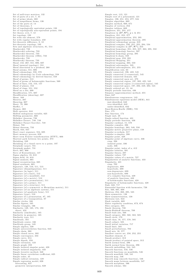Set of null-trace matrices,  $132$ Set of parts of a set, 7, 31<br>Set of prime ideals, 269<br>Set of sesquilinear forms, 136 Set of the parts of, 14 Set of theorems, 5 Set of topologically equivalent points, 193<br>Set of topologically non-equivalent points, 194 Set theory, xvii, 7, 12<br>Set topology, 193<br>Set with one element, 579 Set with regular boundary, 450 Set-theoretic difference, 8, 12<br>Set-theoretic topology, 193<br>Sets and algebraic structures, 81, 514<br>Sharkovskii, 733 Sharkovskii ordering, 733<br>Sharkovskii theorem, 733<br>Sharkovskii theorem (1964), 733 Sharkovsky, 733<br>Sharkovsky theorem, 733<br>Sheaf, 153, 267, 551, 606, 607<br>Sheaf (general topology), 551<br>Sheaf associated to a presheaf, 268 Sheaf axioms,  $551,606$ Sheaf cohomology, 558, 570<br>Sheaf cohomology by Cech cohomology, 558<br>Sheaf cohomology by derived functor, 558<br>Sheaf of germs, 513 Sheaf of germs of holomorphic functions, 560<br>Sheaf of lines, 152, 153, 157<br>Sheaf of planes, 152<br>Sheaf of rings, 551, 552 Sheaf on a site, 608<br>Sheafification, 571, 607 Sheafification (sheaving), 607 Shear, 168 Sheaves, 267<br>Sheaving, 607<br>Sheet, 78, 306  $Sheffer, 1$ Shemes, 269 Shift operator, 644 Shifted endogenous variable, 625<br>Shifting parameter, 666 Shilnikov theorem, 738<br>Shilnikov-Turaev, 748, 749 Shilnikov-Turaev-Gavrilov, 748<br>Shinai, 733<br>Shinai theorem, 733 Shock, 644, 647<br>Short exact sequence, 554, 605<br>Short memory process, 650 Short term Fourier transformation (STFT), 666<br>Shortest path between two points, 373 Shrinking, 249<br>Shrinking of a closed curve to a point, 197<br>Sierpinski carpet, 731<br>Sierpinski gasket, 731<br>Sieve, 607, 608 Sieve of Eratosthenes, 147 Sigma algebra, 18, 618<br>Sigma field, 18, 618 Signal analysis, 665<br>Signal reconstruction, 665 Signature, 138, 510<br>Signature, 138, 510, 511, 513<br>Signature (disambiguation), 511<br>Signature (in logic), 511<br>Signature (of a knot), 512<br>Signature (of a manifold), 512 Signature (of a metric), 512<br>Signature (of a permutation), 511<br>Signature (of a primel), 511<br>Signature (of a structure), 511<br>Signature (of a symmetric or Hermitian matrix), 511<br>Signature (of an algebraic system), 511<br>Signat Signature of a permutation, 87, 105<br>Signature of a transposition, 87 Similar circles, 166<br>Similar figures, 165 Similar triangles, 166<br>Similarity, 149, 165, 173, 193<br>direct, 452<br>Similarity (similitude), 165 Similarity in geometry, 165<br>Similarity type, 511 Sim ilitude, 165<br>Sim ilitude center, 166<br>Sim ilitude center, 149<br>Simple algebra, 530<br>Simple chain, 260<br>Simple chain, 260 Simple closed curve, 392 Simple convergence, 234 Sim ple cu rve, 2 1 4 Sim ple dip a th, 2 5 9 Simple extension, 123 Simple graph, 259<br>Simple isolated singular point, 428 Simple isolated singularity, 433<br>Simple iterative method, 340 Simple linear correlation coefficient, 625 Simple order, 45<br>Simple radical extension, 129<br>Simple regression model, 626 forecasting, 627<br>geometric interpretation, 628

 $\operatorname{Simple}$  root, 112, 121 Simple root of a polynomial, 121<br>Simplex, 190, 251, 255, 277, 534<br>Simplex algorithm, 669 Simplex method, 669, 671<br>Simplex of vertices, 252 Simplex tableau, 669<br>Simplexes, 251, 255, 277<br>Simplexes in (R<sup>p</sup>, 9<sup>R</sup>), p ≤ 3, 251<br>Simplices, 251, 255, 277<br>Simplicial approximation, 253, 295 Simplicial approximation theorem, 295<br>Simplicial cohomology group, 319<br>Simplicial complex, 250, 251, 255, 294, 534<br>Simplicial complex in  $(\mathbb{R}^n, \mathfrak{R}^n)$ , 253<br>Simplicial homology, 251, 255, 257, 263, 295, 550<br>Simplic Simplicial subcomplex, 535<br>Simplicial subcomplexes, 251, 255 Simplification rule, 63<br>Simply connected, 196, 422, 545 Simply connected (1-connected), 545<br>Simply connected domain, 425<br>Simply connected open set, 470 Simply connected region, 197, 202, 425, 545<br>Simply connected region (1-connected region), 545<br>Simply connected rance, 197, 202, 249, 282, 545<br>Simply ordered set, 21, 44<br>Simply periodic function, 436<br>Simpson (approximation) Sim<sub>s</sub>, 647 Simultaneous congruences, 143 Simultaneous equations model (SEM), 641<br>just-identified, 642<br>over-identified, 642 under-identified, 642 Sinai-Bowen-Ruelle (SBR), 725 Sine, 175<br>Sine function, 174 Single unit, 28 Sin gle -valu ed fun ction, 4 3 1 Sin gly p erio dic fun ction, 4 3 6 Singular cardinal, 15, 578<br>Singular complex, 286<br>Singular metric projective plane, 158<br>Singular n-cochain, 317<br>Singular n-simplex, 286<br>Singular n-simplex, 286 Singular point, 428<br>Singular point of algebraic curve, 336 cusp, 336<br>isolated point, 336<br>node, 336<br>Singular point, index of a, 412<br>Singular solution, 381<br>Singular theory, 287 Singular values, 727<br>Singular values of a matrix, 727 Singularities of analytic functions, 433<br>Singularity, 421<br>cusp, 702<br>degenerate, 699<br>hyperbolic, 699<br>on-degenerate, 699 non-hyperbolic, 699<br>of a complex function, 429 of analytic functions, 433<br>of holomorphic functions, 428<br>Singularity of holomorphic functions, 428<br>Sink, 348, 717 Sinusoidal function with harmonics, 726<br>Site, 569, 607, 608<br>Skeleton, 254, 260, 295, 535<br>Skew-symmetric, 138 Skew-symmetrization, 138<br>Skewness test, 643 Slack variable, 669 Slater regularity condition, 673, 674 Slice category, 585<br>Smale theorem, 738<br>Smale-Birkhoff theorem, 709<br>Small étale site, 568 Small category, 302, 568, 582, 585<br>Small circle, 179<br>Small class, 16, 577, 578, 585<br>Small colimit, 585<br>Small linitial variation, 717<br>Small limit, 585 Small perturbations, 702<br>Small sets, 16, 577 Smallest convex set, 250, 252, 255<br>Smallest element, 9 Smash product, 312<br>Smash product of pointed space, 312<br>Smith normal form, 296 Smith normal form theorem, 296 Smooth embedding, 544, 545<br>Smooth function, 416, 546<br>Smooth functions on manifolds, 546<br>Smooth manifold, 540, 541 Smooth mannon, Smooth map (smooth function), 546<br>Smooth maps between manifolds, 547 Smooth morphism, 566<br>Smooth scheme, 564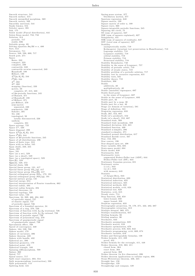Smooth structure, 541<br>Smooth surface, 415<br>Smooth unramified morphism, 569 Smooth variety, 569 Smoothly universal, 544<br>Snake lemma, 554<br>Sobolev space, 391  $Soh, 175$ Solow model (Pascal distribution), 641<br>Solow-Swan model, 753, 758 Solow-Swan model<br>Solution, 314<br>periodic, 717<br>stable, 686<br>Solvable group, 89 Solving equation  $\partial u/\partial \bar{z} = v$ , 480<br>Sort, 512 Sotomayor, 711<br>Source, 348, 598, 600, 717<br>South pole, 271 Space Pace<br>Baire 232 bane, 232<br>compact, 223<br>complete, 230 contractile, 249 contractile arcwise connected, 249 Hausdorff, 199 Hilbert, 199<br> $L^2([a, b], \mathbb{K})$ , 244  $l^2(\mathbb{K}), 244$  $L^2$ , 392<br> $L^p$ , 392 mapping (function), 233<br>metric. 50 complete, 67, 215, 228 of  $2\pi$ -periodic functions, 245<br>of Banach, 371<br>of Hausdorff, 199 of Hilbert, 371 pre-Hilbert, 370 semi-metric separated, 230<br>semimetric, 230<br>Sobolev, 391  $T2, 199$ topological, 50 totally disconnected, 226 uniform complete, 231 complete, 231<br>Space average, 725<br>Space  $\mathbb{C}^n$ , 440<br>Space diagonal, 299 Space  $L^2([a, b], \mathbb{K})$ , 244 Space  $l^2(\mathbb{K})$ , 244 Space of  $2\pi$ -periodic functions, 245<br>Space of all distributions, 496 Space of finite type, 318<br>Space with no holes, 545 Span (hull), 250, 255<br>Span, 601  $Spec, 531$ <br>Spec (as a set), 529 Spec (as a sheaf), 529<br>Spec (as a topological space), 529  $Spec(R), 529$ <br>Spec(Z), 529, 572<br>Special chain, 506 Special linear group, 131, 417<br>Special linear group, 131, 417<br>Special linear group  $SL_n(q)$ , 417<br>Special linear group  $SL_n(R)$ , 417 Special orthogonal group  $SO_n$ , 172, 191<br>Special orthogonal group  $SO_n(q)$ , 172, 191<br>Special unitary group, 131<br>Spectral energy, 654 Spectral interpretation of Fourier transform, 662<br>
Spectral interpretation of Fourier transform, 662<br>
Spectral radius, 494<br>
Spectral radius formula, 494<br>
Spectral theorems, 24<br>
Spectral topology, 529 Spectral value, 133<br>Spectrum, 24, 269, 466, 494, 662<br>of aperiodic signal, 727<br>of chaotic signal, 727 of periodic signal, 726<br>Spectrum of a bounded operator, 24 Spectrum of a rounced operator, 24<br>Spectrum of a ring, 270, 529<br>Spectrum of function with  $f_1/f_2$  irrational, 726<br>Spectrum of function with  $f_1/f_2$  rational, 726<br>Spectrum of periodic signal, 726 Spectrum of periodic signal, 720<br>Spectrum of polynomial ring, 270<br>Spectrum of quasiperiodic signal<br>of quasiperiodic signal, 726<br>Speculation effect, 760 Speed of convergence, 340<br>Sphere, 184, 539, 708<br>Sphere model, 179 Sphere of curvature, 396 Sphere theorem, 420<br>Sphere with handle, 432 Spherical arc, 396<br>Spherical geometry, 179 Spherical point, 419<br>Spherical triangle, 180 Spinning diffeomorphism, 709<br>Spinning diffeomorphism, 709<br>Spinni, 717<br>Spinal, 717<br>Spinal source, 717 Split exact sequence, 303, 554<br>Split exact sequence, 303, 554<br>Split monomorphism (coretraction), 598<br>Split polynomial, 113<br>Splitting field, 124

Spring-mass system, 377<br>Oscillatory motion, 377 Oscillatory motion, 377<br>Spurious regression, 648<br>Square matrix, 109<br>Square matrix of order n, 109 Square wave, 668 Square wave, 000<br>Square-integrable periodic functions, 245<br>Squaring the circle, 75 Squaring the circle,  $^{19}$ <br>SS (sum of squares), 627<br>SSE (sum of squares explained), 627<br>SSE (sum of squares explained), 627<br>SSR (sum of squares of residuals), 627<br>SST (total sum of squares), 627 Stability example<br>tically stable, 719<br>Kolmogorov (invariant tori preservation in Hamiltonian), 718 Lagrange stability, 718 Lyapunov stability, 718<br>orbital stability, 719 Poisson stability, 718 Structural stability, 718 Stability Boundaries, 748<br>Stability in the sense of Lyapunov, 757<br>Stability of periodic orbits, 719 Stability of steady states, 719<br>Stability of steady states, 719<br>Stability problem of a periodic solution, 717<br>Stability test by recursive regression, 631 Stability tests, 631 Stability theory, 718 Stabilizer, 306 Stable<br>additively, 40 multiplicatively, 40 Stable (unstable) eigenspace, 697<br>Stable fixed point in the sense of Lyapunov, 687<br>Stable in the sense of Lyapunov, 693 Stable nature sense of Lyapunov, by<br>Stable part, 32<br>Stable part by a map, 30<br>Stable part for a law, 40<br>Stable part for a law, 40<br>Stage (or domain of variation), 581<br>Stage of definition, 581 Stage of definition, 581<br>Stagewise regression, 633<br>Stalk, 267, 552, 607<br>Stalk (of a presheaf), 552<br>Stalk (of a sheaf), 552, 607<br>Standard étale, 569 Standard étale morphism, 569<br>Standard étale morphism, 569<br>Standard deuction, 616, 621<br>Standard function, 499<br>Standard n-simplex, 271<br>standard normal distribution, 617<br>Standard Zaviski couve 567 Standard Zariski cover, 567<br>Star, 152, 294 Star, 152, 294<br>Star convex, 196<br>Star shaped open set, 498<br>State variable, 684, 685<br>State-space model, 684 Static model, 648 Stationarity, 643<br>Stationarity, 643<br>Stationarity tests<br>augmented Dickey-Fuller test (ADF), 644 Dickey-Fuller test (DF), 644<br>Stationary Gaussian process, 651<br>Stationary series (i.i.d.), 643<br>(n.i.d.), 643<br>(n.i.d.), 643 with memory, 643 Statistic<br>of Jarque-Bera, 643 Statistical distribution, 620<br>Statistical induction, 625 Statistical inference 625 Statistical methods, 622 Statistical models, xviii, 624 Statistical test, 629 Statistics, xviii, 615<br>Steady state, 714 Step function, 350, 658<br>lower-bound, 350 upper bound, 350 Stepwise regression, 633 Stereographic projection, 78, 179, 271, 422, 482, 687<br>Stereographic projection, 78, 179, 271, 422, 482, 687 Stieltjes integral, 369, 375<br>Stieltjes transformation, 657 Stirling formula, 90<br>Stirling number, 90 Stochastic, 643 Stochastic assumptions, 628 Stochastic matrix, 616 Stochastic optimization, 670 Stochastic optimization, 070<br>Stochastic process, 616, 623, 642<br>Stochastic programming, xviii, 669, 674 Stochastic programming, 1711, 000, 01:<br>Stochastic variable, 616<br>Stokes and Ostrogradsky formulas, 138 Stokes formula, 411, 450 Stokes formula,  $\overline{211}$ ,  $\overline{122}$ <br>Stokes formula for the rectangle, 411, 448<br>Stokes theorem, 316, 363, 411<br>closed form, 364<br> $\frac{264}{0.364}$ exact form, 364 general form, 363<br>Stokes theorem (in five dimension), 696 Stokes theorem applications to tubular region, 696<br>Stokes theorem applications to tubular region, 696 Straight line, 150 Straightedge, 129<br>Straightedge and compass, 129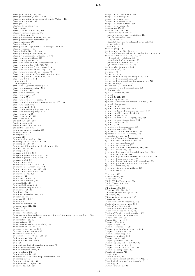Strange attractor, 724, 730<br>Strange attractor (Ruelle-Takens), 733<br>Strange attractor in the sense of Ruelle-Takens, 733<br>Strange attractors, 732 Stranger, 111<br>Stratified sampling, 615 Strict subset, 7<br>Strictly concave function, 678 Strictly convex function, 679<br>strictly less than, 44 Strong deformation retract, 301, 573 Strong deformation retraction, 301 Strong extrema, 373<br>Strong induction, 51 Strong law of large numbers (Kolmogorov), 620 Strong recurrence, 51<br>Strong Stable Manifold, 748 Strongly divergent sequence, 322<br>Strongly inaccessible cardinal, 15, 578<br>Structural assumptions, 628 Structural equations, 641<br>Structural form of VAR representation, 646 Structural stability, 702, 703, 718<br>Structural stability (robustness), 723<br>Structural stability of linear systems, 703<br>Structural stability of the locking, 744<br>Structurally stable differential equation, 723<br>Structurally st Structure, 38, 511, 512<br>| algebraic, 81<br>| topological, 50<br>| Structure (algebraic system), 511<br>| Structure homomorphism, 520 Structure map, 593<br>Structure morphism, 563<br>Structure of lags, 640 Structure of Q, 67<br>Structure of the set of reals, 38 Structure of the uniform convergence on  $F^E$ , 234 Structure sheaf, 270<br>Structure sheaf , 552<br>Structure-preserving bijection, 258 Structure-preserving map, 545<br>Structures, xvii, 37<br>Structures (logic), 512<br>Structures on R, 321 Student law, 625, 629<br>Student ratio, 629<br>Student t-distribution, 617 Student's table, 625 Sub-mean-value property,  $466$ Subadditivity, 20 Subalgebra, 375<br>Subarc, 448<br>Subbasis of a topology, 200 Subcategory, 257, 265, 272, 584<br>Subcomplex, 290, 535<br>Subcritical bifurcations of fixed points, 734 Subfield, 38, 69, 99 Subgraph, 258 Subgroup, 38, 83, 599<br>Subgroup generated by a part, 83<br>Subgroup generated by a set, 83<br>Subgroup of Z, 59 Subharmonic, 493<br>Subharmonic bifurcation, 718 Subharmonic distribution, 492 Subharmonic function, 490, 491 Subharmonic instability, 734 Subharmonicity, 492 Sublattice, 22 Sublinear function, 20 Sublinear functional, 20 Submanifold, 543 Submanifold atlas, 544 Submanifold property, 544<br>Submodule, 38, 101<br>Subobject, 580<br>Subobject classifier, 581, 608 Subproposition, 1 Subring, 38, 93, 99<br>Subroup, 83 Subscript notation, 30<br>Subsequence, 221, 322 Subset, 7, 11<br>Subset relation, 13 Subspace topology, 538<br>Subspace topology (relative topology, induced topology, trace topology), 538 Substitution principle, 289<br>Substructure, 38, 99<br>Substructures, 99 Substructures (subring, subfield), 99<br>Subsystem of relations, 38<br>Successive derivatives, 330 Successive integrations, 356 Successive trials, 619<br>Successor, 15, 47, 48, 51, 322, 578<br>Sufficient condition, 5 Sufficient condition (SC), 5 Sum, 38 Sum and product of complex numbers, 70<br>Sum of subcomplexes, 290 Sum topological space, 202<br>Sum topology, 202<br>Summable family, 240 Supercritical Andronov-Hopf bifurcation, 749<br>Supergraph, 258<br>Superposability, 29, 161 Supplementary angles, 162<br>Support, 40, 108, 287

Support of a distribution, 496<br>Support of a family, 40<br>Support of a map, 443<br>Support of a measure, 442 Support of distributions, 668<br>Suppermum, 45, 46<br>Surface, 255, 398, 399<br>hyerbolic Riemann, 415<br>hyerbolic Riemann, 415<br>hocal parametric representation, 414 locally orientable, 400<br>of Riemann, 415 Orientability and topological invariant, 256 orientable, 400 smooth, 415<br>Surface group, 298 Surface integral, 360, 362, 411<br>Surface of absolute values of complex functions, 423<br>Surface of revolution, 188, 360, 402<br>ellipsoid of revolution, 188 hyperboloid of revolution, 188<br>paraboloid of revolution, 188<br>Quadrics of revolution, 188 Surface with boundary, 255<br>Surfaces in  $\mathbb{R}^3$ , 414 Surgery, 373<br>Surjective embedding (isomorphism), 520<br>Surjective embedding (isomorphism), 520<br>Surjective homomorphism (epimorphism), 520 Surjective map, 29, 31, 519<br>Suspension, 311, 692, 693 Suspension of a diffeomorphism, 693<br>Syllogism rule, 2<br>Sylvester formulas, 618 Symbol, 1<br>Symbol ∮, 347, 429<br>Symbol sequences, 707 Symbolic dynamics for horseshoe diffeo., 707<br>Symbolic logic, xvii Symmetric, 40<br>Symmetric bilinear form, 406 Symmetric braided monoidal category, 587<br>Symmetric difference, 13, 33, 93 Symmetric group, 86<br>Symmetric monoidal category, 587, 588<br>Symmetric sesquilinear form, 242<br>Symmetrizable, 40, 82 S ym m etry, 1 6 2 S ym plectic diff eom o rp hism , 6 9 5 S ym plectic m a ni fold, 6 9 5 Synchronization of frequencies, 741<br>Synchronization of oscillators, 743 Synchronization of oscillators, 743<br>Syntactic method, 2, 3<br> $\sigma\text{-system}$  (D-system, O-system), 511<br>System of class representatives, 28<br>System of cogenerators, 581<br>System of congruences, 97<br>System of differential equations, 383 System of generators, 581<br>System of higher-order differential equations, 384 System of linear equations, 107<br>System of linear first-order diff. equations, 384 System of propositional formulas (axioms), 2<br>System of relations, 38 System of structural equations, 641<br>System of types, 14 T-algebra, 593 t-distribution, 617<br>T-periodic , 714<br>T0,T1,T2,T3,T4-axioms, 206<br>T0,T1,T2-axioms, 206 T1-space, 247 T2-axiom, 199, 206<br>T2-space, 199, 206, 247<br>T2-space (Hausdorff space), 207 T3-axiom, 207<br>T3-space (regular space), 207<br>T4-axiom, 207 Table of indefinite integrals, 353 Table of integration rules, 356<br>Table of primitives, 353<br>Table of random numbers, 624<br>Table of variance analysis, 630 Tables of Fourier transformation, 661<br>Tables of random numbers, 623 Takens, 712, 713, 733<br>Takens theorem, 416 Tangent, 175, 393<br>Tangent angle, 163 Tangent developable, 396<br>Tangent developable of a curve, 396 Tangent hyperplane, 343<br>Tangent linear map, 416 Tangent of a circle, 163<br>Tangent plane, 399 Tangent problem, 328, 329<br>Tangent space, 414–416, 689, 708<br>Tangent vector, 415, 416<br>Tangent vector to a surface, 399 Tangential component, 401<br>Tangle of curves, 721 Target, 600<br>Tarski's axiom, 16<br>Tarski-Grothendieck set theory (TG), 15 Tautological propositional formula, 2 Tautology, 1<br>Taylor expansion, 701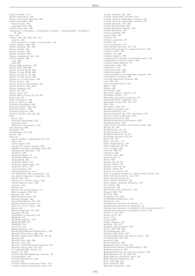Cauchy integral,  $425,\,429$ 

Taylor formula, 114 Taylor polynomial, 332<br>Taylor polynomial, 332<br>Taylor polynomial theorem, 332 Taylor remainder, 332 Cauchy form, 332 Lagrange form, 332<br>Taylor series, 333, 426<br>Tchebychev (Chebyshev, Tchebicheff, Čebyšev, Tschebyscheff, Chebishev),  $75, 339$ Tear, 194 Tensor, 105, 138, 405-407, 415 relative, 408<br>skew-symmetric r-times contravariant, 138 Tensor algebra, 406, 407<br>Tensor analysis, 407, 408 Fensor analysis, 400, 400<br>Tensor bundle, 408<br>Tensor calculus, 407<br>Tensor category, 586<br>Tensor contraction, 407, 410 Tensor density, 408 ensor dens<br>even, 408<br>odd, 408 Tensor differentiation, 407 Fensor field, 406-408<br>Tensor of type (0, 1), 406<br>Tensor of type (0, 2), 406<br>Tensor of type (1, 1), 406 Tensor of type  $(1, 1)$ , 406<br>Tensor of type  $(p, q)$ , 406<br>Tensor on a vector space, 408<br>Tensor powers, 525<br>Tensor powers and braiding, 525 Tensor product, 407, 586<br>Tensor product, 407, 586<br>Tensor quantity, 407<br>Tensor space, 407 Tensor space, style  $(\alpha, \beta)$ , 407<br>Tensor space of type  $(\alpha, \beta)$ , 407<br>Tent map, 725<br>Term of degree k, 108 Term of degree n, 290 Ferminal morphism, 580<br>Terminal morphism, 580<br>Terminal object, 310, 580<br>Terminal property, 580<br>Terminal property, 580 Ternary relation, 28, 160, 161 **Test** est<br>Chow, 635 Kurtosis (flattening), 643 normality, 643<br>Skewness (asymmetry), 643 Test function, 668<br>Tetragon, 154 Tetrahedron, 251, 255<br>Thales, 163 Theorem group of affine collineations:  $G$ , 172 Abel, 129 about angles, 162 acyclic free chain complex, 303<br>addition, product, quotient rules, 330 Afraimovich-Shilnikov, 739<br>Alembert, 224<br>Alembert-Gauss, 77 Alexander-Whitney, 319 Alexandroff, 225<br>Andronov-Hopf, 735 Andronov-Pontryagin, 724<br>Andronov-Witt, 719 anti-matching, 153 anticommutativity, 319 any Euclidean ring is principal, 142 any finite extension is algebraic. 124 Ascoli, 236, 442<br>Ascoli, 67, 442<br>Ascoli (for a metric space), 236 Ascoli (general case), 236 aureum, 144 Bézout, 60<br>Bézout (for polynomials), 111 Baire category, 232, 724<br>Banach, 241, 391 Banach fixed point, 372<br>Banach-Alaoglu, 442 Banach-Steinhaus, 241, 371<br>Banach-Tarski paradox, 17 banach-raistí páradox, 17<br>basis of a vector space, 103<br>Bayes, 619<br>Bessel inequality, 244, 653 binomial,  $90, 92$ biquadratic reciprocity, 145<br>Birkhoff, 718 Birkhoff (ergodic), 725<br>Birkhoff HSP, 514 Birkhofff, 514 bisectors, 153<br>Blakers-Massey, 315 Black-S-Massey, 315<br>Block-Guckenheimer-Misiuriewicz, 733<br>Bolzano-Weierstrass, 322, 323<br>Boolean prime ideal (BPI), 19, 23, 24 Boolean prime fuear (B)<br>Borsuk, 473<br>Borsuk-Ulam, 294, 320 Brouwer, 214, 472<br>Brouwer and Kakutani fixed-point, 674<br>Brouwer and Kakutani fixed-point, 674<br>Brouwer fixed point, 215, 677 C is algebraically closed, 115<br>Cantor, 31, 228<br>Cantor-Schröder-Bernstein theorem, 36 Carathéodory, 485 Casorati-Weierstrass, 464 Cauchy, 456 Cauchy formula (homology form), 475 Cauchy formula (homotopy form), 471

Cauchy integration criterion, 355<br>Cauchy theorem (homology version), 475 Cauchy theorem (homotopy version), 470 Cauchy-Goursat, 453, 461<br>Cauchy-Kowalewska, 389 Cauchy-Pompeiu formula, 456<br>Cayley-Hamilton, 134 center manifold, 700<br>central limit, 617 Chinese, 97 Chinese remainder, 97  $chordal, 167$ cional, rot<br>
circle quadrature, 131<br>
closed graph theorem, 241, 372<br>
commutative group for composition law, 156<br>
compact of  $\mathbb{R}^n$ , 197<br>
compact set, 209<br>
compact support, 288 compactness criterion of metrizable space, 227 compactness criterion of metrizab<br>completion of a metric space, 229<br>Complex Hahn-Banach, 25<br>composition rule, 330<br>congruence, 163 connected image, 203 connected space. 203 constructibility by straightedge-compass, 130 convergence criterion, 340 covering homotopy theorem, 306 curl, 348, 412<br>cyclic decomposition, 136<br>degree, 122 degree, 122<br>
Denjoy, 692<br>
derivability, 442<br>
Desargues (affine version), 155<br>
Desargues (little), 157<br>
Desargues (projective version), 155<br>
Desargues (projective version), 155 Diagonalization conditions, 134<br>dimension axiom, 287, 312, 317<br>Dini, 234 Dini, 234<br>divergence, 364, 412<br>divergence (Gauss), 348<br>Douady-Oesterlé, 731<br>Douady-Oesterlé (for diff. equations), 731 dual universal coefficients, 318 Eilenberg-Steenrod, 302<br>Eilenberg-Steenrod (extension), 302 Eilenberg-Zilber, 305<br>entire series expansion and Taylor series, 333<br>Euclid, 56, 169 Euclid 180, 109<br>Euclid 1emma, 57, 60<br>Euclid 1emma in Z, 60<br>Euclidean division, 55, 59 Euclidean division in  $\mathbb{Z}$ , 59<br>Euler, 96, 167 Euler criterion, 144<br>Euler displacement, 186 Euler displacement, 100<br>Euler-Lagrange, 83, 84<br>exact triangle, 291<br>excision, 296, 317 extension, 228 extreme value, 209<br>factorization, 57 ractorization, 57<br>Fatou, 488<br>Fermat, 89, 93, 96<br>Fermat (little), 89<br>Fermat's last, 93, 96<br>Fermat's little, 96 field by two ideals, 101 field of complex numbers is algebraically closed, 115<br>field with characteristic zero, 125 neld with characteristic zero, 125<br>finite Abelian group, 89<br>finite simple extension, 123<br>finite simple extension (Steinitz), 123<br>five lemma, 291 fixed-point, 229 fixed-point with parameter, 229<br>Floquet, 699, 716<br>flow-box, 691 Fredholm, 374, 390<br>Freudenthal suspension, 315 Frobenius, 417<br>Fundamental theorem of Algebra, 77 Fundamental theorem of arithmetic, 57<br>fundamental theorem of arithmetic, 57<br>fundamental theorem of arithmetic (for polynomials), 111<br>fundamental theorem of integral calculus, 352<br>Gauss, 57, 60, 348 Gauss (in  $\mathbb{Z}$ ), 60<br>genus, 145 Giraud, 609<br>golden (Gauss), 144  $gradient, 343, 412$ Granger representation, 649<br>Green, 316, 348, 364<br>Green-Riemann, 363 Grobman-Hartman, 723<br>Grobman-Hartman, 723<br>Grobman-Hartman (for discrete syst.), 723 Grothendieck, 567, 570 groupoid, 280<br>Gysin sequence, 320 Hadamard three circles, 491 Hadamard-Cartan & Gromoll-Meyer, 420 Hadamard-Perron, 720<br>Hadamard-Perron (for discrete system), 723<br>Hahn-Banach, 24, 45, 236, 238 Hahn-Banach, 24, 40, 200<br>Hahn-Banach (geometric form), 26<br>Hahn-Banach separation, 26<br>hairy ball, 294, 412 ham-sandwich, 320 Harnack inequalities, 486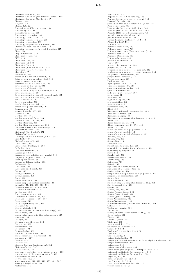Hartman-Grobman, 697<br>Hartman-Grobman (for diffeomorphism), 697<br>Hartman-Grobman (for flow), 697 Hartogs, 494<br>Heights, 153<br>Heine, 223, 224<br>homoclinic saddle connection, 747<br>homomorphism, 88 homothetic circles, 166<br>homothetic triangles, 166<br>homotopy axiom, 288, 317<br>homotopy axiom for pairs, 292<br>homotopy extension, 301<br>Homotopy sequence of a par, 314<br>Homotopy sequence of a par, 314<br>homotopy sequence of a weak f Hopf, 320<br>Hopf bifurcation, 712 Hopf recurrence, 718<br>HSP, 514<br>Hurewicz, 289, 315 Hurewicz (1), 289<br>Hurewicz (2), 315<br>Hurewicz (absolute version), 315 Hurewicz (relative version), 315 Hurwitz, 477 im m ersion, 2 1 3 insets and invariant manifold, 709 integral domain by prime ideal, 100 integral mean-value, 351<br>intermediate value, 203, 226, 326<br>invariance of dimension, 294 invariance of domain, 294<br>invariant manifold, 697<br>invariant manifold, 697<br>invariant manifold (for diffeomorphism), 697<br>invariant manifold (for flow), 697 inverse function, 390<br>inverse mapping, 568<br>irreducible polynomial, 121<br>irreducible prime element, 142 isom orphism, 89<br>Jensen formula, 463, 492 Johnson, 494<br>Jordan, 473, 474 Jordan canonical form, 136<br>Jordan curve, 214, 294, 504 Jordan-Brouwer, 214<br>Jordan-Brouwer separation, 294<br>Künneth formula for cohomology, 318<br>Künneth theorem, 305 Kakutani (fixed point), 677 Kelvin-Stokes, 364 Kolmogorov-Arnold-Moser (KAM), 724<br>Kondrakov, 391 Kuhn-Tucker, 673, 682<br>Kuratowski, 263<br>Kuratowski-Pontryagin, 263 L'Huilier, 180 Löwenheim-Skolem, 2<br>Lagrange, 83, 86 Lagrange interpolation polynomial, 112<br>Lagrangian (generalized), 681 lebesgue differentiation, 488<br>Ledrappier, 731<br>Lefschetz, 304<br>Lefschetz, 304<br>Lefschetz fixed point, 304<br>Leray, 296<br>lifting criterion, 307<br>lifting lemma, 306 limit, 620<br>linear extension, 103 linear map and matrix associated, 104<br>Liouville, 77, 463, 465, 695, 716<br>Liouville (vector version), 465<br>Liouville boundedness, 433 Littlewood, 493<br>long exact sequence, 317 Lusternik-Schnirelmann, 294<br>Mac Lane coherence, 586, 587 Malgrange, 711<br>Malgrange-Ehrenpreis , 669 Mather, 705<br>Mayer-Vietoris, 292 Mayer-Vietoris (for reduced homology), 292<br>mean value, 331 mean value inequality (for polynomials), 115<br>medians, 153 Menger, 262<br>Menger *n*-arc theorem, 262 Mergelyan, 479 metrization, 210 Meusnier, 402<br>Mittag-Leffer, 481 modified Jordan form, 758<br>monic irreducible polynomial, 121 m onodromy, 427 Montel, 458<br>Morera, 461<br>Nagata-Smirnov (metrization), 212<br>Neimark-Sacker, 737 no-retraction, 472<br>non constructibility (straightedge comp.), 130<br>normal form (differential equation), 698 numeration in base b, 56 of well-ordering, 17<br>open mapping, 241, 372, 472, 477, 482, 537<br>Ostrogradsky-Stokes, 363 Ostrowski, 145

Palis-Smale, 724<br>Pappus-Pascal (affine version), 155<br>Pappus-Pascal (projective version), 155<br>Parseval formula, 244 particular irreducible polynomial (Abel), 121<br>Peano existence, 386<br>Peixoto (I) (for vector field, flow), 704<br>Peixoto (II) (for vector field, flow), 704 Peixoto (III) (for diffeomorphism), 705<br>period three implies chaos, 733<br>perpendiculars isiscetor, 153<br>perpendiculars (Hjelmslev), 152, 153<br>Picard-Lindelöf, 714 Poincaré, 412<br>Poincaré Bendixson, 720<br>Poincaré Bendixson, 718<br>Poincaré recurrence (Poincaré return), 718<br>Poincaré-Bendixson, 690<br>Poincaré-Bendixson, 690 Poincaré-Brouwer, 412 polynomial division, 120 power, 167<br>primary decomposition, 136 projection  $21, 26, 242$ projection on a complete convex set, 242<br>projection on a complete vector subspace, 243<br>Projective Nullstellensatz, 533 propositional calculus , 1, 2<br>Puppe sequence, 313 Pythagoras, 242<br>Pythagorean, 169, 175, 178 quadratic reciprocity, 144<br>quadratic reciprocity law, 144 quadratic residue, 144<br>radical or power center, 167 recu rren ce, 5 1 red uction, 2 9 7 regular T1-space, 207<br>representation, 243<br>residue, 430, 476 restriction rule, 329 Ricci, 409 Riemann conformal representation, 439 Riemann criterion, 350<br>Riemann mapping, 483 Riemannian geometry (fundamental th.), 418 Riesz, 375 Riesz decomposition, 492<br>Riesz representation, 21, 375, 442<br>Rolle, 331, 332<br>roots and zeros of a polynomial, 112 roots of a polynomial, 112<br>roots of a polynomial of degree n, 121 Rouché, 477, 504<br>Runge, 478, 479 Schoenflies, 215<br>Schwartz, 467 Seifert-van Kampen, 297, 298 separability criterion for a polynomial, 125 separating hyperplane, 26 Serre, 314 Sharkovskii, 733<br>Sharkovskii -1964, 733 Shankovsky, 733<br>Shilnikov, 738<br>Shinai, 733<br>signature of a permutation, 87<br>similar triangles, 166<br>similar triangles, 166 simple and multiple roots of a polynomial, 112<br>simplicial approximation, 295 Smale, 738<br>Smale-Birkhoff, 709 Smirnow-Nagata-Bing (fundamental th.), 211<br>Smith normal form, 296 sphere, 420<br>Stokes, 316, 363, 411<br>Stokes (closed form), 364<br>Stokes (exact form), 364 Stokes (general form), 363<br>Stone-Weierstrass, 236 Stone-Weierstrass , 245<br>Stone-Weierstrass (for complex functions), 236 Takens, 416 Taylor polynomial, 332<br>Thales, 163<br>theory of patches (fundamental th.), 405 three circles, 491<br>Tietze, 297<br>Tietze-Urysohn, 442<br>Tikhonov, 209 total probability, 619 transport of intervals, 326<br>Turan, 262, 263<br>Tychonoff, 22, 45, 209, 224, 579 Tychonov, 224<br>undecidability, 3 unique factorization, 57 unique polynomial associated with an algebraic element, 122<br>unique-factorization, 142 uniqueness, 386<br>uniqueness of the norm, 494 unisolvence (for polynomial interpolations), 113<br>universal coefficients for cohomology, 318<br>universal coefficients for homology, 304 Urysohn, 207, 211<br>Urysohn (metrization), 212 van Kampen, 297, 298 variation of constants formula, 716 vector space norm, 371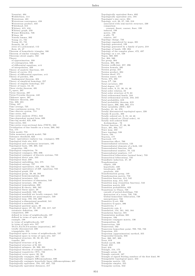Vesentini, 494<br>Wedderburn, 114<br>Weierstrass, 481 Weierstrass convergence, 458 Weierstrass convergence,<br>Weierstrass product, 433<br>Whitehead, 315 Whitney, 415, 416<br>Whitney, 415, 416<br>Whitney graph, 259 Wiener-Khinchin, 726 Wilson, 98<br>Yoneda lemma, 302 Young (1), 731<br>Young (2), 731 Zermelo, 36, 47<br>zeros of a polynomial, 112<br>Zorn, 45, 47 Theorem of homothetic triangles, 166 Theorem of similar triangles, 166 Theorems about angles, 162 Theory of approximation, 338 of cointegration, 626<br>of differential equations, xvii<br>of interpolation, 339 on interporation, 359<br>Theory of analytic functions, 421<br>Theory of curves, 214<br>Theory of differential equations, xvii Theory of patches, 404<br>fundamental theorem, 404 fundamental theorem, 404<br>Theory of simplicial homology, 257<br>Theory of singular homology, 257<br>Theory of types, 13, 16<br>Three circles theorem, 491<br> $T_s$ -space, 207<br>Tietze theorem, 297<br>Tietze-Ilrysohn theorem, 442 Tietze Iurorem, 291<br>Tietze-Urysohn heorem, 442<br>Tikhonov space, 207<br>Tikhonov theorem, 209<br>Tile, 209, 355<br>Tiling, 447 Timmg, 447<br>Time average, 725<br>Time continuous system, 714 Time discrete system, 714 Time series,  $642$ <br>Time series analysis (TSA),  $642$ Time-dependent normal form, 699<br>Time-lag model, 625, 639 Time-series, 624<br>Time-series cross-sectional data (TSCS), 633<br>Tivialization of line bundle on a torus, 269, 562 Toa, 175 Tokin model. 753 Tobin model, 753<br>Tobin monetary growth model, 760<br>Tolerance threshold, 622<br>Topol. equivalence replaces top. conjugacy, 696<br>Topological date site, 610<br>Topological and continuous invariants, 195<br>Topological basis, 199, 308, Topological completion, 78 1 opological completion, 78<br>Topological conjugacy, 692, 696<br>Topological conjugacy of discrete systems, 723<br>Topological direct sum, 243 Topological direct sum, 245<br>Topological dual, 238<br>Topological embedding, 544, 575<br>Topological entropy, 727<br>Topological equivalence, 416, 696, 722, 733 Topological equivalence, 410, 690, 722, 733<br>Topological equivalence of diff. equations, 722<br>Topological graph, 258<br>Topological group, 38, 66, 283<br>Topological homeomorphism, 200 Topological invariance, 248<br>Topological invariance of dimension, 540 Topological invariante of different<br>Topological invariant, 193, 195<br>Topological isomorphism, 200 Topological K-theory, 269, 562 Topological Repart Space, 20<br>
Topological Inear space, 20<br>
Topological manifold, 539, 540<br>
Topological manifold are locally compact, 540 1 opological maniloid are locally compact, 540<br>Topological manifolds are paracompact, 540<br>Topological map, 193, 194, 200<br>Topological n-dimensional manifold, 541<br>Topological n-manifold, 539 Topological numinout, 338<br>Topological quotient space, 38<br>Topological space, 27, 50, 197, 198, 217, 537<br>axiomatic definition, 198<br>comparison, 200 defined in terms of neighborhoods, 197<br>defined in terms of open sets, 198 defined in terms of open sets, 196<br>example, 198<br>in terms of neighborhoods, 537<br>in terms of open sets, 537<br>T0,T1,T2,T3,T4-axioms (separation), 207 to,11,12,16,14 axioms<br>totally disconnected, 226<br>triangulable, 253 Topological space in terms of neighborhoods, 537<br>Topological space in terms of open sets, 537 Topological space in terms of open sets, 537<br>
Topological structure, 38, 50, 65, 218<br>
transfer, 201<br>
Topological structure of Q, 65<br>
Topological structure of R, 321<br>
Topological subspace, 38, 200, 201<br>
Topological subspace Topologically equivalent, 194, 197, 697, 722<br>Topologically equivalent distances, 217

Topologically equivalent flows, 692 Topologically equivalent nows, 032<br>Topologically equivalent sets, 194<br>Topologist's sine curve, 204<br>Topology, xvii, 20, 27, 193, 218<br>associated with semi-metric structure, 230 comparison<br>coarsest, finest, coarser, finer, 199<br>induced, 199 maucea, 199<br>metric, 199<br>p-adic, 79<br>relative, 197<br>Topology change, 733<br>Topology engendered by maps, 201<br>Topology generated, 199 Topology generated by a family of parts, 218<br>Topology of bands, 199, 204 10pology of bands, 199, 204<br>Topology of the complex plane, 472, 497<br>Topology on a set, 538<br>Topos, 569, 608<br>Tor, 304, 560 Tor, 301, 303<br>Tor group, 304<br>Torsion, 304, 394 Torsion, coefficient, 257, 296<br>Torsion formula, 395 Torsion group, 257 Torsion product, 304<br>Torsion sheaf, 571 Torsion tensor, 418 Torus, 275, 402<br>Torus T<sup>2</sup>, 730<br>Total curvature, 403 Total degree, 117<br>Total order, 9, 21, 36, 44, 46 Total order relation, 34<br>Total order structure of N, 63 Total orthonormal family, 244<br>Total orthonormal system, 244, 245 Fotal orthonormal system, 244, 245<br>Total probability, 619<br>Total probability theorem, 619<br>Total space, 306, 560, 562, 574<br>Total variability (SST), 627<br>Totality, 21, 44, 579<br>Totally disconnected topological space, 226<br>Totall Totally disconnected topological space<br>Totally E-acyclic, 303<br>Totally ordered set, 9, 21, 44–46<br>Totally ordered set (Total order), 44<br>Totally well ordered field Archimedean, 78<br>Totient function, 57, 68, 96 Trace, 201, 304, 717<br>Trace map, 432 Trace topology, 538<br>Traces, 194 Tractrix, 177<br>Tractroid, 177 Transaction effect, 760<br>Transcendantal extension, 123 Transcendental elements of a field, 122<br>Transcendental function, 433 Franscendental nunchen, 433<br>Transcendental number, 78, 122<br>Transcendental numbers, 117<br>Transcritical bifurcation (normal form), 733<br>Transcritical bifurcations, 735<br>Transfinite induction, 47, 49 Transformation elliptic, 439<br>hyperbolic, 439 nyperbonc, 439<br>loxodromic, 439<br>parabolic, 439<br>Transformation group, 149 Transformation matrix, 758 Transformation matrix, 758<br>Transition function, 414, 542<br>Transition map, 414, 542<br>Transition map (transition function), 542<br>Transition matrix, 623 Transition probabilities, 623<br>Transitions to Chaos, 738<br>cascade of period-doublings, 738 destruction of a torus, 738, 739 Global homoclinic bifurcation, 738 intermittency, 738<br>Transitive G-set, 306<br>Transitive G-space, 306 Transitive G-space, 306<br>Transitivity, 7<br>Transitivity rule, 2<br>Translation, 154, 161, 162, 164<br>Translation functor, 591 Transmission medium, 661<br>Transpose, 106 Transpose conjugate matrix, 136<br>Transposition, 86 Transvection, 168<br>Transversal, 162 Transverse homoclinic point, 709, 723, 738 Trapezium, 355<br>Trapezium, 355<br>Trapezium (approximation) method, 355<br>Trapezoidal formula, 656 Tree, 260, 297, 309<br>Trees, 619 Trefoil curvE, 336 Trend, 650<br>Trial. 616 Triangle, 154, 175<br>Triangle axiom, 20<br>Triangle centroid, 167 Triangle of signed Stirling numbers of the first kind, 90<br>Triangle of signed Stirling numbers of the first kind, 90 Triangular matrix, 135 Triangular simplex, 255 Triangular system, 642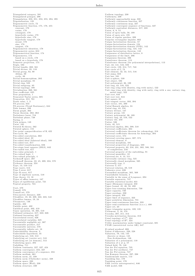$\begin{array}{l} \bf Triangulated\ category,\ 591\\ \bf Triangulated\ polygon,\ 298\\ \bf Triangulation,\ 250,\ 251,\ 253,\ 255,\ 294,\ 295\\ \bf Trigonalization,\ 135\\ \end{array}$ Trigonanzation, 155<br>Trigonometric circle, 72<br>Trigonometric function, 175, 178, 455 cosecant, 178<br>cosine, 178 cotangent, 178<br>hyperbolic cosine, 178 hyperbolic sine, 178<br>hyperbolic tangent, 178 secant. 178  $sine, 178$ sine, 178<br>tangent, 178<br>Trigonometric identities, 178 Trigonometric series, 653<br>Trigonometrical function, 174 Ingonometrical function, 17<br>Trigonometry, 174<br>based on a circle, 178<br>based on a hyperbola, 178<br>Trimetric projection, 174 Triple, 593<br>Trivial bundle, 269, 561<br>Trivial divisor, 95, 110 Trivial group, 82, 89 Ablian, 89<br>
cyclic, 89<br>
Trivial homomorphism, 282 Trivial morphism, 85 Trivial morphism, 85<br>Trivial ring, 523<br>Trivial subgroup, 83<br>Trivialization, 269, 561<br>Trivialization, 269, 561 Trivianzation, 200, 001<br>True coefficient, 625<br>True proposition, 1<br>Truncated Taylor series, 685 Truncation, 312, 701 Truth value, 1, 2<br>TS process, 644<br>TS process, 644<br>TS process (Trend Stationary), 644 The lemma, 299<br>Turan graph, 262<br>Turan theorem, 262, 263 Turbulence burst, 718 Turbulent phase, 738<br>Turing, 3 Twin primes, 148 Twist, 165 Twisted K-theory, 562 Twisted sphere, 155<br>Two point compactification of R, 422<br>Two-cycle, 86 Two-sided convolution, 662<br>Two-sided convolution, 662<br>Two-sided ideal, 22<br>Two-sided ideal (bilateral ideal), 100<br>Two-sided test, 617 Two-sided transformation, 656<br>Two-stage least squares (2SLS), 642<br>Two-tailed test, 617 Two-tailed test, 017<br>Two-value principle, 1<br>Two-valued logic, 1<br>Two-valued principle, 4 Tychonoff space, 207<br>Tychonoff theorem, 22, 45, 209, 224, 579 Tychonov theorem, 224<br>Type, 13, 510-512 Type (sort), 512<br>Type I error, 617 Type II error, 617<br>Type II error, 617<br>Type of algebraic system, 510<br>Type theory, 13, 16<br>Types of affine isometry, 187 Types of equilibrium point, 721<br>Typical property, 724  $\mathbb{U}$ -set, 579 U-set, 579<br>U-small, 579<br>U-small set, 579<br>Ultra-metric distance, 220<br>Ultrafilter, 19, 22, 209, 222, 223, 543<br>Ultrafilter lemma, 19, 24<br>Ultrafilter, 146<br>Ultrafilter, 146<br>Ultrafilter, 146 Umbilic,  $402$ Umbilic point, 402<br>
Umbilic point, 402<br>
Umbilical point, 402, 419<br>
Unary operation, 16, 265, 510 Univary operation, 10, 205, 310<br>Unbiased estimator, 617, 622, 626<br>Unbiased forcasting, 627<br>Uncorrelated errors, 626<br>Uncorrelated variables, 625<br>Uncountable negligible set, 367<br>Uncountable product, 217<br> Uncountable universe, 578<br>Uncountably infinite set, 18 Undecidability theorem.<sup>3</sup> Undecidable hypothesis, 35 Underlying set, 510, 512<br>Underlying set (carrier set), 510 Underlying set (or domain), 512<br>
Underlying space, 294<br>
Underlying space, 294<br>
Unfolding, 711<br>
Uniform continuity, 227, 327, 424 Uniform continuity, 221, 321, 424<br>Uniform convergence, 234, 327<br>Uniform convergence of a sequence, 234 Uniform convergence of a sequence, 25<br>Uniform medium, 661<br>Uniform norm, 21, 338<br>Uniform norm (Chebyshev norm), 338<br>Uniform space, 230<br>Uniform space (Weil), 230<br>Uniform structure, 230

Uniform topology, 230<br>Uniformity, 230<br>Uniformly approachable map, 338<br>Uniformly continuous function, 327 Uniformly continuous function, 327<br>Uniformly continuous map, 227<br>Uniformly convergent sequence of functions, 327<br>Uniformly equivalent distances, 217, 228<br>Union, 8, 9, 13 Union of open balls, 50, 199<br>Union of open sets, 195 Union of regular patches, 399<br>Unipolar rectangular impulse, 662 Unique factorization theorem, 57<br>Unique factorization theorem, 57<br>Unique factorization domain, 124<br>Unique factorization domain (UFD), 142<br>Unique factorization ring, 124, 142 Unique-factorization theorem, 142<br>Unique-factorization theorem, 142<br>Uniqueness of distributive lattice, 9<br>Uniqueness theorem, 386<br>Uniqueness theorem, 386 Unisolvence theorem, 113<br>Unisolvence theorem (for polynomial interpolations), 113 Unit, 43, 141, 516, 593<br>Unit circle, 159, 214, 717, 748<br>Unit circle of C, 72 Unit element, 42, 43, 515, 516 Unit jump, 658<br>Unit law, 591<br>Unit n-sphere, 539 Unit object, 586 Unit polynomial, 36, 109 Unit ring, 43, 516, 522<br>Unit ring, 43, 516, 522<br>Unit ring (ring with identity, ring with unity), 522<br>Unit ring (ring with identity, ring with unity, ring with a one, unitary ring, unital ring), 522 Unit root, 644<br>Unit root test, 644 Unit square, 65 Unit tangent vector, 393, 394<br>Unit vector, 181, 399<br>Unital Banach algebra, 24 Unital ring, 43, 516<br>Unitary divisor, 147<br>Unitary group, 131 Unitary polynomial, 36, 109<br>Unitary ring, 43, 516, 522<br>Unitary tile, 250 Unitary the, 250<br>Unitor, 586<br>Unity, 42, 515<br>Universal algebra, 264, 509, 510<br>Universal coefficients, 304<br>Universal coefficients theorem for cohomology, 318<br>Universal coefficients theorem for homology, 304<br>Universal coeffic Universal coefficients theorem for homology, 30<br>Universal cover, 574<br>Universal covering space, 307, 574<br>Universal covering space, 307, 574<br>Universal element, 9<br>Universal properties of diagrams, 589<br>Universal properties of Universal quantifier, 10<br>Universal set, 8, 13, 511 Universally catenary ring, 525<br>Universally catenary ring, 525<br>Universally true, 2<br>Universally true, 2<br>Universal Universal<br>Universal Catenary 119<br>Universal Catenary 119<br>Universal Catenary 626<br>Universal Universal<br>Universal C Unramified morphism, 565, 569<br>Unramified morphism, 565, 569<br>Unsatisfiable formula, 2<br>Unstable in the sense of Lyapunov, 694<br>Unstable separatrix, 747<br>Unstable statistical model, 631 Upper (Riemann) integral, 350 Upper bound, 45, 46, 53, 490<br>Upper box-counting dimension, 730 Upper oxisteding university<br>Upper capacity, 730<br>Upper integral, 350<br>Upper limit of sequence, 323<br>Upper limit of sequence, 323<br>Upper pointwise dimension, 731 Upper pointwise universion, 191<br>Upper semi-continuous function, 233<br>Upper semi-continuous function (u.s.c.), 490 Upper set, 23 Upper triangular matrix, 109, 135<br>Urelement, 2, 16, 578<br>Urysohn, 207, 211, 213 Urysohn metrization theorem, 212<br>Usual topology of  $\mathbb{C}^n$ , 224<br>Usual topology of  $\mathbb{R}^n$ , 224 Utility maximization under budget constraint, 681 UVAR (unrestricted vector AR), 647 V-valued presheaf, 606<br>Valeur d'adherence, 220, 228<br>Valuation, 79, 142, 145 discrete or dense, 145<br>Non-Archimedean, 146 Non-Arcmimeacan, 140<br>Valuation of a polynomial, 110<br>Valuation of n at p, 57<br>Valued field, 79, 146<br>Van der Pol equation, 735<br>Van der Pol excillator, 747<br>Van der Pol excillator, 747<br>Van der Pol excillator, 747<br>Van Kampan the Van Kampen theorem, 197<br>
Van Kampen theorem, 297, 298<br>
Vandermonde matrix, 113<br>
Vanishing line, 170<br>
Vanishing point, 170 VAR (vector autoregressive), 646<br>VAR model, 646